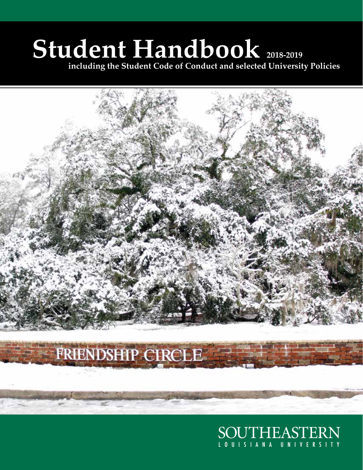# **Student Handbook 2018-2019**

**including the Student Code of Conduct and selected University Policies**



SOUTHEASTERN LOUISIANA UNIVERSITY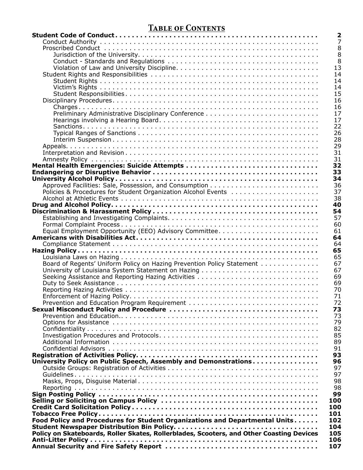# **Table of Contents**

|                                                                                          | $\overline{\mathbf{2}}$ |
|------------------------------------------------------------------------------------------|-------------------------|
|                                                                                          | $\overline{7}$          |
|                                                                                          | 8                       |
|                                                                                          | 8                       |
|                                                                                          | 8                       |
|                                                                                          | 13                      |
|                                                                                          | 14                      |
|                                                                                          | 14                      |
|                                                                                          | 14                      |
|                                                                                          | 15                      |
|                                                                                          | 16                      |
|                                                                                          |                         |
|                                                                                          | 16                      |
|                                                                                          | 17                      |
|                                                                                          | 17                      |
|                                                                                          | 22                      |
|                                                                                          | 26                      |
|                                                                                          | 28                      |
|                                                                                          | 29                      |
|                                                                                          | 31                      |
|                                                                                          | 31                      |
|                                                                                          | 32                      |
|                                                                                          | 33                      |
|                                                                                          | 34                      |
|                                                                                          | 36                      |
| Policies & Procedures for Student Organization Alcohol Events                            | 37                      |
|                                                                                          | 38                      |
|                                                                                          | 40                      |
|                                                                                          | 54                      |
|                                                                                          | 57                      |
|                                                                                          | 60                      |
|                                                                                          | 61                      |
|                                                                                          | 64                      |
|                                                                                          | 64                      |
|                                                                                          | 65                      |
|                                                                                          |                         |
|                                                                                          | 65                      |
| Board of Regents' Uniform Policy on Hazing Prevention Policy Statement                   | 67                      |
|                                                                                          | 67                      |
| Seeking Assistance and Reporting Hazing Activities                                       | 69                      |
|                                                                                          | 69                      |
|                                                                                          | 70                      |
|                                                                                          | 71                      |
|                                                                                          | 72                      |
|                                                                                          | 73                      |
|                                                                                          | 73                      |
|                                                                                          | 79                      |
|                                                                                          | 82                      |
|                                                                                          | 85                      |
|                                                                                          | 89                      |
|                                                                                          | 91                      |
|                                                                                          | 93                      |
| University Policy on Public Speech, Assembly and Demonstrations                          | 96                      |
|                                                                                          | 97                      |
|                                                                                          | 97                      |
|                                                                                          | 98                      |
|                                                                                          | 98                      |
|                                                                                          | 99                      |
|                                                                                          | 100                     |
|                                                                                          | 100                     |
|                                                                                          | 101                     |
|                                                                                          |                         |
| Food Policy and Procedures for Student Organizations and Departmental Units              | 102                     |
|                                                                                          | 104                     |
| Policy on Skateboards, Roller Skates, Rollerblades, Scooters, and Other Coasting Devices | 105                     |
|                                                                                          | 106                     |
|                                                                                          | 107                     |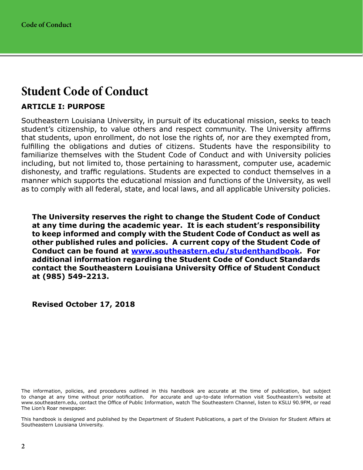# <span id="page-3-0"></span>**Student Code of Conduct**

# **ARTICLE I: PURPOSE**

Southeastern Louisiana University, in pursuit of its educational mission, seeks to teach student's citizenship, to value others and respect community. The University affirms that students, upon enrollment, do not lose the rights of, nor are they exempted from, fulfilling the obligations and duties of citizens. Students have the responsibility to familiarize themselves with the Student Code of Conduct and with University policies including, but not limited to, those pertaining to harassment, computer use, academic dishonesty, and traffic regulations. Students are expected to conduct themselves in a manner which supports the educational mission and functions of the University, as well as to comply with all federal, state, and local laws, and all applicable University policies.

**The University reserves the right to change the Student Code of Conduct at any time during the academic year. It is each student's responsibility to keep informed and comply with the Student Code of Conduct as well as other published rules and policies. A current copy of the Student Code of Conduct can be found at [www.southeastern.edu/studenthandbook.](http://www.southeastern.edu/studenthandbook) For additional information regarding the Student Code of Conduct Standards contact the Southeastern Louisiana University Office of Student Conduct at (985) 549-2213.**

#### **Revised October 17, 2018**

The information, policies, and procedures outlined in this handbook are accurate at the time of publication, but subject to change at any time without prior notification. For accurate and up-to-date information visit Southeastern's website at www.southeastern.edu, contact the Office of Public Information, watch The Southeastern Channel, listen to KSLU 90.9FM, or read The Lion's Roar newspaper.

This handbook is designed and published by the Department of Student Publications, a part of the Division for Student Affairs at Southeastern Louisiana University.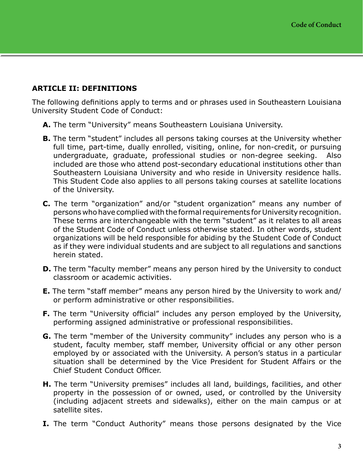## **ARTICLE II: DEFINITIONS**

The following definitions apply to terms and or phrases used in Southeastern Louisiana University Student Code of Conduct:

- **A.** The term "University" means Southeastern Louisiana University.
- **B.** The term "student" includes all persons taking courses at the University whether full time, part-time, dually enrolled, visiting, online, for non-credit, or pursuing undergraduate, graduate, professional studies or non-degree seeking. Also included are those who attend post-secondary educational institutions other than Southeastern Louisiana University and who reside in University residence halls. This Student Code also applies to all persons taking courses at satellite locations of the University.
- **C.** The term "organization" and/or "student organization" means any number of persons who have complied with the formal requirements for University recognition. These terms are interchangeable with the term "student" as it relates to all areas of the Student Code of Conduct unless otherwise stated. In other words, student organizations will be held responsible for abiding by the Student Code of Conduct as if they were individual students and are subject to all regulations and sanctions herein stated.
- **D.** The term "faculty member" means any person hired by the University to conduct classroom or academic activities.
- **E.** The term "staff member" means any person hired by the University to work and/ or perform administrative or other responsibilities.
- **F.** The term "University official" includes any person employed by the University, performing assigned administrative or professional responsibilities.
- **G.** The term "member of the University community" includes any person who is a student, faculty member, staff member, University official or any other person employed by or associated with the University. A person's status in a particular situation shall be determined by the Vice President for Student Affairs or the Chief Student Conduct Officer.
- **H.** The term "University premises" includes all land, buildings, facilities, and other property in the possession of or owned, used, or controlled by the University (including adjacent streets and sidewalks), either on the main campus or at satellite sites.
- **I.** The term "Conduct Authority" means those persons designated by the Vice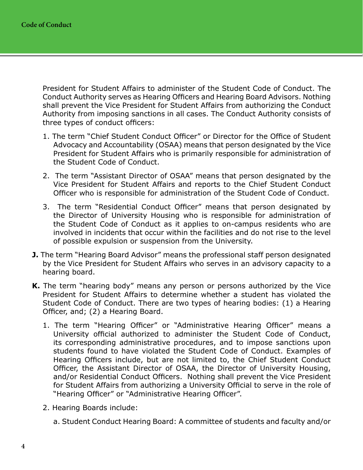President for Student Affairs to administer of the Student Code of Conduct. The Conduct Authority serves as Hearing Officers and Hearing Board Advisors. Nothing shall prevent the Vice President for Student Affairs from authorizing the Conduct Authority from imposing sanctions in all cases. The Conduct Authority consists of three types of conduct officers:

- 1. The term "Chief Student Conduct Officer" or Director for the Office of Student Advocacy and Accountability (OSAA) means that person designated by the Vice President for Student Affairs who is primarily responsible for administration of the Student Code of Conduct.
- 2. The term "Assistant Director of OSAA" means that person designated by the Vice President for Student Affairs and reports to the Chief Student Conduct Officer who is responsible for administration of the Student Code of Conduct.
- 3. The term "Residential Conduct Officer" means that person designated by the Director of University Housing who is responsible for administration of the Student Code of Conduct as it applies to on-campus residents who are involved in incidents that occur within the facilities and do not rise to the level of possible expulsion or suspension from the University.
- **J.** The term "Hearing Board Advisor" means the professional staff person designated by the Vice President for Student Affairs who serves in an advisory capacity to a hearing board.
- **K.** The term "hearing body" means any person or persons authorized by the Vice President for Student Affairs to determine whether a student has violated the Student Code of Conduct. There are two types of hearing bodies: (1) a Hearing Officer, and; (2) a Hearing Board.
	- 1. The term "Hearing Officer" or "Administrative Hearing Officer" means a University official authorized to administer the Student Code of Conduct, its corresponding administrative procedures, and to impose sanctions upon students found to have violated the Student Code of Conduct. Examples of Hearing Officers include, but are not limited to, the Chief Student Conduct Officer, the Assistant Director of OSAA, the Director of University Housing, and/or Residential Conduct Officers. Nothing shall prevent the Vice President for Student Affairs from authorizing a University Official to serve in the role of "Hearing Officer" or "Administrative Hearing Officer".
	- 2. Hearing Boards include:
		- a. Student Conduct Hearing Board: A committee of students and faculty and/or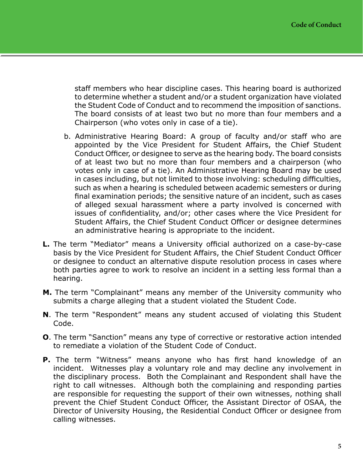staff members who hear discipline cases. This hearing board is authorized to determine whether a student and/or a student organization have violated the Student Code of Conduct and to recommend the imposition of sanctions. The board consists of at least two but no more than four members and a Chairperson (who votes only in case of a tie).

- b. Administrative Hearing Board: A group of faculty and/or staff who are appointed by the Vice President for Student Affairs, the Chief Student Conduct Officer, or designee to serve as the hearing body. The board consists of at least two but no more than four members and a chairperson (who votes only in case of a tie). An Administrative Hearing Board may be used in cases including, but not limited to those involving: scheduling difficulties, such as when a hearing is scheduled between academic semesters or during final examination periods; the sensitive nature of an incident, such as cases of alleged sexual harassment where a party involved is concerned with issues of confidentiality, and/or; other cases where the Vice President for Student Affairs, the Chief Student Conduct Officer or designee determines an administrative hearing is appropriate to the incident.
- **L.** The term "Mediator" means a University official authorized on a case-by-case basis by the Vice President for Student Affairs, the Chief Student Conduct Officer or designee to conduct an alternative dispute resolution process in cases where both parties agree to work to resolve an incident in a setting less formal than a hearing.
- **M.** The term "Complainant" means any member of the University community who submits a charge alleging that a student violated the Student Code.
- **N**. The term "Respondent" means any student accused of violating this Student Code.
- **O**. The term "Sanction" means any type of corrective or restorative action intended to remediate a violation of the Student Code of Conduct.
- **P.** The term "Witness" means anyone who has first hand knowledge of an incident. Witnesses play a voluntary role and may decline any involvement in the disciplinary process. Both the Complainant and Respondent shall have the right to call witnesses. Although both the complaining and responding parties are responsible for requesting the support of their own witnesses, nothing shall prevent the Chief Student Conduct Officer, the Assistant Director of OSAA, the Director of University Housing, the Residential Conduct Officer or designee from calling witnesses.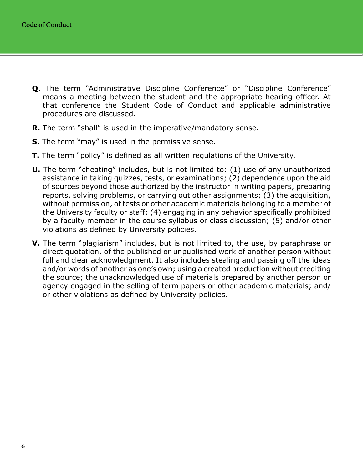- **Q**. The term "Administrative Discipline Conference" or "Discipline Conference" means a meeting between the student and the appropriate hearing officer. At that conference the Student Code of Conduct and applicable administrative procedures are discussed.
- **R.** The term "shall" is used in the imperative/mandatory sense.
- **S.** The term "may" is used in the permissive sense.
- **T.** The term "policy" is defined as all written regulations of the University.
- **U.** The term "cheating" includes, but is not limited to: (1) use of any unauthorized assistance in taking quizzes, tests, or examinations; (2) dependence upon the aid of sources beyond those authorized by the instructor in writing papers, preparing reports, solving problems, or carrying out other assignments; (3) the acquisition, without permission, of tests or other academic materials belonging to a member of the University faculty or staff; (4) engaging in any behavior specifically prohibited by a faculty member in the course syllabus or class discussion; (5) and/or other violations as defined by University policies.
- **V.** The term "plagiarism" includes, but is not limited to, the use, by paraphrase or direct quotation, of the published or unpublished work of another person without full and clear acknowledgment. It also includes stealing and passing off the ideas and/or words of another as one's own; using a created production without crediting the source; the unacknowledged use of materials prepared by another person or agency engaged in the selling of term papers or other academic materials; and/ or other violations as defined by University policies.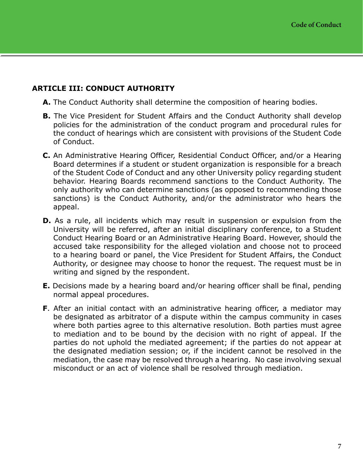## <span id="page-8-0"></span>**ARTICLE III: CONDUCT AUTHORITY**

- **A.** The Conduct Authority shall determine the composition of hearing bodies.
- **B.** The Vice President for Student Affairs and the Conduct Authority shall develop policies for the administration of the conduct program and procedural rules for the conduct of hearings which are consistent with provisions of the Student Code of Conduct.
- **C.** An Administrative Hearing Officer, Residential Conduct Officer, and/or a Hearing Board determines if a student or student organization is responsible for a breach of the Student Code of Conduct and any other University policy regarding student behavior. Hearing Boards recommend sanctions to the Conduct Authority. The only authority who can determine sanctions (as opposed to recommending those sanctions) is the Conduct Authority, and/or the administrator who hears the appeal.
- **D.** As a rule, all incidents which may result in suspension or expulsion from the University will be referred, after an initial disciplinary conference, to a Student Conduct Hearing Board or an Administrative Hearing Board. However, should the accused take responsibility for the alleged violation and choose not to proceed to a hearing board or panel, the Vice President for Student Affairs, the Conduct Authority, or designee may choose to honor the request. The request must be in writing and signed by the respondent.
- **E.** Decisions made by a hearing board and/or hearing officer shall be final, pending normal appeal procedures.
- **F**. After an initial contact with an administrative hearing officer, a mediator may be designated as arbitrator of a dispute within the campus community in cases where both parties agree to this alternative resolution. Both parties must agree to mediation and to be bound by the decision with no right of appeal. If the parties do not uphold the mediated agreement; if the parties do not appear at the designated mediation session; or, if the incident cannot be resolved in the mediation, the case may be resolved through a hearing. No case involving sexual misconduct or an act of violence shall be resolved through mediation.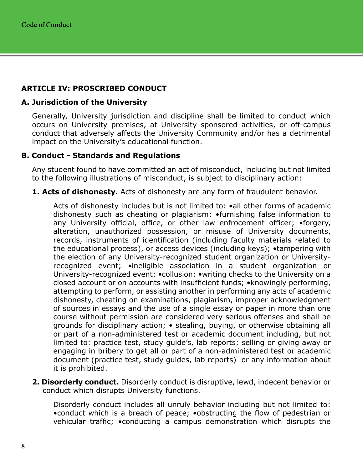# <span id="page-9-0"></span>**ARTICLE IV: PROSCRIBED CONDUCT**

### **A. Jurisdiction of the University**

Generally, University jurisdiction and discipline shall be limited to conduct which occurs on University premises, at University sponsored activities, or off-campus conduct that adversely affects the University Community and/or has a detrimental impact on the University's educational function.

### **B. Conduct - Standards and Regulations**

Any student found to have committed an act of misconduct, including but not limited to the following illustrations of misconduct, is subject to disciplinary action:

**1. Acts of dishonesty.** Acts of dishonesty are any form of fraudulent behavior.

Acts of dishonesty includes but is not limited to: •all other forms of academic dishonesty such as cheating or plagiarism; •furnishing false information to any University official, office, or other law enfrocement officer; •forgery, alteration, unauthorized possession, or misuse of University documents, records, instruments of identification (including faculty materials related to the educational process), or access devices (including keys); •tampering with the election of any University-recognized student organization or Universityrecognized event; •ineligible association in a student organization or University-recognized event; •collusion; •writing checks to the University on a closed account or on accounts with insufficient funds; •knowingly performing, attempting to perform, or assisting another in performing any acts of academic dishonesty, cheating on examinations, plagiarism, improper acknowledgment of sources in essays and the use of a single essay or paper in more than one course without permission are considered very serious offenses and shall be grounds for disciplinary action; • stealing, buying, or otherwise obtaining all or part of a non-administered test or academic document including, but not limited to: practice test, study guide's, lab reports; selling or giving away or engaging in bribery to get all or part of a non-administered test or academic document (practice test, study guides, lab reports) or any information about it is prohibited.

**2. Disorderly conduct.** Disorderly conduct is disruptive, lewd, indecent behavior or conduct which disrupts University functions.

Disorderly conduct includes all unruly behavior including but not limited to: •conduct which is a breach of peace; •obstructing the flow of pedestrian or vehicular traffic; •conducting a campus demonstration which disrupts the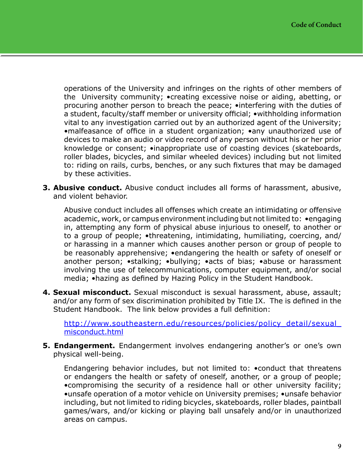operations of the University and infringes on the rights of other members of the University community; •creating excessive noise or aiding, abetting, or procuring another person to breach the peace; •interfering with the duties of a student, faculty/staff member or university official; •withholding information vital to any investigation carried out by an authorized agent of the University; •malfeasance of office in a student organization; •any unauthorized use of devices to make an audio or video record of any person without his or her prior knowledge or consent; •inappropriate use of coasting devices (skateboards, roller blades, bicycles, and similar wheeled devices) including but not limited to: riding on rails, curbs, benches, or any such fixtures that may be damaged by these activities.

**3. Abusive conduct.** Abusive conduct includes all forms of harassment, abusive, and violent behavior.

Abusive conduct includes all offenses which create an intimidating or offensive academic, work, or campus environment including but not limited to: •engaging in, attempting any form of physical abuse injurious to oneself, to another or to a group of people; •threatening, intimidating, humiliating, coercing, and/ or harassing in a manner which causes another person or group of people to be reasonably apprehensive; •endangering the health or safety of oneself or another person; •stalking; •bullying; •acts of bias; •abuse or harassment involving the use of telecommunications, computer equipment, and/or social media; •hazing as defined by Hazing Policy in the Student Handbook.

**4. Sexual misconduct.** Sexual misconduct is sexual harassment, abuse, assault; and/or any form of sex discrimination prohibited by Title IX. The is defined in the Student Handbook. The link below provides a full definition:

http://www.southeastern.edu/resources/policies/policy\_detail/sexual [misconduct.html](http://www.southeastern.edu/resources/policies/policy_detail/sexual_misconduct.html)

**5. Endangerment.** Endangerment involves endangering another's or one's own physical well-being.

Endangering behavior includes, but not limited to: •conduct that threatens or endangers the health or safety of oneself, another, or a group of people; •compromising the security of a residence hall or other university facility; •unsafe operation of a motor vehicle on University premises; •unsafe behavior including, but not limited to riding bicycles, skateboards, roller blades, paintball games/wars, and/or kicking or playing ball unsafely and/or in unauthorized areas on campus.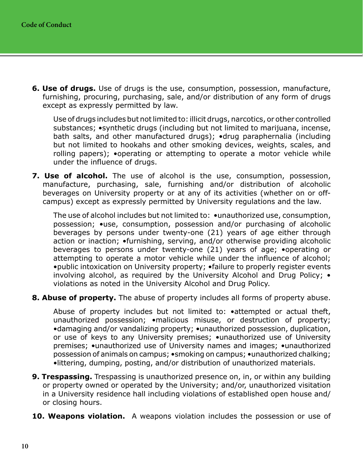**6. Use of drugs.** Use of drugs is the use, consumption, possession, manufacture, furnishing, procuring, purchasing, sale, and/or distribution of any form of drugs except as expressly permitted by law.

Use of drugs includes but not limited to: illicit drugs, narcotics, or other controlled substances; •synthetic drugs (including but not limited to marijuana, incense, bath salts, and other manufactured drugs); •drug paraphernalia (including but not limited to hookahs and other smoking devices, weights, scales, and rolling papers); •operating or attempting to operate a motor vehicle while under the influence of drugs.

**7. Use of alcohol.** The use of alcohol is the use, consumption, possession, manufacture, purchasing, sale, furnishing and/or distribution of alcoholic beverages on University property or at any of its activities (whether on or offcampus) except as expressly permitted by University regulations and the law.

The use of alcohol includes but not limited to:  $\bullet$ unauthorized use, consumption, possession; •use, consumption, possession and/or purchasing of alcoholic beverages by persons under twenty-one (21) years of age either through action or inaction; •furnishing, serving, and/or otherwise providing alcoholic beverages to persons under twenty-one (21) years of age; •operating or attempting to operate a motor vehicle while under the influence of alcohol; •public intoxication on University property; •failure to properly register events involving alcohol, as required by the University Alcohol and Drug Policy; • violations as noted in the University Alcohol and Drug Policy.

**8. Abuse of property.** The abuse of property includes all forms of property abuse.

Abuse of property includes but not limited to: •attempted or actual theft, unauthorized possession; •malicious misuse, or destruction of property; •damaging and/or vandalizing property; •unauthorized possession, duplication, or use of keys to any University premises; •unauthorized use of University premises; •unauthorized use of University names and images; •unauthorized possession of animals on campus; •smoking on campus; •unauthorized chalking; •littering, dumping, posting, and/or distribution of unauthorized materials.

- **9. Trespassing.** Trespassing is unauthorized presence on, in, or within any building or property owned or operated by the University; and/or, unauthorized visitation in a University residence hall including violations of established open house and/ or closing hours.
- **10. Weapons violation.** A weapons violation includes the possession or use of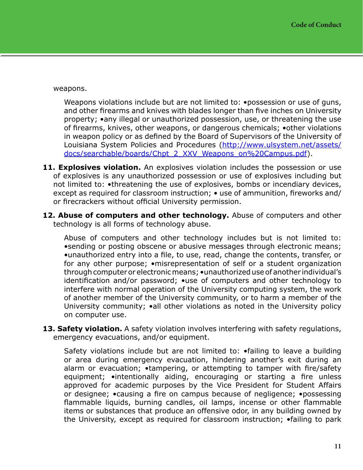weapons.

Weapons violations include but are not limited to: . possession or use of guns, and other firearms and knives with blades longer than five inches on University property; •any illegal or unauthorized possession, use, or threatening the use of firearms, knives, other weapons, or dangerous chemicals; •other violations in weapon policy or as defined by the Board of Supervisors of the University of Louisiana System Policies and Procedures [\(http://www.ulsystem.net/assets/](http://www.ulsystem.net/assets/docs/searchable/boards/Chpt_2_XXV_Weapons_on%20Campus.pdf) [docs/searchable/boards/Chpt\\_2\\_XXV\\_Weapons\\_on%20Campus.pdf](http://www.ulsystem.net/assets/docs/searchable/boards/Chpt_2_XXV_Weapons_on%20Campus.pdf)).

- 11. Explosives violation. An explosives violation includes the possession or use of explosives is any unauthorized possession or use of explosives including but not limited to: •threatening the use of explosives, bombs or incendiary devices, except as required for classroom instruction; • use of ammunition, fireworks and/ or firecrackers without official University permission.
- **12. Abuse of computers and other technology.** Abuse of computers and other technology is all forms of technology abuse.

Abuse of computers and other technology includes but is not limited to: •sending or posting obscene or abusive messages through electronic means; •unauthorized entry into a file, to use, read, change the contents, transfer, or for any other purpose; •misrepresentation of self or a student organization through computer or electronic means; •unauthorized use of another individual's identification and/or password; •use of computers and other technology to interfere with normal operation of the University computing system, the work of another member of the University community, or to harm a member of the University community; •all other violations as noted in the University policy on computer use.

**13. Safety violation.** A safety violation involves interfering with safety regulations, emergency evacuations, and/or equipment.

Safety violations include but are not limited to: •failing to leave a building or area during emergency evacuation, hindering another's exit during an alarm or evacuation; •tampering, or attempting to tamper with fire/safety equipment; •intentionally aiding, encouraging or starting a fire unless approved for academic purposes by the Vice President for Student Affairs or designee; •causing a fire on campus because of negligence; •possessing flammable liquids, burning candles, oil lamps, incense or other flammable items or substances that produce an offensive odor, in any building owned by the University, except as required for classroom instruction; •failing to park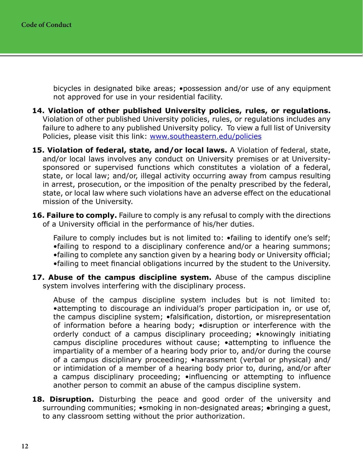bicycles in designated bike areas; •possession and/or use of any equipment not approved for use in your residential facility.

- **14. Violation of other published University policies, rules, or regulations.** Violation of other published University policies, rules, or regulations includes any failure to adhere to any published University policy. To view a full list of University Policies, please visit this link: [www.southeastern.edu/policies](http://www.southeastern.edu/policies)
- **15. Violation of federal, state, and/or local laws.** A Violation of federal, state, and/or local laws involves any conduct on University premises or at Universitysponsored or supervised functions which constitutes a violation of a federal, state, or local law; and/or, illegal activity occurring away from campus resulting in arrest, prosecution, or the imposition of the penalty prescribed by the federal, state, or local law where such violations have an adverse effect on the educational mission of the University.
- **16. Failure to comply.** Failure to comply is any refusal to comply with the directions of a University official in the performance of his/her duties.

Failure to comply includes but is not limited to:  $\bullet$  failing to identify one's self; •failing to respond to a disciplinary conference and/or a hearing summons; •failing to complete any sanction given by a hearing body or University official;

- •failing to meet financial obligations incurred by the student to the University.
- **17. Abuse of the campus discipline system.** Abuse of the campus discipline system involves interfering with the disciplinary process.

Abuse of the campus discipline system includes but is not limited to: •attempting to discourage an individual's proper participation in, or use of, the campus discipline system; •falsification, distortion, or misrepresentation of information before a hearing body; •disruption or interference with the orderly conduct of a campus disciplinary proceeding; •knowingly initiating campus discipline procedures without cause; •attempting to influence the impartiality of a member of a hearing body prior to, and/or during the course of a campus disciplinary proceeding; •harassment (verbal or physical) and/ or intimidation of a member of a hearing body prior to, during, and/or after a campus disciplinary proceeding; •influencing or attempting to influence another person to commit an abuse of the campus discipline system.

**18. Disruption.** Disturbing the peace and good order of the university and surrounding communities; •smoking in non-designated areas; ●bringing a guest, to any classroom setting without the prior authorization.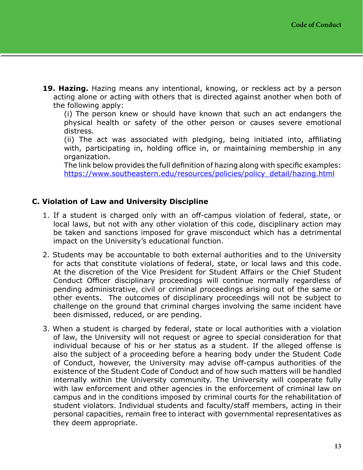<span id="page-14-0"></span>**19. Hazing.** Hazing means any intentional, knowing, or reckless act by a person acting alone or acting with others that is directed against another when both of the following apply:

(i) The person knew or should have known that such an act endangers the physical health or safety of the other person or causes severe emotional distress.

(ii) The act was associated with pledging, being initiated into, affiliating with, participating in, holding office in, or maintaining membership in any organization.

The link below provides the full definition of hazing along with specific examples: [https://www.southeastern.edu/resources/policies/policy\\_detail/hazing.html](https://www.southeastern.edu/resources/policies/policy_detail/hazing.html)

# **C. Violation of Law and University Discipline**

- 1. If a student is charged only with an off-campus violation of federal, state, or local laws, but not with any other violation of this code, disciplinary action may be taken and sanctions imposed for grave misconduct which has a detrimental impact on the University's educational function.
- 2. Students may be accountable to both external authorities and to the University for acts that constitute violations of federal, state, or local laws and this code. At the discretion of the Vice President for Student Affairs or the Chief Student Conduct Officer disciplinary proceedings will continue normally regardless of pending administrative, civil or criminal proceedings arising out of the same or other events. The outcomes of disciplinary proceedings will not be subject to challenge on the ground that criminal charges involving the same incident have been dismissed, reduced, or are pending.
- 3. When a student is charged by federal, state or local authorities with a violation of law, the University will not request or agree to special consideration for that individual because of his or her status as a student. If the alleged offense is also the subject of a proceeding before a hearing body under the Student Code of Conduct, however, the University may advise off-campus authorities of the existence of the Student Code of Conduct and of how such matters will be handled internally within the University community. The University will cooperate fully with law enforcement and other agencies in the enforcement of criminal law on campus and in the conditions imposed by criminal courts for the rehabilitation of student violators. Individual students and faculty/staff members, acting in their personal capacities, remain free to interact with governmental representatives as they deem appropriate.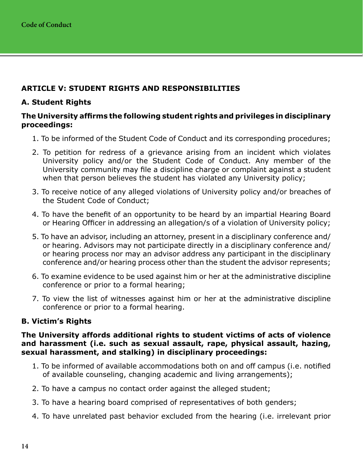# <span id="page-15-0"></span>**ARTICLE V: STUDENT RIGHTS AND RESPONSIBILITIES**

# **A. Student Rights**

### **The University affirms the following student rights and privileges in disciplinary proceedings:**

- 1. To be informed of the Student Code of Conduct and its corresponding procedures;
- 2. To petition for redress of a grievance arising from an incident which violates University policy and/or the Student Code of Conduct. Any member of the University community may file a discipline charge or complaint against a student when that person believes the student has violated any University policy;
- 3. To receive notice of any alleged violations of University policy and/or breaches of the Student Code of Conduct;
- 4. To have the benefit of an opportunity to be heard by an impartial Hearing Board or Hearing Officer in addressing an allegation/s of a violation of University policy;
- 5. To have an advisor, including an attorney, present in a disciplinary conference and/ or hearing. Advisors may not participate directly in a disciplinary conference and/ or hearing process nor may an advisor address any participant in the disciplinary conference and/or hearing process other than the student the advisor represents;
- 6. To examine evidence to be used against him or her at the administrative discipline conference or prior to a formal hearing;
- 7. To view the list of witnesses against him or her at the administrative discipline conference or prior to a formal hearing.

# **B. Victim's Rights**

#### **The University affords additional rights to student victims of acts of violence and harassment (i.e. such as sexual assault, rape, physical assault, hazing, sexual harassment, and stalking) in disciplinary proceedings:**

- 1. To be informed of available accommodations both on and off campus (i.e. notified of available counseling, changing academic and living arrangements);
- 2. To have a campus no contact order against the alleged student;
- 3. To have a hearing board comprised of representatives of both genders;
- 4. To have unrelated past behavior excluded from the hearing (i.e. irrelevant prior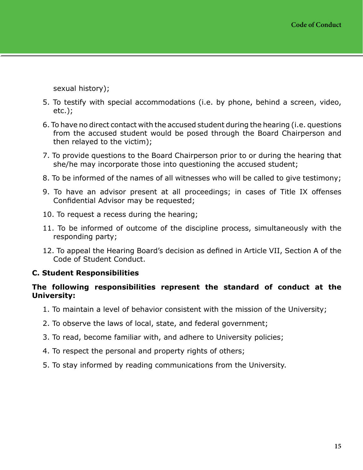<span id="page-16-0"></span>sexual history);

- 5. To testify with special accommodations (i.e. by phone, behind a screen, video, etc.);
- 6. To have no direct contact with the accused student during the hearing (i.e. questions from the accused student would be posed through the Board Chairperson and then relayed to the victim);
- 7. To provide questions to the Board Chairperson prior to or during the hearing that she/he may incorporate those into questioning the accused student;
- 8. To be informed of the names of all witnesses who will be called to give testimony;
- 9. To have an advisor present at all proceedings; in cases of Title IX offenses Confidential Advisor may be requested;
- 10. To request a recess during the hearing;
- 11. To be informed of outcome of the discipline process, simultaneously with the responding party;
- 12. To appeal the Hearing Board's decision as defined in Article VII, Section A of the Code of Student Conduct.

### **C. Student Responsibilities**

#### **The following responsibilities represent the standard of conduct at the University:**

- 1. To maintain a level of behavior consistent with the mission of the University;
- 2. To observe the laws of local, state, and federal government;
- 3. To read, become familiar with, and adhere to University policies;
- 4. To respect the personal and property rights of others;
- 5. To stay informed by reading communications from the University.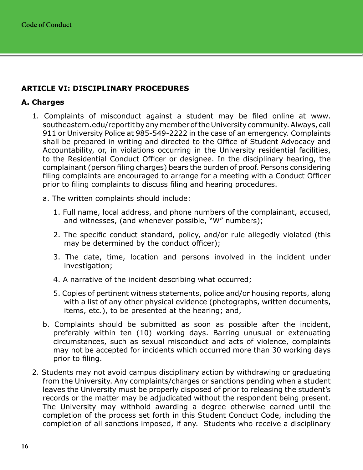# <span id="page-17-0"></span>**ARTICLE VI: DISCIPLINARY PROCEDURES**

## **A. Charges**

- 1. Complaints of misconduct against a student may be filed online at www. southeastern.edu/reportit by any member of the University community. Always, call 911 or University Police at 985-549-2222 in the case of an emergency. Complaints shall be prepared in writing and directed to the Office of Student Advocacy and Accountability, or, in violations occurring in the University residential facilities, to the Residential Conduct Officer or designee. In the disciplinary hearing, the complainant (person filing charges) bears the burden of proof. Persons considering filing complaints are encouraged to arrange for a meeting with a Conduct Officer prior to filing complaints to discuss filing and hearing procedures.
	- a. The written complaints should include:
		- 1. Full name, local address, and phone numbers of the complainant, accused, and witnesses, (and whenever possible, "W" numbers);
		- 2. The specific conduct standard, policy, and/or rule allegedly violated (this may be determined by the conduct officer);
		- 3. The date, time, location and persons involved in the incident under investigation;
		- 4. A narrative of the incident describing what occurred;
		- 5. Copies of pertinent witness statements, police and/or housing reports, along with a list of any other physical evidence (photographs, written documents, items, etc.), to be presented at the hearing; and,
	- b. Complaints should be submitted as soon as possible after the incident, preferably within ten (10) working days. Barring unusual or extenuating circumstances, such as sexual misconduct and acts of violence, complaints may not be accepted for incidents which occurred more than 30 working days prior to filing.
- 2. Students may not avoid campus disciplinary action by withdrawing or graduating from the University. Any complaints/charges or sanctions pending when a student leaves the University must be properly disposed of prior to releasing the student's records or the matter may be adjudicated without the respondent being present. The University may withhold awarding a degree otherwise earned until the completion of the process set forth in this Student Conduct Code, including the completion of all sanctions imposed, if any. Students who receive a disciplinary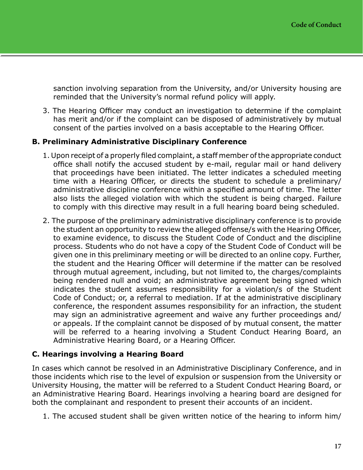<span id="page-18-0"></span>sanction involving separation from the University, and/or University housing are reminded that the University's normal refund policy will apply.

3. The Hearing Officer may conduct an investigation to determine if the complaint has merit and/or if the complaint can be disposed of administratively by mutual consent of the parties involved on a basis acceptable to the Hearing Officer.

### **B. Preliminary Administrative Disciplinary Conference**

- 1. Upon receipt of a properly filed complaint, a staff member of the appropriate conduct office shall notify the accused student by e-mail, regular mail or hand delivery that proceedings have been initiated. The letter indicates a scheduled meeting time with a Hearing Officer, or directs the student to schedule a preliminary/ administrative discipline conference within a specified amount of time. The letter also lists the alleged violation with which the student is being charged. Failure to comply with this directive may result in a full hearing board being scheduled.
- 2. The purpose of the preliminary administrative disciplinary conference is to provide the student an opportunity to review the alleged offense/s with the Hearing Officer, to examine evidence, to discuss the Student Code of Conduct and the discipline process. Students who do not have a copy of the Student Code of Conduct will be given one in this preliminary meeting or will be directed to an online copy. Further, the student and the Hearing Officer will determine if the matter can be resolved through mutual agreement, including, but not limited to, the charges/complaints being rendered null and void; an administrative agreement being signed which indicates the student assumes responsibility for a violation/s of the Student Code of Conduct; or, a referral to mediation. If at the administrative disciplinary conference, the respondent assumes responsibility for an infraction, the student may sign an administrative agreement and waive any further proceedings and/ or appeals. If the complaint cannot be disposed of by mutual consent, the matter will be referred to a hearing involving a Student Conduct Hearing Board, an Administrative Hearing Board, or a Hearing Officer.

# **C. Hearings involving a Hearing Board**

In cases which cannot be resolved in an Administrative Disciplinary Conference, and in those incidents which rise to the level of expulsion or suspension from the University or University Housing, the matter will be referred to a Student Conduct Hearing Board, or an Administrative Hearing Board. Hearings involving a hearing board are designed for both the complainant and respondent to present their accounts of an incident.

1. The accused student shall be given written notice of the hearing to inform him/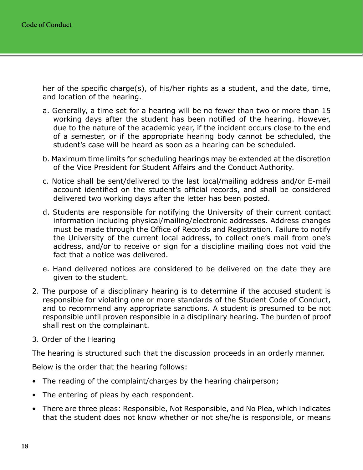her of the specific charge(s), of his/her rights as a student, and the date, time, and location of the hearing.

- a. Generally, a time set for a hearing will be no fewer than two or more than 15 working days after the student has been notified of the hearing. However, due to the nature of the academic year, if the incident occurs close to the end of a semester, or if the appropriate hearing body cannot be scheduled, the student's case will be heard as soon as a hearing can be scheduled.
- b. Maximum time limits for scheduling hearings may be extended at the discretion of the Vice President for Student Affairs and the Conduct Authority.
- c. Notice shall be sent/delivered to the last local/mailing address and/or E-mail account identified on the student's official records, and shall be considered delivered two working days after the letter has been posted.
- d. Students are responsible for notifying the University of their current contact information including physical/mailing/electronic addresses. Address changes must be made through the Office of Records and Registration. Failure to notify the University of the current local address, to collect one's mail from one's address, and/or to receive or sign for a discipline mailing does not void the fact that a notice was delivered.
- e. Hand delivered notices are considered to be delivered on the date they are given to the student.
- 2. The purpose of a disciplinary hearing is to determine if the accused student is responsible for violating one or more standards of the Student Code of Conduct, and to recommend any appropriate sanctions. A student is presumed to be not responsible until proven responsible in a disciplinary hearing. The burden of proof shall rest on the complainant.
- 3. Order of the Hearing

The hearing is structured such that the discussion proceeds in an orderly manner.

Below is the order that the hearing follows:

- The reading of the complaint/charges by the hearing chairperson;
- The entering of pleas by each respondent.
- There are three pleas: Responsible, Not Responsible, and No Plea, which indicates that the student does not know whether or not she/he is responsible, or means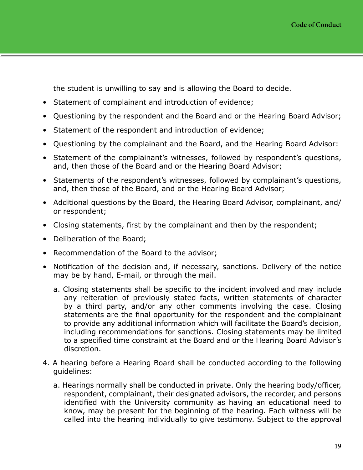the student is unwilling to say and is allowing the Board to decide.

- Statement of complainant and introduction of evidence;
- Questioning by the respondent and the Board and or the Hearing Board Advisor;
- Statement of the respondent and introduction of evidence;
- Questioning by the complainant and the Board, and the Hearing Board Advisor:
- Statement of the complainant's witnesses, followed by respondent's questions, and, then those of the Board and or the Hearing Board Advisor;
- Statements of the respondent's witnesses, followed by complainant's questions, and, then those of the Board, and or the Hearing Board Advisor;
- Additional questions by the Board, the Hearing Board Advisor, complainant, and/ or respondent;
- Closing statements, first by the complainant and then by the respondent;
- Deliberation of the Board;
- Recommendation of the Board to the advisor;
- Notification of the decision and, if necessary, sanctions. Delivery of the notice may be by hand, E-mail, or through the mail.
	- a. Closing statements shall be specific to the incident involved and may include any reiteration of previously stated facts, written statements of character by a third party, and/or any other comments involving the case. Closing statements are the final opportunity for the respondent and the complainant to provide any additional information which will facilitate the Board's decision, including recommendations for sanctions. Closing statements may be limited to a specified time constraint at the Board and or the Hearing Board Advisor's discretion.
- 4. A hearing before a Hearing Board shall be conducted according to the following guidelines:
	- a. Hearings normally shall be conducted in private. Only the hearing body/officer, respondent, complainant, their designated advisors, the recorder, and persons identified with the University community as having an educational need to know, may be present for the beginning of the hearing. Each witness will be called into the hearing individually to give testimony. Subject to the approval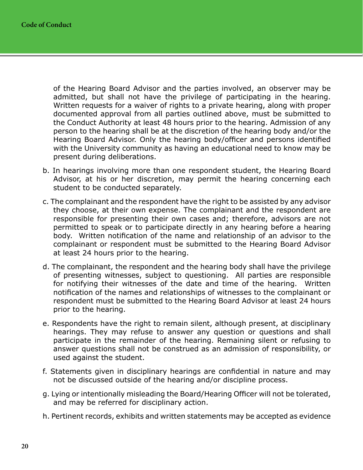of the Hearing Board Advisor and the parties involved, an observer may be admitted, but shall not have the privilege of participating in the hearing. Written requests for a waiver of rights to a private hearing, along with proper documented approval from all parties outlined above, must be submitted to the Conduct Authority at least 48 hours prior to the hearing. Admission of any person to the hearing shall be at the discretion of the hearing body and/or the Hearing Board Advisor. Only the hearing body/officer and persons identified with the University community as having an educational need to know may be present during deliberations.

- b. In hearings involving more than one respondent student, the Hearing Board Advisor, at his or her discretion, may permit the hearing concerning each student to be conducted separately.
- c. The complainant and the respondent have the right to be assisted by any advisor they choose, at their own expense. The complainant and the respondent are responsible for presenting their own cases and; therefore, advisors are not permitted to speak or to participate directly in any hearing before a hearing body. Written notification of the name and relationship of an advisor to the complainant or respondent must be submitted to the Hearing Board Advisor at least 24 hours prior to the hearing.
- d. The complainant, the respondent and the hearing body shall have the privilege of presenting witnesses, subject to questioning. All parties are responsible for notifying their witnesses of the date and time of the hearing. Written notification of the names and relationships of witnesses to the complainant or respondent must be submitted to the Hearing Board Advisor at least 24 hours prior to the hearing.
- e. Respondents have the right to remain silent, although present, at disciplinary hearings. They may refuse to answer any question or questions and shall participate in the remainder of the hearing. Remaining silent or refusing to answer questions shall not be construed as an admission of responsibility, or used against the student.
- f. Statements given in disciplinary hearings are confidential in nature and may not be discussed outside of the hearing and/or discipline process.
- g. Lying or intentionally misleading the Board/Hearing Officer will not be tolerated, and may be referred for disciplinary action.
- h. Pertinent records, exhibits and written statements may be accepted as evidence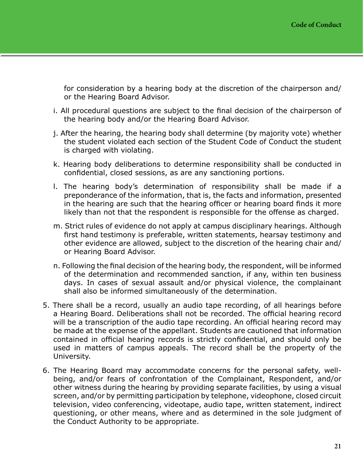for consideration by a hearing body at the discretion of the chairperson and/ or the Hearing Board Advisor.

- i. All procedural questions are subject to the final decision of the chairperson of the hearing body and/or the Hearing Board Advisor.
- j. After the hearing, the hearing body shall determine (by majority vote) whether the student violated each section of the Student Code of Conduct the student is charged with violating.
- k. Hearing body deliberations to determine responsibility shall be conducted in confidential, closed sessions, as are any sanctioning portions.
- l. The hearing body's determination of responsibility shall be made if a preponderance of the information, that is, the facts and information, presented in the hearing are such that the hearing officer or hearing board finds it more likely than not that the respondent is responsible for the offense as charged.
- m. Strict rules of evidence do not apply at campus disciplinary hearings. Although first hand testimony is preferable, written statements, hearsay testimony and other evidence are allowed, subject to the discretion of the hearing chair and/ or Hearing Board Advisor.
- n. Following the final decision of the hearing body, the respondent, will be informed of the determination and recommended sanction, if any, within ten business days. In cases of sexual assault and/or physical violence, the complainant shall also be informed simultaneously of the determination.
- 5. There shall be a record, usually an audio tape recording, of all hearings before a Hearing Board. Deliberations shall not be recorded. The official hearing record will be a transcription of the audio tape recording. An official hearing record may be made at the expense of the appellant. Students are cautioned that information contained in official hearing records is strictly confidential, and should only be used in matters of campus appeals. The record shall be the property of the University.
- 6. The Hearing Board may accommodate concerns for the personal safety, wellbeing, and/or fears of confrontation of the Complainant, Respondent, and/or other witness during the hearing by providing separate facilities, by using a visual screen, and/or by permitting participation by telephone, videophone, closed circuit television, video conferencing, videotape, audio tape, written statement, indirect questioning, or other means, where and as determined in the sole judgment of the Conduct Authority to be appropriate.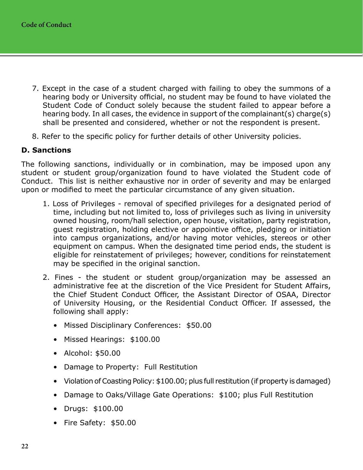- <span id="page-23-0"></span>7. Except in the case of a student charged with failing to obey the summons of a hearing body or University official, no student may be found to have violated the Student Code of Conduct solely because the student failed to appear before a hearing body. In all cases, the evidence in support of the complainant(s) charge(s) shall be presented and considered, whether or not the respondent is present.
- 8. Refer to the specific policy for further details of other University policies.

# **D. Sanctions**

The following sanctions, individually or in combination, may be imposed upon any student or student group/organization found to have violated the Student code of Conduct. This list is neither exhaustive nor in order of severity and may be enlarged upon or modified to meet the particular circumstance of any given situation.

- 1. Loss of Privileges removal of specified privileges for a designated period of time, including but not limited to, loss of privileges such as living in university owned housing, room/hall selection, open house, visitation, party registration, guest registration, holding elective or appointive office, pledging or initiation into campus organizations, and/or having motor vehicles, stereos or other equipment on campus. When the designated time period ends, the student is eligible for reinstatement of privileges; however, conditions for reinstatement may be specified in the original sanction.
- 2. Fines the student or student group/organization may be assessed an administrative fee at the discretion of the Vice President for Student Affairs, the Chief Student Conduct Officer, the Assistant Director of OSAA, Director of University Housing, or the Residential Conduct Officer. If assessed, the following shall apply:
	- Missed Disciplinary Conferences: \$50.00
	- Missed Hearings: \$100.00
	- Alcohol: \$50.00
	- Damage to Property: Full Restitution
	- Violation of Coasting Policy: \$100.00; plus full restitution (if property is damaged)
	- Damage to Oaks/Village Gate Operations: \$100; plus Full Restitution
	- Drugs: \$100.00
	- Fire Safety: \$50.00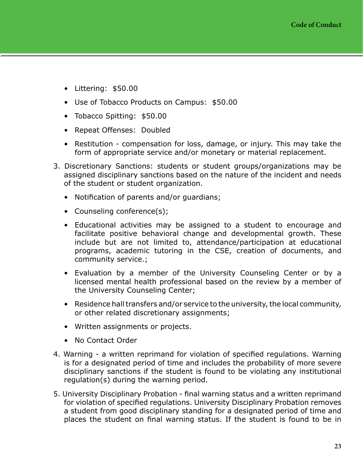- Littering: \$50.00
- Use of Tobacco Products on Campus: \$50.00
- Tobacco Spitting: \$50.00
- Repeat Offenses: Doubled
- Restitution compensation for loss, damage, or injury. This may take the form of appropriate service and/or monetary or material replacement.
- 3. Discretionary Sanctions: students or student groups/organizations may be assigned disciplinary sanctions based on the nature of the incident and needs of the student or student organization.
	- Notification of parents and/or guardians;
	- Counseling conference(s);
	- Educational activities may be assigned to a student to encourage and facilitate positive behavioral change and developmental growth. These include but are not limited to, attendance/participation at educational programs, academic tutoring in the CSE, creation of documents, and community service.;
	- Evaluation by a member of the University Counseling Center or by a licensed mental health professional based on the review by a member of the University Counseling Center;
	- Residence hall transfers and/or service to the university, the local community, or other related discretionary assignments;
	- Written assignments or projects.
	- No Contact Order
- 4. Warning a written reprimand for violation of specified regulations. Warning is for a designated period of time and includes the probability of more severe disciplinary sanctions if the student is found to be violating any institutional regulation(s) during the warning period.
- 5. University Disciplinary Probation final warning status and a written reprimand for violation of specified regulations. University Disciplinary Probation removes a student from good disciplinary standing for a designated period of time and places the student on final warning status. If the student is found to be in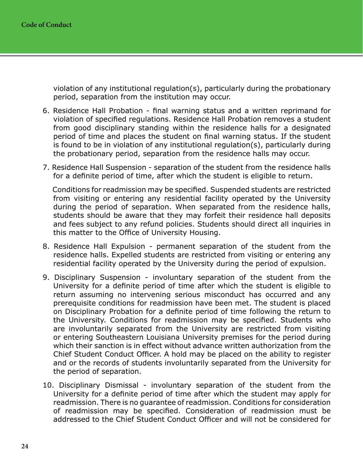violation of any institutional regulation(s), particularly during the probationary period, separation from the institution may occur.

- 6. Residence Hall Probation final warning status and a written reprimand for violation of specified regulations. Residence Hall Probation removes a student from good disciplinary standing within the residence halls for a designated period of time and places the student on final warning status. If the student is found to be in violation of any institutional regulation(s), particularly during the probationary period, separation from the residence halls may occur.
- 7. Residence Hall Suspension separation of the student from the residence halls for a definite period of time, after which the student is eligible to return.

 Conditions for readmission may be specified. Suspended students are restricted from visiting or entering any residential facility operated by the University during the period of separation. When separated from the residence halls, students should be aware that they may forfeit their residence hall deposits and fees subject to any refund policies. Students should direct all inquiries in this matter to the Office of University Housing.

- 8. Residence Hall Expulsion permanent separation of the student from the residence halls. Expelled students are restricted from visiting or entering any residential facility operated by the University during the period of expulsion.
- 9. Disciplinary Suspension involuntary separation of the student from the University for a definite period of time after which the student is eligible to return assuming no intervening serious misconduct has occurred and any prerequisite conditions for readmission have been met. The student is placed on Disciplinary Probation for a definite period of time following the return to the University. Conditions for readmission may be specified. Students who are involuntarily separated from the University are restricted from visiting or entering Southeastern Louisiana University premises for the period during which their sanction is in effect without advance written authorization from the Chief Student Conduct Officer. A hold may be placed on the ability to register and or the records of students involuntarily separated from the University for the period of separation.
- 10. Disciplinary Dismissal involuntary separation of the student from the University for a definite period of time after which the student may apply for readmission. There is no guarantee of readmission. Conditions for consideration of readmission may be specified. Consideration of readmission must be addressed to the Chief Student Conduct Officer and will not be considered for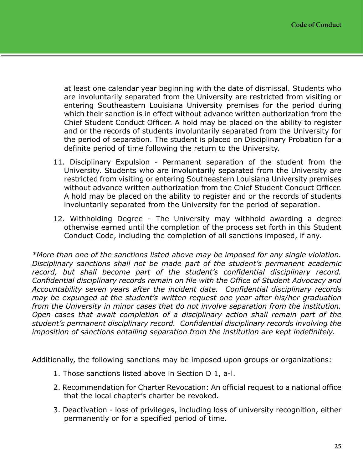at least one calendar year beginning with the date of dismissal. Students who are involuntarily separated from the University are restricted from visiting or entering Southeastern Louisiana University premises for the period during which their sanction is in effect without advance written authorization from the Chief Student Conduct Officer. A hold may be placed on the ability to register and or the records of students involuntarily separated from the University for the period of separation. The student is placed on Disciplinary Probation for a definite period of time following the return to the University.

- 11. Disciplinary Expulsion Permanent separation of the student from the University. Students who are involuntarily separated from the University are restricted from visiting or entering Southeastern Louisiana University premises without advance written authorization from the Chief Student Conduct Officer. A hold may be placed on the ability to register and or the records of students involuntarily separated from the University for the period of separation.
- 12. Withholding Degree The University may withhold awarding a degree otherwise earned until the completion of the process set forth in this Student Conduct Code, including the completion of all sanctions imposed, if any.

*\*More than one of the sanctions listed above may be imposed for any single violation. Disciplinary sanctions shall not be made part of the student's permanent academic record, but shall become part of the student's confidential disciplinary record. Confidential disciplinary records remain on file with the Office of Student Advocacy and Accountability seven years after the incident date. Confidential disciplinary records may be expunged at the student's written request one year after his/her graduation from the University in minor cases that do not involve separation from the institution. Open cases that await completion of a disciplinary action shall remain part of the student's permanent disciplinary record. Confidential disciplinary records involving the imposition of sanctions entailing separation from the institution are kept indefinitely.*

Additionally, the following sanctions may be imposed upon groups or organizations:

- 1. Those sanctions listed above in Section D 1, a-l.
- 2. Recommendation for Charter Revocation: An official request to a national office that the local chapter's charter be revoked.
- 3. Deactivation loss of privileges, including loss of university recognition, either permanently or for a specified period of time.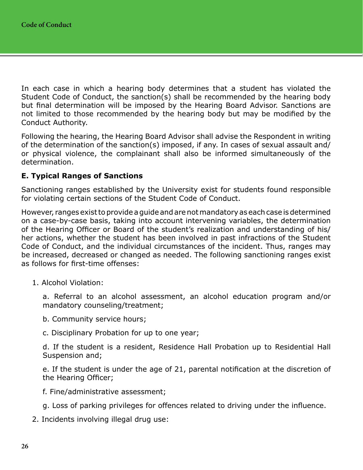<span id="page-27-0"></span>In each case in which a hearing body determines that a student has violated the Student Code of Conduct, the sanction(s) shall be recommended by the hearing body but final determination will be imposed by the Hearing Board Advisor. Sanctions are not limited to those recommended by the hearing body but may be modified by the Conduct Authority.

Following the hearing, the Hearing Board Advisor shall advise the Respondent in writing of the determination of the sanction(s) imposed, if any. In cases of sexual assault and/ or physical violence, the complainant shall also be informed simultaneously of the determination.

# **E. Typical Ranges of Sanctions**

Sanctioning ranges established by the University exist for students found responsible for violating certain sections of the Student Code of Conduct.

However, ranges exist to provide a guide and are not mandatory as each case is determined on a case-by-case basis, taking into account intervening variables, the determination of the Hearing Officer or Board of the student's realization and understanding of his/ her actions, whether the student has been involved in past infractions of the Student Code of Conduct, and the individual circumstances of the incident. Thus, ranges may be increased, decreased or changed as needed. The following sanctioning ranges exist as follows for first-time offenses:

1. Alcohol Violation:

a. Referral to an alcohol assessment, an alcohol education program and/or mandatory counseling/treatment;

- b. Community service hours;
- c. Disciplinary Probation for up to one year;

d. If the student is a resident, Residence Hall Probation up to Residential Hall Suspension and;

e. If the student is under the age of 21, parental notification at the discretion of the Hearing Officer;

- f. Fine/administrative assessment;
- g. Loss of parking privileges for offences related to driving under the influence.
- 2. Incidents involving illegal drug use: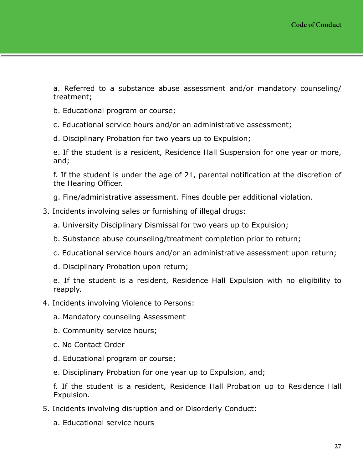a. Referred to a substance abuse assessment and/or mandatory counseling/ treatment;

- b. Educational program or course;
- c. Educational service hours and/or an administrative assessment;
- d. Disciplinary Probation for two years up to Expulsion;

e. If the student is a resident, Residence Hall Suspension for one year or more, and;

f. If the student is under the age of 21, parental notification at the discretion of the Hearing Officer.

- g. Fine/administrative assessment. Fines double per additional violation.
- 3. Incidents involving sales or furnishing of illegal drugs:
	- a. University Disciplinary Dismissal for two years up to Expulsion;
	- b. Substance abuse counseling/treatment completion prior to return;
	- c. Educational service hours and/or an administrative assessment upon return;
	- d. Disciplinary Probation upon return;

e. If the student is a resident, Residence Hall Expulsion with no eligibility to reapply.

#### 4. Incidents involving Violence to Persons:

- a. Mandatory counseling Assessment
- b. Community service hours;
- c. No Contact Order
- d. Educational program or course;
- e. Disciplinary Probation for one year up to Expulsion, and;

f. If the student is a resident, Residence Hall Probation up to Residence Hall Expulsion.

- 5. Incidents involving disruption and or Disorderly Conduct:
	- a. Educational service hours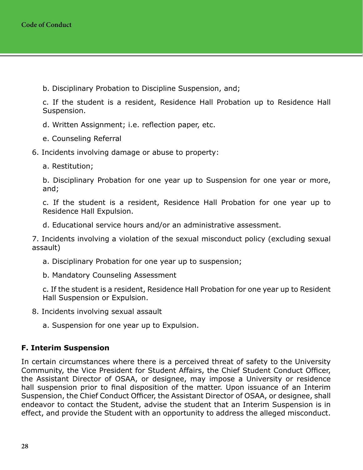<span id="page-29-0"></span>b. Disciplinary Probation to Discipline Suspension, and;

c. If the student is a resident, Residence Hall Probation up to Residence Hall Suspension.

d. Written Assignment; i.e. reflection paper, etc.

e. Counseling Referral

### 6. Incidents involving damage or abuse to property:

a. Restitution;

b. Disciplinary Probation for one year up to Suspension for one year or more, and;

c. If the student is a resident, Residence Hall Probation for one year up to Residence Hall Expulsion.

d. Educational service hours and/or an administrative assessment.

7. Incidents involving a violation of the sexual misconduct policy (excluding sexual assault)

- a. Disciplinary Probation for one year up to suspension;
- b. Mandatory Counseling Assessment

c. If the student is a resident, Residence Hall Probation for one year up to Resident Hall Suspension or Expulsion.

8. Incidents involving sexual assault

a. Suspension for one year up to Expulsion.

### **F. Interim Suspension**

In certain circumstances where there is a perceived threat of safety to the University Community, the Vice President for Student Affairs, the Chief Student Conduct Officer, the Assistant Director of OSAA, or designee, may impose a University or residence hall suspension prior to final disposition of the matter. Upon issuance of an Interim Suspension, the Chief Conduct Officer, the Assistant Director of OSAA, or designee, shall endeavor to contact the Student, advise the student that an Interim Suspension is in effect, and provide the Student with an opportunity to address the alleged misconduct.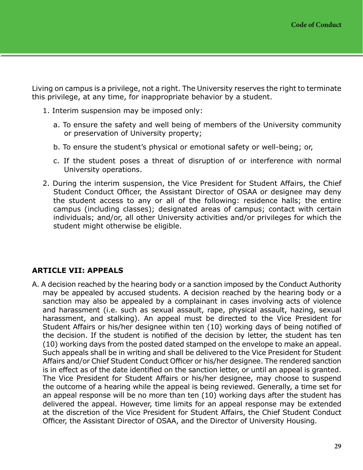<span id="page-30-0"></span>Living on campus is a privilege, not a right. The University reserves the right to terminate this privilege, at any time, for inappropriate behavior by a student.

- 1. Interim suspension may be imposed only:
	- a. To ensure the safety and well being of members of the University community or preservation of University property;
	- b. To ensure the student's physical or emotional safety or well-being; or,
	- c. If the student poses a threat of disruption of or interference with normal University operations.
- 2. During the interim suspension, the Vice President for Student Affairs, the Chief Student Conduct Officer, the Assistant Director of OSAA or designee may deny the student access to any or all of the following: residence halls; the entire campus (including classes); designated areas of campus; contact with certain individuals; and/or, all other University activities and/or privileges for which the student might otherwise be eligible.

# **ARTICLE VII: APPEALS**

A. A decision reached by the hearing body or a sanction imposed by the Conduct Authority may be appealed by accused students. A decision reached by the hearing body or a sanction may also be appealed by a complainant in cases involving acts of violence and harassment (i.e. such as sexual assault, rape, physical assault, hazing, sexual harassment, and stalking). An appeal must be directed to the Vice President for Student Affairs or his/her designee within ten (10) working days of being notified of the decision. If the student is notified of the decision by letter, the student has ten (10) working days from the posted dated stamped on the envelope to make an appeal. Such appeals shall be in writing and shall be delivered to the Vice President for Student Affairs and/or Chief Student Conduct Officer or his/her designee. The rendered sanction is in effect as of the date identified on the sanction letter, or until an appeal is granted. The Vice President for Student Affairs or his/her designee, may choose to suspend the outcome of a hearing while the appeal is being reviewed. Generally, a time set for an appeal response will be no more than ten (10) working days after the student has delivered the appeal. However, time limits for an appeal response may be extended at the discretion of the Vice President for Student Affairs, the Chief Student Conduct Officer, the Assistant Director of OSAA, and the Director of University Housing.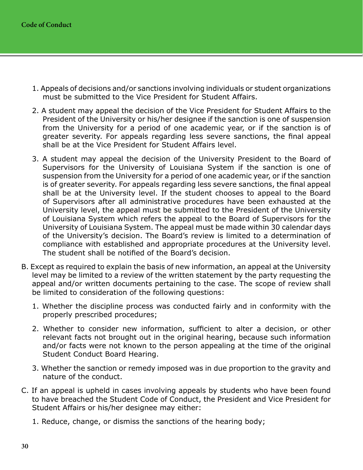- 1. Appeals of decisions and/or sanctions involving individuals or student organizations must be submitted to the Vice President for Student Affairs.
- 2. A student may appeal the decision of the Vice President for Student Affairs to the President of the University or his/her designee if the sanction is one of suspension from the University for a period of one academic year, or if the sanction is of greater severity. For appeals regarding less severe sanctions, the final appeal shall be at the Vice President for Student Affairs level.
- 3. A student may appeal the decision of the University President to the Board of Supervisors for the University of Louisiana System if the sanction is one of suspension from the University for a period of one academic year, or if the sanction is of greater severity. For appeals regarding less severe sanctions, the final appeal shall be at the University level. If the student chooses to appeal to the Board of Supervisors after all administrative procedures have been exhausted at the University level, the appeal must be submitted to the President of the University of Louisiana System which refers the appeal to the Board of Supervisors for the University of Louisiana System. The appeal must be made within 30 calendar days of the University's decision. The Board's review is limited to a determination of compliance with established and appropriate procedures at the University level. The student shall be notified of the Board's decision.
- B. Except as required to explain the basis of new information, an appeal at the University level may be limited to a review of the written statement by the party requesting the appeal and/or written documents pertaining to the case. The scope of review shall be limited to consideration of the following questions:
	- 1. Whether the discipline process was conducted fairly and in conformity with the properly prescribed procedures;
	- 2. Whether to consider new information, sufficient to alter a decision, or other relevant facts not brought out in the original hearing, because such information and/or facts were not known to the person appealing at the time of the original Student Conduct Board Hearing.
	- 3. Whether the sanction or remedy imposed was in due proportion to the gravity and nature of the conduct.
- C. If an appeal is upheld in cases involving appeals by students who have been found to have breached the Student Code of Conduct, the President and Vice President for Student Affairs or his/her designee may either:
	- 1. Reduce, change, or dismiss the sanctions of the hearing body;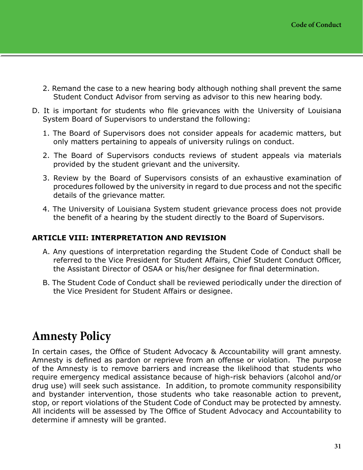- <span id="page-32-0"></span>2. Remand the case to a new hearing body although nothing shall prevent the same Student Conduct Advisor from serving as advisor to this new hearing body.
- D. It is important for students who file grievances with the University of Louisiana System Board of Supervisors to understand the following:
	- 1. The Board of Supervisors does not consider appeals for academic matters, but only matters pertaining to appeals of university rulings on conduct.
	- 2. The Board of Supervisors conducts reviews of student appeals via materials provided by the student grievant and the university.
	- 3. Review by the Board of Supervisors consists of an exhaustive examination of procedures followed by the university in regard to due process and not the specific details of the grievance matter.
	- 4. The University of Louisiana System student grievance process does not provide the benefit of a hearing by the student directly to the Board of Supervisors.

# **ARTICLE VIII: INTERPRETATION AND REVISION**

- A. Any questions of interpretation regarding the Student Code of Conduct shall be referred to the Vice President for Student Affairs, Chief Student Conduct Officer, the Assistant Director of OSAA or his/her designee for final determination.
- B. The Student Code of Conduct shall be reviewed periodically under the direction of the Vice President for Student Affairs or designee.

# **Amnesty Policy**

In certain cases, the Office of Student Advocacy & Accountability will grant amnesty. Amnesty is defined as pardon or reprieve from an offense or violation. The purpose of the Amnesty is to remove barriers and increase the likelihood that students who require emergency medical assistance because of high-risk behaviors (alcohol and/or drug use) will seek such assistance. In addition, to promote community responsibility and bystander intervention, those students who take reasonable action to prevent, stop, or report violations of the Student Code of Conduct may be protected by amnesty. All incidents will be assessed by The Office of Student Advocacy and Accountability to determine if amnesty will be granted.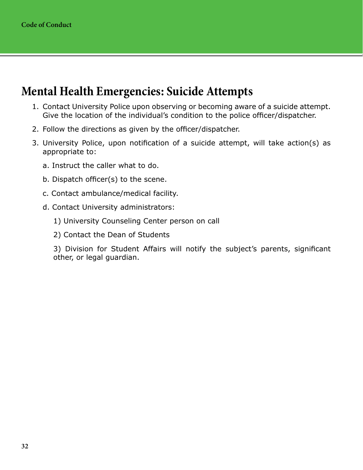# <span id="page-33-0"></span>**Mental Health Emergencies: Suicide Attempts**

- 1. Contact University Police upon observing or becoming aware of a suicide attempt. Give the location of the individual's condition to the police officer/dispatcher.
- 2. Follow the directions as given by the officer/dispatcher.
- 3. University Police, upon notification of a suicide attempt, will take action(s) as appropriate to:
	- a. Instruct the caller what to do.
	- b. Dispatch officer(s) to the scene.
	- c. Contact ambulance/medical facility.
	- d. Contact University administrators:
		- 1) University Counseling Center person on call
		- 2) Contact the Dean of Students

3) Division for Student Affairs will notify the subject's parents, significant other, or legal guardian.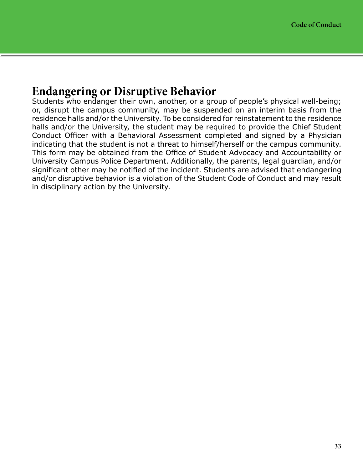# <span id="page-34-0"></span>**Endangering or Disruptive Behavior**

Students who endanger their own, another, or a group of people's physical well-being; or, disrupt the campus community, may be suspended on an interim basis from the residence halls and/or the University. To be considered for reinstatement to the residence halls and/or the University, the student may be required to provide the Chief Student Conduct Officer with a Behavioral Assessment completed and signed by a Physician indicating that the student is not a threat to himself/herself or the campus community. This form may be obtained from the Office of Student Advocacy and Accountability or University Campus Police Department. Additionally, the parents, legal guardian, and/or significant other may be notified of the incident. Students are advised that endangering and/or disruptive behavior is a violation of the Student Code of Conduct and may result in disciplinary action by the University.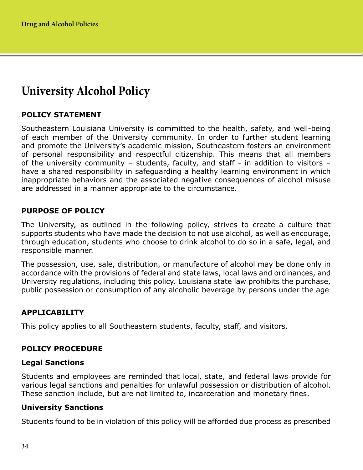# <span id="page-35-0"></span>**University Alcohol Policy**

# **POLICY STATEMENT**

Southeastern Louisiana University is committed to the health, safety, and well-being of each member of the University community. In order to further student learning and promote the University's academic mission, Southeastern fosters an environment of personal responsibility and respectful citizenship. This means that all members of the university community – students, faculty, and staff - in addition to visitors – have a shared responsibility in safeguarding a healthy learning environment in which inappropriate behaviors and the associated negative consequences of alcohol misuse are addressed in a manner appropriate to the circumstance.

# **PURPOSE OF POLICY**

The University, as outlined in the following policy, strives to create a culture that supports students who have made the decision to not use alcohol, as well as encourage, through education, students who choose to drink alcohol to do so in a safe, legal, and responsible manner.

The possession, use, sale, distribution, or manufacture of alcohol may be done only in accordance with the provisions of federal and state laws, local laws and ordinances, and University regulations, including this policy. Louisiana state law prohibits the purchase, public possession or consumption of any alcoholic beverage by persons under the age

# **APPLICABILITY**

This policy applies to all Southeastern students, faculty, staff, and visitors.

# **POLICY PROCEDURE**

### **Legal Sanctions**

Students and employees are reminded that local, state, and federal laws provide for various legal sanctions and penalties for unlawful possession or distribution of alcohol. These sanction include, but are not limited to, incarceration and monetary fines.

### **University Sanctions**

Students found to be in violation of this policy will be afforded due process as prescribed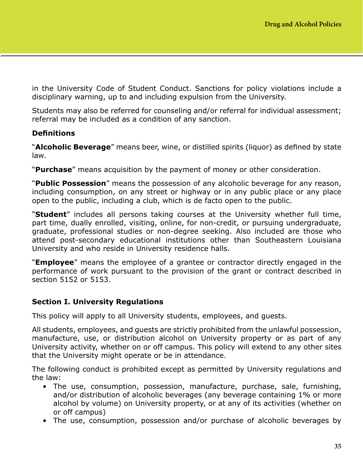in the University Code of Student Conduct. Sanctions for policy violations include a disciplinary warning, up to and including expulsion from the University.

Students may also be referred for counseling and/or referral for individual assessment; referral may be included as a condition of any sanction.

## **Definitions**

"**Alcoholic Beverage**" means beer, wine, or distilled spirits (liquor) as defined by state law.

"**Purchase**" means acquisition by the payment of money or other consideration.

"**Public Possession**" means the possession of any alcoholic beverage for any reason, including consumption, on any street or highway or in any public place or any place open to the public, including a club, which is de facto open to the public.

"**Student**" includes all persons taking courses at the University whether full time, part time, dually enrolled, visiting, online, for non-credit, or pursuing undergraduate, graduate, professional studies or non-degree seeking. Also included are those who attend post-secondary educational institutions other than Southeastern Louisiana University and who reside in University residence halls.

"**Employee**" means the employee of a grantee or contractor directly engaged in the performance of work pursuant to the provision of the grant or contract described in section 5152 or 5153.

## **Section I. University Regulations**

This policy will apply to all University students, employees, and guests.

All students, employees, and guests are strictly prohibited from the unlawful possession, manufacture, use, or distribution alcohol on University property or as part of any University activity, whether on or off campus. This policy will extend to any other sites that the University might operate or be in attendance.

The following conduct is prohibited except as permitted by University regulations and the law:

- The use, consumption, possession, manufacture, purchase, sale, furnishing, and/or distribution of alcoholic beverages (any beverage containing 1% or more alcohol by volume) on University property, or at any of its activities (whether on or off campus)
- The use, consumption, possession and/or purchase of alcoholic beverages by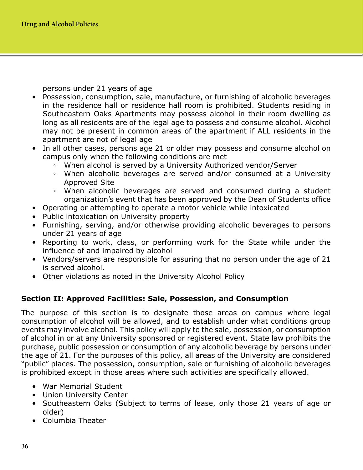persons under 21 years of age

- Possession, consumption, sale, manufacture, or furnishing of alcoholic beverages in the residence hall or residence hall room is prohibited. Students residing in Southeastern Oaks Apartments may possess alcohol in their room dwelling as long as all residents are of the legal age to possess and consume alcohol. Alcohol may not be present in common areas of the apartment if ALL residents in the apartment are not of legal age
- In all other cases, persons age 21 or older may possess and consume alcohol on campus only when the following conditions are met
	- When alcohol is served by a University Authorized vendor/Server
	- When alcoholic beverages are served and/or consumed at a University Approved Site
	- When alcoholic beverages are served and consumed during a student organization's event that has been approved by the Dean of Students office
- Operating or attempting to operate a motor vehicle while intoxicated
- Public intoxication on University property
- Furnishing, serving, and/or otherwise providing alcoholic beverages to persons under 21 years of age
- Reporting to work, class, or performing work for the State while under the influence of and impaired by alcohol
- Vendors/servers are responsible for assuring that no person under the age of 21 is served alcohol.
- Other violations as noted in the University Alcohol Policy

## **Section II: Approved Facilities: Sale, Possession, and Consumption**

The purpose of this section is to designate those areas on campus where legal consumption of alcohol will be allowed, and to establish under what conditions group events may involve alcohol. This policy will apply to the sale, possession, or consumption of alcohol in or at any University sponsored or registered event. State law prohibits the purchase, public possession or consumption of any alcoholic beverage by persons under the age of 21. For the purposes of this policy, all areas of the University are considered "public" places. The possession, consumption, sale or furnishing of alcoholic beverages is prohibited except in those areas where such activities are specifically allowed.

- War Memorial Student
- Union University Center
- Southeastern Oaks (Subject to terms of lease, only those 21 years of age or older)
- Columbia Theater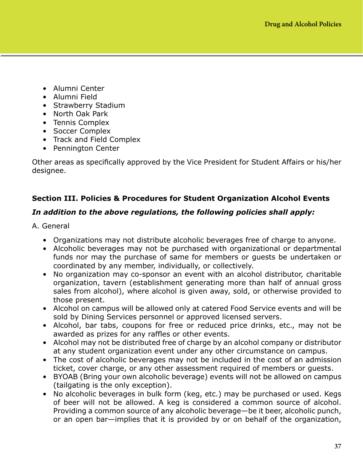- Alumni Center
- Alumni Field
- Strawberry Stadium
- North Oak Park
- Tennis Complex
- Soccer Complex
- Track and Field Complex
- Pennington Center

Other areas as specifically approved by the Vice President for Student Affairs or his/her designee.

# **Section III. Policies & Procedures for Student Organization Alcohol Events**

# *In addition to the above regulations, the following policies shall apply:*

- A. General
	- Organizations may not distribute alcoholic beverages free of charge to anyone.
	- Alcoholic beverages may not be purchased with organizational or departmental funds nor may the purchase of same for members or guests be undertaken or coordinated by any member, individually, or collectively.
	- No organization may co-sponsor an event with an alcohol distributor, charitable organization, tavern (establishment generating more than half of annual gross sales from alcohol), where alcohol is given away, sold, or otherwise provided to those present.
	- Alcohol on campus will be allowed only at catered Food Service events and will be sold by Dining Services personnel or approved licensed servers.
	- Alcohol, bar tabs, coupons for free or reduced price drinks, etc., may not be awarded as prizes for any raffles or other events.
	- Alcohol may not be distributed free of charge by an alcohol company or distributor at any student organization event under any other circumstance on campus.
	- The cost of alcoholic beverages may not be included in the cost of an admission ticket, cover charge, or any other assessment required of members or guests.
	- BYOAB (Bring your own alcoholic beverage) events will not be allowed on campus (tailgating is the only exception).
	- No alcoholic beverages in bulk form (keg, etc.) may be purchased or used. Kegs of beer will not be allowed. A keg is considered a common source of alcohol. Providing a common source of any alcoholic beverage—be it beer, alcoholic punch, or an open bar—implies that it is provided by or on behalf of the organization,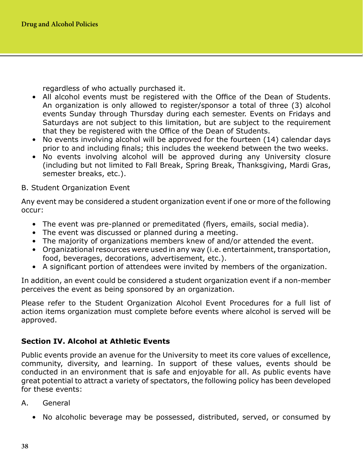regardless of who actually purchased it.

- All alcohol events must be registered with the Office of the Dean of Students. An organization is only allowed to register/sponsor a total of three (3) alcohol events Sunday through Thursday during each semester. Events on Fridays and Saturdays are not subject to this limitation, but are subject to the requirement that they be registered with the Office of the Dean of Students.
- No events involving alcohol will be approved for the fourteen (14) calendar days prior to and including finals; this includes the weekend between the two weeks.
- No events involving alcohol will be approved during any University closure (including but not limited to Fall Break, Spring Break, Thanksgiving, Mardi Gras, semester breaks, etc.).
- B. Student Organization Event

Any event may be considered a student organization event if one or more of the following occur:

- The event was pre-planned or premeditated (flyers, emails, social media).
- The event was discussed or planned during a meeting.
- The majority of organizations members knew of and/or attended the event.
- Organizational resources were used in any way (i.e. entertainment, transportation, food, beverages, decorations, advertisement, etc.).
- A significant portion of attendees were invited by members of the organization.

In addition, an event could be considered a student organization event if a non-member perceives the event as being sponsored by an organization.

Please refer to the Student Organization Alcohol Event Procedures for a full list of action items organization must complete before events where alcohol is served will be approved.

# **Section IV. Alcohol at Athletic Events**

Public events provide an avenue for the University to meet its core values of excellence, community, diversity, and learning. In support of these values, events should be conducted in an environment that is safe and enjoyable for all. As public events have great potential to attract a variety of spectators, the following policy has been developed for these events:

- A. General
	- No alcoholic beverage may be possessed, distributed, served, or consumed by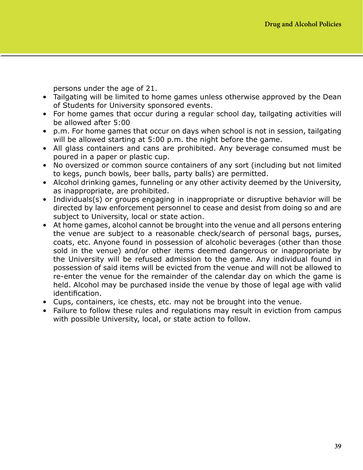persons under the age of 21.

- Tailgating will be limited to home games unless otherwise approved by the Dean of Students for University sponsored events.
- For home games that occur during a regular school day, tailgating activities will be allowed after 5:00
- p.m. For home games that occur on days when school is not in session, tailgating will be allowed starting at 5:00 p.m. the night before the game.
- All glass containers and cans are prohibited. Any beverage consumed must be poured in a paper or plastic cup.
- No oversized or common source containers of any sort (including but not limited to kegs, punch bowls, beer balls, party balls) are permitted.
- Alcohol drinking games, funneling or any other activity deemed by the University, as inappropriate, are prohibited.
- Individuals(s) or groups engaging in inappropriate or disruptive behavior will be directed by law enforcement personnel to cease and desist from doing so and are subject to University, local or state action.
- At home games, alcohol cannot be brought into the venue and all persons entering the venue are subject to a reasonable check/search of personal bags, purses, coats, etc. Anyone found in possession of alcoholic beverages (other than those sold in the venue) and/or other items deemed dangerous or inappropriate by the University will be refused admission to the game. Any individual found in possession of said items will be evicted from the venue and will not be allowed to re-enter the venue for the remainder of the calendar day on which the game is held. Alcohol may be purchased inside the venue by those of legal age with valid identification.
- Cups, containers, ice chests, etc. may not be brought into the venue.
- Failure to follow these rules and regulations may result in eviction from campus with possible University, local, or state action to follow.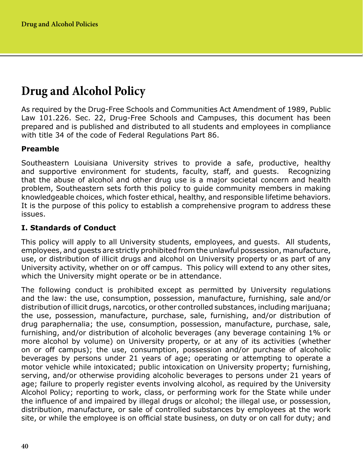# **Drug and Alcohol Policy**

As required by the Drug-Free Schools and Communities Act Amendment of 1989, Public Law 101.226. Sec. 22, Drug-Free Schools and Campuses, this document has been prepared and is published and distributed to all students and employees in compliance with title 34 of the code of Federal Regulations Part 86.

# **Preamble**

Southeastern Louisiana University strives to provide a safe, productive, healthy and supportive environment for students, faculty, staff, and guests. Recognizing that the abuse of alcohol and other drug use is a major societal concern and health problem, Southeastern sets forth this policy to guide community members in making knowledgeable choices, which foster ethical, healthy, and responsible lifetime behaviors. It is the purpose of this policy to establish a comprehensive program to address these issues.

## **I. Standards of Conduct**

This policy will apply to all University students, employees, and guests. All students, employees, and guests are strictly prohibited from the unlawful possession, manufacture, use, or distribution of illicit drugs and alcohol on University property or as part of any University activity, whether on or off campus. This policy will extend to any other sites, which the University might operate or be in attendance.

The following conduct is prohibited except as permitted by University regulations and the law: the use, consumption, possession, manufacture, furnishing, sale and/or distribution of illicit drugs, narcotics, or other controlled substances, including marijuana; the use, possession, manufacture, purchase, sale, furnishing, and/or distribution of drug paraphernalia; the use, consumption, possession, manufacture, purchase, sale, furnishing, and/or distribution of alcoholic beverages (any beverage containing 1% or more alcohol by volume) on University property, or at any of its activities (whether on or off campus); the use, consumption, possession and/or purchase of alcoholic beverages by persons under 21 years of age; operating or attempting to operate a motor vehicle while intoxicated; public intoxication on University property; furnishing, serving, and/or otherwise providing alcoholic beverages to persons under 21 years of age; failure to properly register events involving alcohol, as required by the University Alcohol Policy; reporting to work, class, or performing work for the State while under the influence of and impaired by illegal drugs or alcohol; the illegal use, or possession, distribution, manufacture, or sale of controlled substances by employees at the work site, or while the employee is on official state business, on duty or on call for duty; and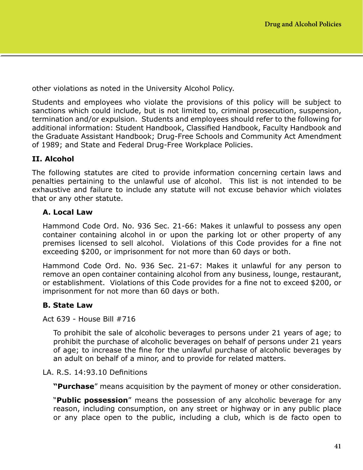other violations as noted in the University Alcohol Policy.

Students and employees who violate the provisions of this policy will be subject to sanctions which could include, but is not limited to, criminal prosecution, suspension, termination and/or expulsion. Students and employees should refer to the following for additional information: Student Handbook, Classified Handbook, Faculty Handbook and the Graduate Assistant Handbook; Drug-Free Schools and Community Act Amendment of 1989; and State and Federal Drug-Free Workplace Policies.

## **II. Alcohol**

The following statutes are cited to provide information concerning certain laws and penalties pertaining to the unlawful use of alcohol. This list is not intended to be exhaustive and failure to include any statute will not excuse behavior which violates that or any other statute.

## **A. Local Law**

Hammond Code Ord. No. 936 Sec. 21-66: Makes it unlawful to possess any open container containing alcohol in or upon the parking lot or other property of any premises licensed to sell alcohol. Violations of this Code provides for a fine not exceeding \$200, or imprisonment for not more than 60 days or both.

Hammond Code Ord. No. 936 Sec. 21-67: Makes it unlawful for any person to remove an open container containing alcohol from any business, lounge, restaurant, or establishment. Violations of this Code provides for a fine not to exceed \$200, or imprisonment for not more than 60 days or both.

## **B. State Law**

Act 639 - House Bill #716

To prohibit the sale of alcoholic beverages to persons under 21 years of age; to prohibit the purchase of alcoholic beverages on behalf of persons under 21 years of age; to increase the fine for the unlawful purchase of alcoholic beverages by an adult on behalf of a minor, and to provide for related matters.

#### LA. R.S. 14:93.10 Definitions

**"Purchase**" means acquisition by the payment of money or other consideration.

"**Public possession**" means the possession of any alcoholic beverage for any reason, including consumption, on any street or highway or in any public place or any place open to the public, including a club, which is de facto open to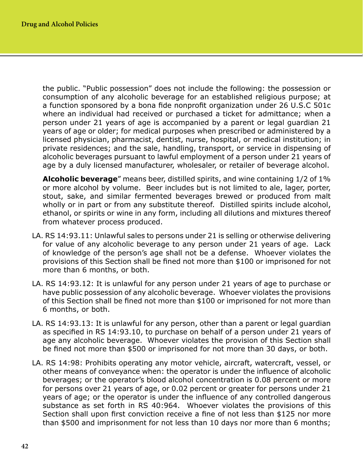the public. "Public possession" does not include the following: the possession or consumption of any alcoholic beverage for an established religious purpose; at a function sponsored by a bona fide nonprofit organization under 26 U.S.C 501c where an individual had received or purchased a ticket for admittance; when a person under 21 years of age is accompanied by a parent or legal guardian 21 years of age or older; for medical purposes when prescribed or administered by a licensed physician, pharmacist, dentist, nurse, hospital, or medical institution; in private residences; and the sale, handling, transport, or service in dispensing of alcoholic beverages pursuant to lawful employment of a person under 21 years of age by a duly licensed manufacturer, wholesaler, or retailer of beverage alcohol.

**Alcoholic beverage**" means beer, distilled spirits, and wine containing 1/2 of 1% or more alcohol by volume. Beer includes but is not limited to ale, lager, porter, stout, sake, and similar fermented beverages brewed or produced from malt wholly or in part or from any substitute thereof. Distilled spirits include alcohol, ethanol, or spirits or wine in any form, including all dilutions and mixtures thereof from whatever process produced.

- LA. RS 14:93.11: Unlawful sales to persons under 21 is selling or otherwise delivering for value of any alcoholic beverage to any person under 21 years of age. Lack of knowledge of the person's age shall not be a defense. Whoever violates the provisions of this Section shall be fined not more than \$100 or imprisoned for not more than 6 months, or both.
- LA. RS 14:93.12: It is unlawful for any person under 21 years of age to purchase or have public possession of any alcoholic beverage. Whoever violates the provisions of this Section shall be fined not more than \$100 or imprisoned for not more than 6 months, or both.
- LA. RS 14:93.13: It is unlawful for any person, other than a parent or legal guardian as specified in RS 14:93.10, to purchase on behalf of a person under 21 years of age any alcoholic beverage. Whoever violates the provision of this Section shall be fined not more than \$500 or imprisoned for not more than 30 days, or both.
- LA. RS 14:98: Prohibits operating any motor vehicle, aircraft, watercraft, vessel, or other means of conveyance when: the operator is under the influence of alcoholic beverages; or the operator's blood alcohol concentration is 0.08 percent or more for persons over 21 years of age, or 0.02 percent or greater for persons under 21 years of age; or the operator is under the influence of any controlled dangerous substance as set forth in RS 40:964. Whoever violates the provisions of this Section shall upon first conviction receive a fine of not less than \$125 nor more than \$500 and imprisonment for not less than 10 days nor more than 6 months;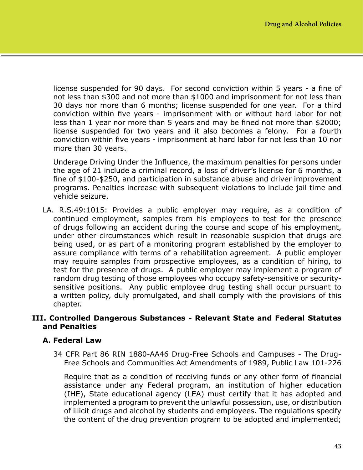license suspended for 90 days. For second conviction within 5 years - a fine of not less than \$300 and not more than \$1000 and imprisonment for not less than 30 days nor more than 6 months; license suspended for one year. For a third conviction within five years - imprisonment with or without hard labor for not less than 1 year nor more than 5 years and may be fined not more than \$2000; license suspended for two years and it also becomes a felony. For a fourth conviction within five years - imprisonment at hard labor for not less than 10 nor more than 30 years.

Underage Driving Under the Influence, the maximum penalties for persons under the age of 21 include a criminal record, a loss of driver's license for 6 months, a fine of \$100-\$250, and participation in substance abuse and driver improvement programs. Penalties increase with subsequent violations to include jail time and vehicle seizure.

LA. R.S.49:1015: Provides a public employer may require, as a condition of continued employment, samples from his employees to test for the presence of drugs following an accident during the course and scope of his employment, under other circumstances which result in reasonable suspicion that drugs are being used, or as part of a monitoring program established by the employer to assure compliance with terms of a rehabilitation agreement. A public employer may require samples from prospective employees, as a condition of hiring, to test for the presence of drugs. A public employer may implement a program of random drug testing of those employees who occupy safety-sensitive or securitysensitive positions. Any public employee drug testing shall occur pursuant to a written policy, duly promulgated, and shall comply with the provisions of this chapter.

#### **III. Controlled Dangerous Substances - Relevant State and Federal Statutes and Penalties**

## **A. Federal Law**

34 CFR Part 86 RIN 1880-AA46 Drug-Free Schools and Campuses - The Drug-Free Schools and Communities Act Amendments of 1989, Public Law 101-226

Require that as a condition of receiving funds or any other form of financial assistance under any Federal program, an institution of higher education (IHE), State educational agency (LEA) must certify that it has adopted and implemented a program to prevent the unlawful possession, use, or distribution of illicit drugs and alcohol by students and employees. The regulations specify the content of the drug prevention program to be adopted and implemented;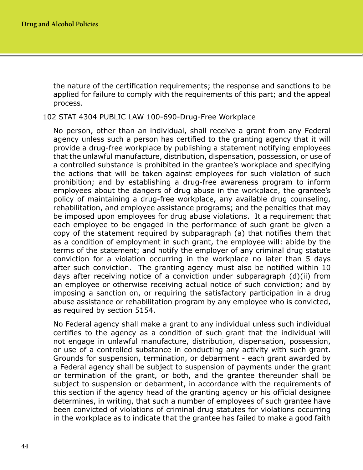the nature of the certification requirements; the response and sanctions to be applied for failure to comply with the requirements of this part; and the appeal process.

#### 102 STAT 4304 PUBLIC LAW 100-690-Drug-Free Workplace

No person, other than an individual, shall receive a grant from any Federal agency unless such a person has certified to the granting agency that it will provide a drug-free workplace by publishing a statement notifying employees that the unlawful manufacture, distribution, dispensation, possession, or use of a controlled substance is prohibited in the grantee's workplace and specifying the actions that will be taken against employees for such violation of such prohibition; and by establishing a drug-free awareness program to inform employees about the dangers of drug abuse in the workplace, the grantee's policy of maintaining a drug-free workplace, any available drug counseling, rehabilitation, and employee assistance programs; and the penalties that may be imposed upon employees for drug abuse violations. It a requirement that each employee to be engaged in the performance of such grant be given a copy of the statement required by subparagraph (a) that notifies them that as a condition of employment in such grant, the employee will: abide by the terms of the statement; and notify the employer of any criminal drug statute conviction for a violation occurring in the workplace no later than 5 days after such conviction. The granting agency must also be notified within 10 days after receiving notice of a conviction under subparagraph (d)(ii) from an employee or otherwise receiving actual notice of such conviction; and by imposing a sanction on, or requiring the satisfactory participation in a drug abuse assistance or rehabilitation program by any employee who is convicted, as required by section 5154.

No Federal agency shall make a grant to any individual unless such individual certifies to the agency as a condition of such grant that the individual will not engage in unlawful manufacture, distribution, dispensation, possession, or use of a controlled substance in conducting any activity with such grant. Grounds for suspension, termination, or debarment - each grant awarded by a Federal agency shall be subject to suspension of payments under the grant or termination of the grant, or both, and the grantee thereunder shall be subject to suspension or debarment, in accordance with the requirements of this section if the agency head of the granting agency or his official designee determines, in writing, that such a number of employees of such grantee have been convicted of violations of criminal drug statutes for violations occurring in the workplace as to indicate that the grantee has failed to make a good faith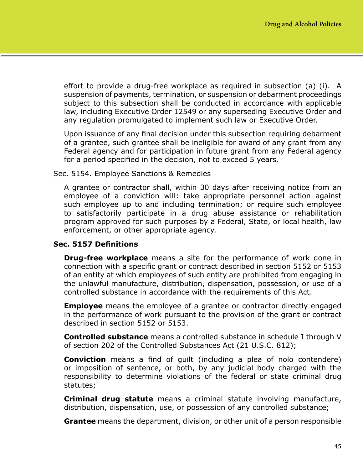effort to provide a drug-free workplace as required in subsection (a) (i). A suspension of payments, termination, or suspension or debarment proceedings subject to this subsection shall be conducted in accordance with applicable law, including Executive Order 12549 or any superseding Executive Order and any regulation promulgated to implement such law or Executive Order.

Upon issuance of any final decision under this subsection requiring debarment of a grantee, such grantee shall be ineligible for award of any grant from any Federal agency and for participation in future grant from any Federal agency for a period specified in the decision, not to exceed 5 years.

Sec. 5154. Employee Sanctions & Remedies

A grantee or contractor shall, within 30 days after receiving notice from an employee of a conviction will: take appropriate personnel action against such employee up to and including termination; or require such employee to satisfactorily participate in a drug abuse assistance or rehabilitation program approved for such purposes by a Federal, State, or local health, law enforcement, or other appropriate agency.

## **Sec. 5157 Definitions**

**Drug-free workplace** means a site for the performance of work done in connection with a specific grant or contract described in section 5152 or 5153 of an entity at which employees of such entity are prohibited from engaging in the unlawful manufacture, distribution, dispensation, possession, or use of a controlled substance in accordance with the requirements of this Act.

**Employee** means the employee of a grantee or contractor directly engaged in the performance of work pursuant to the provision of the grant or contract described in section 5152 or 5153.

**Controlled substance** means a controlled substance in schedule I through V of section 202 of the Controlled Substances Act (21 U.S.C. 812);

**Conviction** means a find of guilt (including a plea of nolo contendere) or imposition of sentence, or both, by any judicial body charged with the responsibility to determine violations of the federal or state criminal drug statutes;

**Criminal drug statute** means a criminal statute involving manufacture, distribution, dispensation, use, or possession of any controlled substance;

**Grantee** means the department, division, or other unit of a person responsible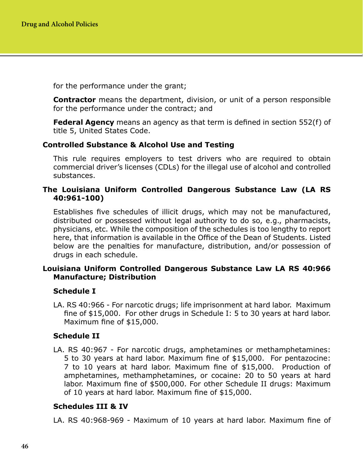for the performance under the grant;

**Contractor** means the department, division, or unit of a person responsible for the performance under the contract; and

**Federal Agency** means an agency as that term is defined in section 552(f) of title 5, United States Code.

## **Controlled Substance & Alcohol Use and Testing**

This rule requires employers to test drivers who are required to obtain commercial driver's licenses (CDLs) for the illegal use of alcohol and controlled substances.

## **The Louisiana Uniform Controlled Dangerous Substance Law (LA RS 40:961-100)**

Establishes five schedules of illicit drugs, which may not be manufactured, distributed or possessed without legal authority to do so, e.g., pharmacists, physicians, etc. While the composition of the schedules is too lengthy to report here, that information is available in the Office of the Dean of Students. Listed below are the penalties for manufacture, distribution, and/or possession of drugs in each schedule.

## **Louisiana Uniform Controlled Dangerous Substance Law LA RS 40:966 Manufacture; Distribution**

## **Schedule I**

LA. RS 40:966 - For narcotic drugs; life imprisonment at hard labor. Maximum fine of \$15,000. For other drugs in Schedule I: 5 to 30 years at hard labor. Maximum fine of \$15,000.

## **Schedule II**

LA. RS 40:967 - For narcotic drugs, amphetamines or methamphetamines: 5 to 30 years at hard labor. Maximum fine of \$15,000. For pentazocine: 7 to 10 years at hard labor. Maximum fine of \$15,000. Production of amphetamines, methamphetamines, or cocaine: 20 to 50 years at hard labor. Maximum fine of \$500,000. For other Schedule II drugs: Maximum of 10 years at hard labor. Maximum fine of \$15,000.

## **Schedules III & IV**

LA. RS 40:968-969 - Maximum of 10 years at hard labor. Maximum fine of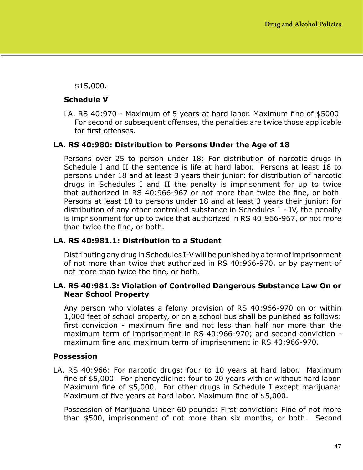\$15,000.

#### **Schedule V**

LA. RS 40:970 - Maximum of 5 years at hard labor. Maximum fine of \$5000. For second or subsequent offenses, the penalties are twice those applicable for first offenses.

#### **LA. RS 40:980: Distribution to Persons Under the Age of 18**

Persons over 25 to person under 18: For distribution of narcotic drugs in Schedule I and II the sentence is life at hard labor. Persons at least 18 to persons under 18 and at least 3 years their junior: for distribution of narcotic drugs in Schedules I and II the penalty is imprisonment for up to twice that authorized in RS 40:966-967 or not more than twice the fine, or both. Persons at least 18 to persons under 18 and at least 3 years their junior: for distribution of any other controlled substance in Schedules I - IV, the penalty is imprisonment for up to twice that authorized in RS 40:966-967, or not more than twice the fine, or both.

## **LA. RS 40:981.1: Distribution to a Student**

Distributing any drug in Schedules I-V will be punished by a term of imprisonment of not more than twice that authorized in RS 40:966-970, or by payment of not more than twice the fine, or both.

#### **LA. RS 40:981.3: Violation of Controlled Dangerous Substance Law On or Near School Property**

Any person who violates a felony provision of RS 40:966-970 on or within 1,000 feet of school property, or on a school bus shall be punished as follows: first conviction - maximum fine and not less than half nor more than the maximum term of imprisonment in RS 40:966-970; and second conviction maximum fine and maximum term of imprisonment in RS 40:966-970.

#### **Possession**

LA. RS 40:966: For narcotic drugs: four to 10 years at hard labor. Maximum fine of \$5,000. For phencyclidine: four to 20 years with or without hard labor. Maximum fine of \$5,000. For other drugs in Schedule I except marijuana: Maximum of five years at hard labor. Maximum fine of \$5,000.

Possession of Marijuana Under 60 pounds: First conviction: Fine of not more than \$500, imprisonment of not more than six months, or both. Second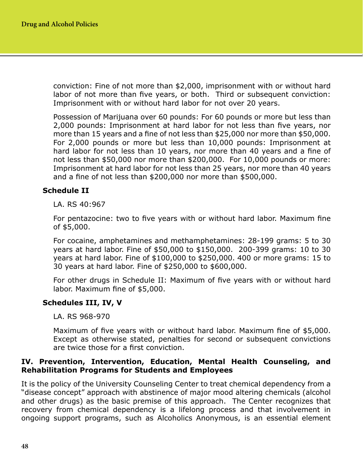conviction: Fine of not more than \$2,000, imprisonment with or without hard labor of not more than five years, or both. Third or subsequent conviction: Imprisonment with or without hard labor for not over 20 years.

Possession of Marijuana over 60 pounds: For 60 pounds or more but less than 2,000 pounds: Imprisonment at hard labor for not less than five years, nor more than 15 years and a fine of not less than \$25,000 nor more than \$50,000. For 2,000 pounds or more but less than 10,000 pounds: Imprisonment at hard labor for not less than 10 years, nor more than 40 years and a fine of not less than \$50,000 nor more than \$200,000. For 10,000 pounds or more: Imprisonment at hard labor for not less than 25 years, nor more than 40 years and a fine of not less than \$200,000 nor more than \$500,000.

## **Schedule II**

LA. RS 40:967

For pentazocine: two to five years with or without hard labor. Maximum fine of \$5,000.

For cocaine, amphetamines and methamphetamines: 28-199 grams: 5 to 30 years at hard labor. Fine of \$50,000 to \$150,000. 200-399 grams: 10 to 30 years at hard labor. Fine of \$100,000 to \$250,000. 400 or more grams: 15 to 30 years at hard labor. Fine of \$250,000 to \$600,000.

For other drugs in Schedule II: Maximum of five years with or without hard labor. Maximum fine of \$5,000.

#### **Schedules III, IV, V**

LA. RS 968-970

Maximum of five years with or without hard labor. Maximum fine of \$5,000. Except as otherwise stated, penalties for second or subsequent convictions are twice those for a first conviction.

#### **IV. Prevention, Intervention, Education, Mental Health Counseling, and Rehabilitation Programs for Students and Employees**

It is the policy of the University Counseling Center to treat chemical dependency from a "disease concept" approach with abstinence of major mood altering chemicals (alcohol and other drugs) as the basic premise of this approach. The Center recognizes that recovery from chemical dependency is a lifelong process and that involvement in ongoing support programs, such as Alcoholics Anonymous, is an essential element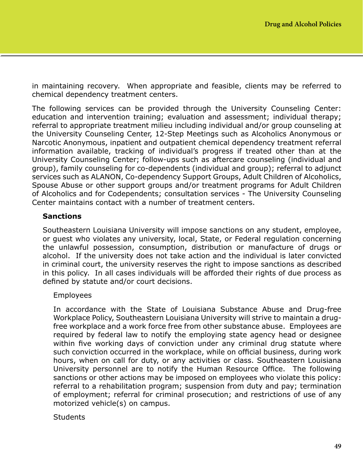in maintaining recovery. When appropriate and feasible, clients may be referred to chemical dependency treatment centers.

The following services can be provided through the University Counseling Center: education and intervention training; evaluation and assessment; individual therapy; referral to appropriate treatment milieu including individual and/or group counseling at the University Counseling Center, 12-Step Meetings such as Alcoholics Anonymous or Narcotic Anonymous, inpatient and outpatient chemical dependency treatment referral information available, tracking of individual's progress if treated other than at the University Counseling Center; follow-ups such as aftercare counseling (individual and group), family counseling for co-dependents (individual and group); referral to adjunct services such as ALANON, Co-dependency Support Groups, Adult Children of Alcoholics, Spouse Abuse or other support groups and/or treatment programs for Adult Children of Alcoholics and for Codependents; consultation services - The University Counseling Center maintains contact with a number of treatment centers.

## **Sanctions**

Southeastern Louisiana University will impose sanctions on any student, employee, or guest who violates any university, local, State, or Federal regulation concerning the unlawful possession, consumption, distribution or manufacture of drugs or alcohol. If the university does not take action and the individual is later convicted in criminal court, the university reserves the right to impose sanctions as described in this policy. In all cases individuals will be afforded their rights of due process as defined by statute and/or court decisions.

## Employees

In accordance with the State of Louisiana Substance Abuse and Drug-free Workplace Policy, Southeastern Louisiana University will strive to maintain a drugfree workplace and a work force free from other substance abuse. Employees are required by federal law to notify the employing state agency head or designee within five working days of conviction under any criminal drug statute where such conviction occurred in the workplace, while on official business, during work hours, when on call for duty, or any activities or class. Southeastern Louisiana University personnel are to notify the Human Resource Office. The following sanctions or other actions may be imposed on employees who violate this policy: referral to a rehabilitation program; suspension from duty and pay; termination of employment; referral for criminal prosecution; and restrictions of use of any motorized vehicle(s) on campus.

## **Students**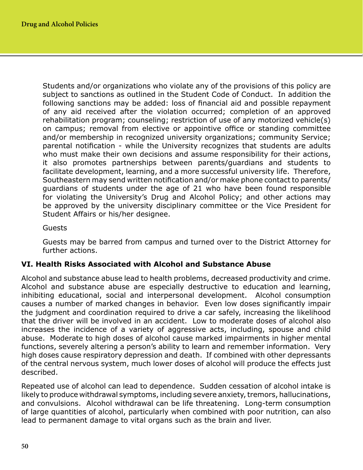Students and/or organizations who violate any of the provisions of this policy are subject to sanctions as outlined in the Student Code of Conduct. In addition the following sanctions may be added: loss of financial aid and possible repayment of any aid received after the violation occurred; completion of an approved rehabilitation program; counseling; restriction of use of any motorized vehicle(s) on campus; removal from elective or appointive office or standing committee and/or membership in recognized university organizations; community Service; parental notification - while the University recognizes that students are adults who must make their own decisions and assume responsibility for their actions, it also promotes partnerships between parents/guardians and students to facilitate development, learning, and a more successful university life. Therefore, Southeastern may send written notification and/or make phone contact to parents/ guardians of students under the age of 21 who have been found responsible for violating the University's Drug and Alcohol Policy; and other actions may be approved by the university disciplinary committee or the Vice President for Student Affairs or his/her designee.

#### Guests

Guests may be barred from campus and turned over to the District Attorney for further actions.

## **VI. Health Risks Associated with Alcohol and Substance Abuse**

Alcohol and substance abuse lead to health problems, decreased productivity and crime. Alcohol and substance abuse are especially destructive to education and learning, inhibiting educational, social and interpersonal development. Alcohol consumption causes a number of marked changes in behavior. Even low doses significantly impair the judgment and coordination required to drive a car safely, increasing the likelihood that the driver will be involved in an accident. Low to moderate doses of alcohol also increases the incidence of a variety of aggressive acts, including, spouse and child abuse. Moderate to high doses of alcohol cause marked impairments in higher mental functions, severely altering a person's ability to learn and remember information. Very high doses cause respiratory depression and death. If combined with other depressants of the central nervous system, much lower doses of alcohol will produce the effects just described.

Repeated use of alcohol can lead to dependence. Sudden cessation of alcohol intake is likely to produce withdrawal symptoms, including severe anxiety, tremors, hallucinations, and convulsions. Alcohol withdrawal can be life threatening. Long-term consumption of large quantities of alcohol, particularly when combined with poor nutrition, can also lead to permanent damage to vital organs such as the brain and liver.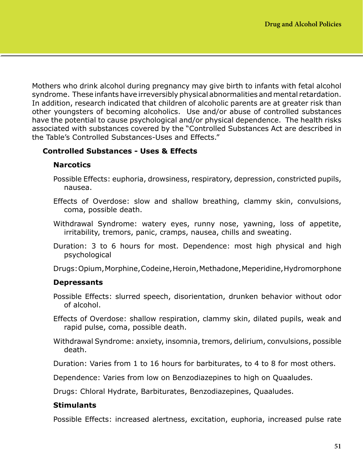Mothers who drink alcohol during pregnancy may give birth to infants with fetal alcohol syndrome. These infants have irreversibly physical abnormalities and mental retardation. In addition, research indicated that children of alcoholic parents are at greater risk than other youngsters of becoming alcoholics. Use and/or abuse of controlled substances have the potential to cause psychological and/or physical dependence. The health risks associated with substances covered by the "Controlled Substances Act are described in the Table's Controlled Substances-Uses and Effects."

# **Controlled Substances - Uses & Effects**

## **Narcotics**

- Possible Effects: euphoria, drowsiness, respiratory, depression, constricted pupils, nausea.
- Effects of Overdose: slow and shallow breathing, clammy skin, convulsions, coma, possible death.
- Withdrawal Syndrome: watery eyes, runny nose, yawning, loss of appetite, irritability, tremors, panic, cramps, nausea, chills and sweating.
- Duration: 3 to 6 hours for most. Dependence: most high physical and high psychological
- Drugs: Opium, Morphine, Codeine, Heroin, Methadone, Meperidine, Hydromorphone

## **Depressants**

- Possible Effects: slurred speech, disorientation, drunken behavior without odor of alcohol.
- Effects of Overdose: shallow respiration, clammy skin, dilated pupils, weak and rapid pulse, coma, possible death.
- Withdrawal Syndrome: anxiety, insomnia, tremors, delirium, convulsions, possible death.

Duration: Varies from 1 to 16 hours for barbiturates, to 4 to 8 for most others.

Dependence: Varies from low on Benzodiazepines to high on Quaaludes.

Drugs: Chloral Hydrate, Barbiturates, Benzodiazepines, Quaaludes.

## **Stimulants**

Possible Effects: increased alertness, excitation, euphoria, increased pulse rate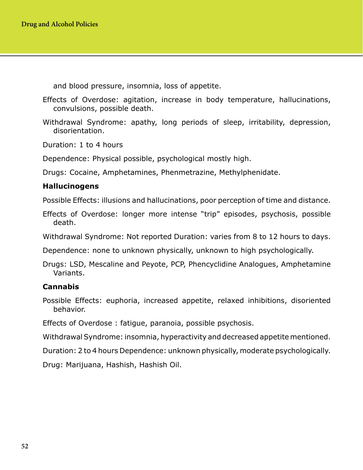and blood pressure, insomnia, loss of appetite.

Effects of Overdose: agitation, increase in body temperature, hallucinations, convulsions, possible death.

Withdrawal Syndrome: apathy, long periods of sleep, irritability, depression, disorientation.

Duration: 1 to 4 hours

Dependence: Physical possible, psychological mostly high.

Drugs: Cocaine, Amphetamines, Phenmetrazine, Methylphenidate.

#### **Hallucinogens**

Possible Effects: illusions and hallucinations, poor perception of time and distance.

Effects of Overdose: longer more intense "trip" episodes, psychosis, possible death.

Withdrawal Syndrome: Not reported Duration: varies from 8 to 12 hours to days.

Dependence: none to unknown physically, unknown to high psychologically.

Drugs: LSD, Mescaline and Peyote, PCP, Phencyclidine Analogues, Amphetamine Variants.

#### **Cannabis**

Possible Effects: euphoria, increased appetite, relaxed inhibitions, disoriented behavior.

Effects of Overdose : fatigue, paranoia, possible psychosis.

Withdrawal Syndrome: insomnia, hyperactivity and decreased appetite mentioned.

Duration: 2 to 4 hours Dependence: unknown physically, moderate psychologically.

Drug: Marijuana, Hashish, Hashish Oil.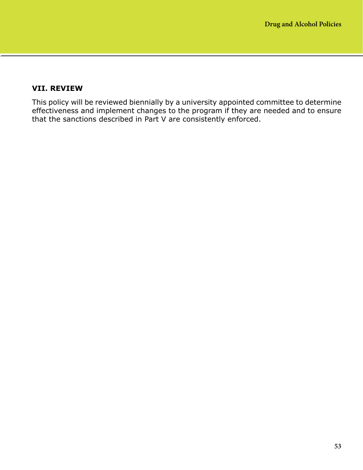## **VII. REVIEW**

This policy will be reviewed biennially by a university appointed committee to determine effectiveness and implement changes to the program if they are needed and to ensure that the sanctions described in Part V are consistently enforced.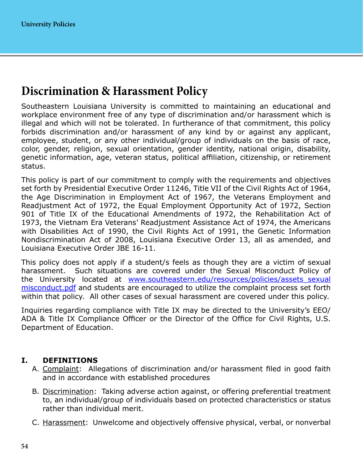# **Discrimination & Harassment Policy**

Southeastern Louisiana University is committed to maintaining an educational and workplace environment free of any type of discrimination and/or harassment which is illegal and which will not be tolerated. In furtherance of that commitment, this policy forbids discrimination and/or harassment of any kind by or against any applicant, employee, student, or any other individual/group of individuals on the basis of race, color, gender, religion, sexual orientation, gender identity, national origin, disability, genetic information, age, veteran status, political affiliation, citizenship, or retirement status.

This policy is part of our commitment to comply with the requirements and objectives set forth by Presidential Executive Order 11246, Title VII of the Civil Rights Act of 1964, the Age Discrimination in Employment Act of 1967, the Veterans Employment and Readjustment Act of 1972, the Equal Employment Opportunity Act of 1972, Section 901 of Title IX of the Educational Amendments of 1972, the Rehabilitation Act of 1973, the Vietnam Era Veterans' Readjustment Assistance Act of 1974, the Americans with Disabilities Act of 1990, the Civil Rights Act of 1991, the Genetic Information Nondiscrimination Act of 2008, Louisiana Executive Order 13, all as amended, and Louisiana Executive Order JBE 16-11.

This policy does not apply if a student/s feels as though they are a victim of sexual harassment. Such situations are covered under the Sexual Misconduct Policy of the University located at [www.southeastern.edu/resources/policies/assets\\_sexual](http://www.southeastern.edu/resources/policies/assets_sexual misconduct.pdf) [misconduct.pdf](http://www.southeastern.edu/resources/policies/assets_sexual misconduct.pdf) and students are encouraged to utilize the complaint process set forth within that policy. All other cases of sexual harassment are covered under this policy.

Inquiries regarding compliance with Title IX may be directed to the University's EEO/ ADA & Title IX Compliance Officer or the Director of the Office for Civil Rights, U.S. Department of Education.

## **I. DEFINITIONS**

- A. Complaint: Allegations of discrimination and/or harassment filed in good faith and in accordance with established procedures
- B. Discrimination: Taking adverse action against, or offering preferential treatment to, an individual/group of individuals based on protected characteristics or status rather than individual merit.
- C. Harassment: Unwelcome and objectively offensive physical, verbal, or nonverbal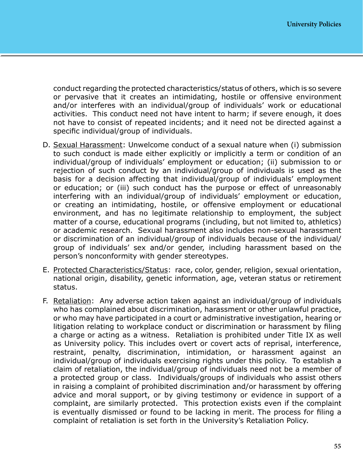conduct regarding the protected characteristics/status of others, which is so severe or pervasive that it creates an intimidating, hostile or offensive environment and/or interferes with an individual/group of individuals' work or educational activities. This conduct need not have intent to harm; if severe enough, it does not have to consist of repeated incidents; and it need not be directed against a specific individual/group of individuals.

- D. Sexual Harassment: Unwelcome conduct of a sexual nature when (i) submission to such conduct is made either explicitly or implicitly a term or condition of an individual/group of individuals' employment or education; (ii) submission to or rejection of such conduct by an individual/group of individuals is used as the basis for a decision affecting that individual/group of individuals' employment or education; or (iii) such conduct has the purpose or effect of unreasonably interfering with an individual/group of individuals' employment or education, or creating an intimidating, hostile, or offensive employment or educational environment, and has no legitimate relationship to employment, the subject matter of a course, educational programs (including, but not limited to, athletics) or academic research. Sexual harassment also includes non-sexual harassment or discrimination of an individual/group of individuals because of the individual/ group of individuals' sex and/or gender, including harassment based on the person's nonconformity with gender stereotypes.
- E. Protected Characteristics/Status: race, color, gender, religion, sexual orientation, national origin, disability, genetic information, age, veteran status or retirement status.
- F. Retaliation: Any adverse action taken against an individual/group of individuals who has complained about discrimination, harassment or other unlawful practice, or who may have participated in a court or administrative investigation, hearing or litigation relating to workplace conduct or discrimination or harassment by filing a charge or acting as a witness. Retaliation is prohibited under Title IX as well as University policy. This includes overt or covert acts of reprisal, interference, restraint, penalty, discrimination, intimidation, or harassment against an individual/group of individuals exercising rights under this policy. To establish a claim of retaliation, the individual/group of individuals need not be a member of a protected group or class. Individuals/groups of individuals who assist others in raising a complaint of prohibited discrimination and/or harassment by offering advice and moral support, or by giving testimony or evidence in support of a complaint, are similarly protected. This protection exists even if the complaint is eventually dismissed or found to be lacking in merit. The process for filing a complaint of retaliation is set forth in the University's Retaliation Policy.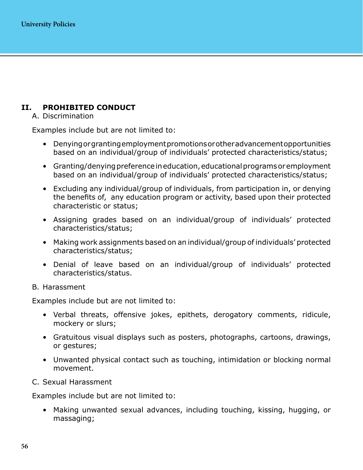# **II. PROHIBITED CONDUCT**

A. Discrimination

Examples include but are not limited to:

- Denying or granting employment promotions or other advancement opportunities based on an individual/group of individuals' protected characteristics/status;
- Granting/denying preference in education, educational programs or employment based on an individual/group of individuals' protected characteristics/status;
- Excluding any individual/group of individuals, from participation in, or denying the benefits of, any education program or activity, based upon their protected characteristic or status;
- Assigning grades based on an individual/group of individuals' protected characteristics/status;
- Making work assignments based on an individual/group of individuals' protected characteristics/status;
- Denial of leave based on an individual/group of individuals' protected characteristics/status.
- B. Harassment

Examples include but are not limited to:

- Verbal threats, offensive jokes, epithets, derogatory comments, ridicule, mockery or slurs;
- Gratuitous visual displays such as posters, photographs, cartoons, drawings, or gestures;
- Unwanted physical contact such as touching, intimidation or blocking normal movement.
- C. Sexual Harassment

Examples include but are not limited to:

• Making unwanted sexual advances, including touching, kissing, hugging, or massaging;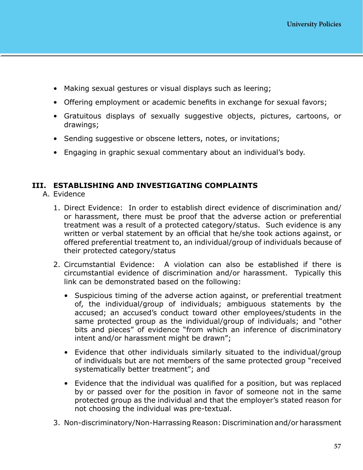- Making sexual gestures or visual displays such as leering;
- Offering employment or academic benefits in exchange for sexual favors;
- Gratuitous displays of sexually suggestive objects, pictures, cartoons, or drawings;
- Sending suggestive or obscene letters, notes, or invitations;
- Engaging in graphic sexual commentary about an individual's body.

#### **III. ESTABLISHING AND INVESTIGATING COMPLAINTS**

- A. Evidence
	- 1. Direct Evidence: In order to establish direct evidence of discrimination and/ or harassment, there must be proof that the adverse action or preferential treatment was a result of a protected category/status. Such evidence is any written or verbal statement by an official that he/she took actions against, or offered preferential treatment to, an individual/group of individuals because of their protected category/status
	- 2. Circumstantial Evidence: A violation can also be established if there is circumstantial evidence of discrimination and/or harassment. Typically this link can be demonstrated based on the following:
		- Suspicious timing of the adverse action against, or preferential treatment of, the individual/group of individuals; ambiguous statements by the accused; an accused's conduct toward other employees/students in the same protected group as the individual/group of individuals; and "other bits and pieces" of evidence "from which an inference of discriminatory intent and/or harassment might be drawn";
		- Evidence that other individuals similarly situated to the individual/group of individuals but are not members of the same protected group "received systematically better treatment"; and
		- Evidence that the individual was qualified for a position, but was replaced by or passed over for the position in favor of someone not in the same protected group as the individual and that the employer's stated reason for not choosing the individual was pre-textual.
	- 3. Non-discriminatory/Non-Harrassing Reason: Discrimination and/or harassment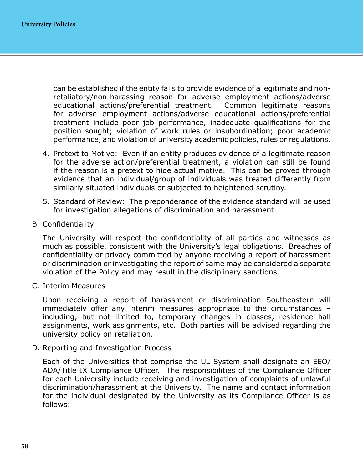can be established if the entity fails to provide evidence of a legitimate and nonretaliatory/non-harassing reason for adverse employment actions/adverse educational actions/preferential treatment. Common legitimate reasons for adverse employment actions/adverse educational actions/preferential treatment include poor job performance, inadequate qualifications for the position sought; violation of work rules or insubordination; poor academic performance, and violation of university academic policies, rules or regulations.

- 4. Pretext to Motive: Even if an entity produces evidence of a legitimate reason for the adverse action/preferential treatment, a violation can still be found if the reason is a pretext to hide actual motive. This can be proved through evidence that an individual/group of individuals was treated differently from similarly situated individuals or subjected to heightened scrutiny.
- 5. Standard of Review: The preponderance of the evidence standard will be used for investigation allegations of discrimination and harassment.
- B. Confidentiality

The University will respect the confidentiality of all parties and witnesses as much as possible, consistent with the University's legal obligations. Breaches of confidentiality or privacy committed by anyone receiving a report of harassment or discrimination or investigating the report of same may be considered a separate violation of the Policy and may result in the disciplinary sanctions.

C. Interim Measures

Upon receiving a report of harassment or discrimination Southeastern will immediately offer any interim measures appropriate to the circumstances – including, but not limited to, temporary changes in classes, residence hall assignments, work assignments, etc. Both parties will be advised regarding the university policy on retaliation.

D. Reporting and Investigation Process

Each of the Universities that comprise the UL System shall designate an EEO/ ADA/Title IX Compliance Officer. The responsibilities of the Compliance Officer for each University include receiving and investigation of complaints of unlawful discrimination/harassment at the University. The name and contact information for the individual designated by the University as its Compliance Officer is as follows: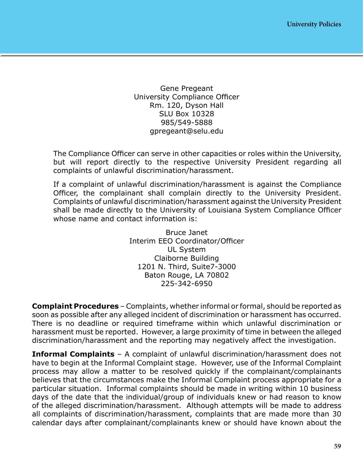Gene Pregeant University Compliance Officer Rm. 120, Dyson Hall SLU Box 10328 985/549-5888 gpregeant@selu.edu

The Compliance Officer can serve in other capacities or roles within the University, but will report directly to the respective University President regarding all complaints of unlawful discrimination/harassment.

If a complaint of unlawful discrimination/harassment is against the Compliance Officer, the complainant shall complain directly to the University President. Complaints of unlawful discrimination/harassment against the University President shall be made directly to the University of Louisiana System Compliance Officer whose name and contact information is:

> Bruce Janet Interim EEO Coordinator/Officer UL System Claiborne Building 1201 N. Third, Suite7-3000 Baton Rouge, LA 70802 225-342-6950

**Complaint Procedures** – Complaints, whether informal or formal, should be reported as soon as possible after any alleged incident of discrimination or harassment has occurred. There is no deadline or required timeframe within which unlawful discrimination or harassment must be reported. However, a large proximity of time in between the alleged discrimination/harassment and the reporting may negatively affect the investigation.

**Informal Complaints** – A complaint of unlawful discrimination/harassment does not have to begin at the Informal Complaint stage. However, use of the Informal Complaint process may allow a matter to be resolved quickly if the complainant/complainants believes that the circumstances make the Informal Complaint process appropriate for a particular situation. Informal complaints should be made in writing within 10 business days of the date that the individual/group of individuals knew or had reason to know of the alleged discrimination/harassment. Although attempts will be made to address all complaints of discrimination/harassment, complaints that are made more than 30 calendar days after complainant/complainants knew or should have known about the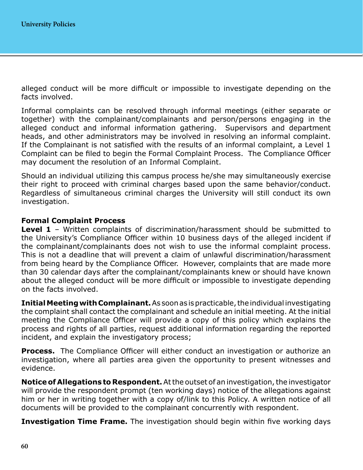alleged conduct will be more difficult or impossible to investigate depending on the facts involved.

Informal complaints can be resolved through informal meetings (either separate or together) with the complainant/complainants and person/persons engaging in the alleged conduct and informal information gathering. Supervisors and department heads, and other administrators may be involved in resolving an informal complaint. If the Complainant is not satisfied with the results of an informal complaint, a Level 1 Complaint can be filed to begin the Formal Complaint Process. The Compliance Officer may document the resolution of an Informal Complaint.

Should an individual utilizing this campus process he/she may simultaneously exercise their right to proceed with criminal charges based upon the same behavior/conduct. Regardless of simultaneous criminal charges the University will still conduct its own investigation.

## **Formal Complaint Process**

**Level 1** – Written complaints of discrimination/harassment should be submitted to the University's Compliance Officer within 10 business days of the alleged incident if the complainant/complainants does not wish to use the informal complaint process. This is not a deadline that will prevent a claim of unlawful discrimination/harassment from being heard by the Compliance Officer. However, complaints that are made more than 30 calendar days after the complainant/complainants knew or should have known about the alleged conduct will be more difficult or impossible to investigate depending on the facts involved.

**Initial Meeting with Complainant.** As soon as is practicable, the individual investigating the complaint shall contact the complainant and schedule an initial meeting. At the initial meeting the Compliance Officer will provide a copy of this policy which explains the process and rights of all parties, request additional information regarding the reported incident, and explain the investigatory process;

**Process.** The Compliance Officer will either conduct an investigation or authorize an investigation, where all parties area given the opportunity to present witnesses and evidence.

**Notice of Allegations to Respondent.** At the outset of an investigation, the investigator will provide the respondent prompt (ten working days) notice of the allegations against him or her in writing together with a copy of/link to this Policy. A written notice of all documents will be provided to the complainant concurrently with respondent.

**Investigation Time Frame.** The investigation should begin within five working days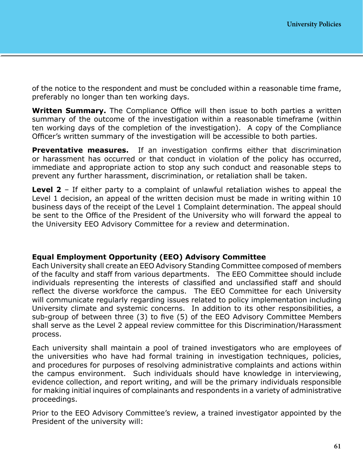of the notice to the respondent and must be concluded within a reasonable time frame, preferably no longer than ten working days.

**Written Summary.** The Compliance Office will then issue to both parties a written summary of the outcome of the investigation within a reasonable timeframe (within ten working days of the completion of the investigation). A copy of the Compliance Officer's written summary of the investigation will be accessible to both parties.

**Preventative measures.** If an investigation confirms either that discrimination or harassment has occurred or that conduct in violation of the policy has occurred, immediate and appropriate action to stop any such conduct and reasonable steps to prevent any further harassment, discrimination, or retaliation shall be taken.

**Level 2** – If either party to a complaint of unlawful retaliation wishes to appeal the Level 1 decision, an appeal of the written decision must be made in writing within 10 business days of the receipt of the Level 1 Complaint determination. The appeal should be sent to the Office of the President of the University who will forward the appeal to the University EEO Advisory Committee for a review and determination.

## **Equal Employment Opportunity (EEO) Advisory Committee**

Each University shall create an EEO Advisory Standing Committee composed of members of the faculty and staff from various departments. The EEO Committee should include individuals representing the interests of classified and unclassified staff and should reflect the diverse workforce the campus. The EEO Committee for each University will communicate regularly regarding issues related to policy implementation including University climate and systemic concerns. In addition to its other responsibilities, a sub-group of between three (3) to five (5) of the EEO Advisory Committee Members shall serve as the Level 2 appeal review committee for this Discrimination/Harassment process.

Each university shall maintain a pool of trained investigators who are employees of the universities who have had formal training in investigation techniques, policies, and procedures for purposes of resolving administrative complaints and actions within the campus environment. Such individuals should have knowledge in interviewing, evidence collection, and report writing, and will be the primary individuals responsible for making initial inquires of complainants and respondents in a variety of administrative proceedings.

Prior to the EEO Advisory Committee's review, a trained investigator appointed by the President of the university will: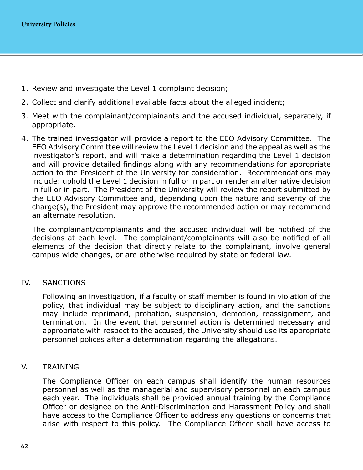- 1. Review and investigate the Level 1 complaint decision;
- 2. Collect and clarify additional available facts about the alleged incident;
- 3. Meet with the complainant/complainants and the accused individual, separately, if appropriate.
- 4. The trained investigator will provide a report to the EEO Advisory Committee. The EEO Advisory Committee will review the Level 1 decision and the appeal as well as the investigator's report, and will make a determination regarding the Level 1 decision and will provide detailed findings along with any recommendations for appropriate action to the President of the University for consideration. Recommendations may include: uphold the Level 1 decision in full or in part or render an alternative decision in full or in part. The President of the University will review the report submitted by the EEO Advisory Committee and, depending upon the nature and severity of the charge(s), the President may approve the recommended action or may recommend an alternate resolution.

The complainant/complainants and the accused individual will be notified of the decisions at each level. The complainant/complainants will also be notified of all elements of the decision that directly relate to the complainant, involve general campus wide changes, or are otherwise required by state or federal law.

#### IV. SANCTIONS

Following an investigation, if a faculty or staff member is found in violation of the policy, that individual may be subject to disciplinary action, and the sanctions may include reprimand, probation, suspension, demotion, reassignment, and termination. In the event that personnel action is determined necessary and appropriate with respect to the accused, the University should use its appropriate personnel polices after a determination regarding the allegations.

#### V. TRAINING

The Compliance Officer on each campus shall identify the human resources personnel as well as the managerial and supervisory personnel on each campus each year. The individuals shall be provided annual training by the Compliance Officer or designee on the Anti-Discrimination and Harassment Policy and shall have access to the Compliance Officer to address any questions or concerns that arise with respect to this policy. The Compliance Officer shall have access to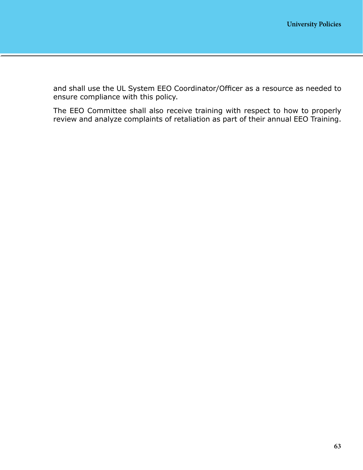and shall use the UL System EEO Coordinator/Officer as a resource as needed to ensure compliance with this policy.

The EEO Committee shall also receive training with respect to how to properly review and analyze complaints of retaliation as part of their annual EEO Training.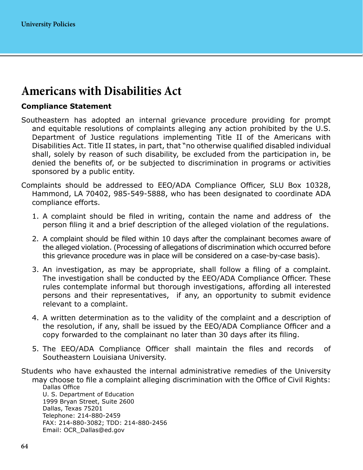# **Americans with Disabilities Act**

## **Compliance Statement**

- Southeastern has adopted an internal grievance procedure providing for prompt and equitable resolutions of complaints alleging any action prohibited by the U.S. Department of Justice regulations implementing Title II of the Americans with Disabilities Act. Title II states, in part, that "no otherwise qualified disabled individual shall, solely by reason of such disability, be excluded from the participation in, be denied the benefits of, or be subjected to discrimination in programs or activities sponsored by a public entity.
- Complaints should be addressed to EEO/ADA Compliance Officer, SLU Box 10328, Hammond, LA 70402, 985-549-5888, who has been designated to coordinate ADA compliance efforts.
	- 1. A complaint should be filed in writing, contain the name and address of the person filing it and a brief description of the alleged violation of the regulations.
	- 2. A complaint should be filed within 10 days after the complainant becomes aware of the alleged violation. (Processing of allegations of discrimination which occurred before this grievance procedure was in place will be considered on a case-by-case basis).
	- 3. An investigation, as may be appropriate, shall follow a filing of a complaint. The investigation shall be conducted by the EEO/ADA Compliance Officer. These rules contemplate informal but thorough investigations, affording all interested persons and their representatives, if any, an opportunity to submit evidence relevant to a complaint.
	- 4. A written determination as to the validity of the complaint and a description of the resolution, if any, shall be issued by the EEO/ADA Compliance Officer and a copy forwarded to the complainant no later than 30 days after its filing.
	- 5. The EEO/ADA Compliance Officer shall maintain the files and records of Southeastern Louisiana University.

Students who have exhausted the internal administrative remedies of the University

may choose to file a complaint alleging discrimination with the Office of Civil Rights: Dallas Office U. S. Department of Education 1999 Bryan Street, Suite 2600 Dallas, Texas 75201 Telephone: 214-880-2459 FAX: 214-880-3082; TDD: 214-880-2456 Email: OCR\_Dallas@ed.gov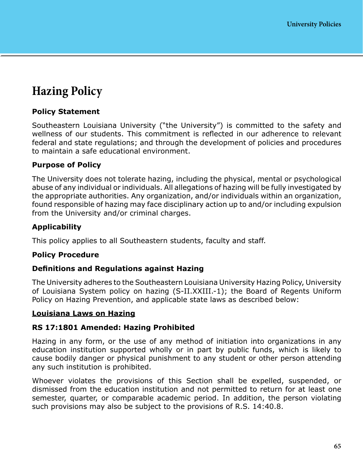# **Hazing Policy**

# **Policy Statement**

Southeastern Louisiana University ("the University") is committed to the safety and wellness of our students. This commitment is reflected in our adherence to relevant federal and state regulations; and through the development of policies and procedures to maintain a safe educational environment.

## **Purpose of Policy**

The University does not tolerate hazing, including the physical, mental or psychological abuse of any individual or individuals. All allegations of hazing will be fully investigated by the appropriate authorities. Any organization, and/or individuals within an organization, found responsible of hazing may face disciplinary action up to and/or including expulsion from the University and/or criminal charges.

## **Applicability**

This policy applies to all Southeastern students, faculty and staff.

## **Policy Procedure**

## **Definitions and Regulations against Hazing**

The University adheres to the Southeastern Louisiana University Hazing Policy, University of Louisiana System policy on hazing (S-II.XXIII.-1); the Board of Regents Uniform Policy on Hazing Prevention, and applicable state laws as described below:

## **Louisiana Laws on Hazing**

## **RS 17:1801 Amended: Hazing Prohibited**

Hazing in any form, or the use of any method of initiation into organizations in any education institution supported wholly or in part by public funds, which is likely to cause bodily danger or physical punishment to any student or other person attending any such institution is prohibited.

Whoever violates the provisions of this Section shall be expelled, suspended, or dismissed from the education institution and not permitted to return for at least one semester, quarter, or comparable academic period. In addition, the person violating such provisions may also be subject to the provisions of R.S. 14:40.8.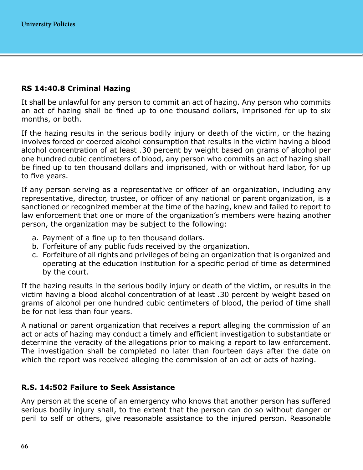## **RS 14:40.8 Criminal Hazing**

It shall be unlawful for any person to commit an act of hazing. Any person who commits an act of hazing shall be fined up to one thousand dollars, imprisoned for up to six months, or both.

If the hazing results in the serious bodily injury or death of the victim, or the hazing involves forced or coerced alcohol consumption that results in the victim having a blood alcohol concentration of at least .30 percent by weight based on grams of alcohol per one hundred cubic centimeters of blood, any person who commits an act of hazing shall be fined up to ten thousand dollars and imprisoned, with or without hard labor, for up to five years.

If any person serving as a representative or officer of an organization, including any representative, director, trustee, or officer of any national or parent organization, is a sanctioned or recognized member at the time of the hazing, knew and failed to report to law enforcement that one or more of the organization's members were hazing another person, the organization may be subject to the following:

- a. Payment of a fine up to ten thousand dollars.
- b. Forfeiture of any public fuds received by the organization.
- c. Forfeiture of all rights and privileges of being an organization that is organized and operating at the education institution for a specific period of time as determined by the court.

If the hazing results in the serious bodily injury or death of the victim, or results in the victim having a blood alcohol concentration of at least .30 percent by weight based on grams of alcohol per one hundred cubic centimeters of blood, the period of time shall be for not less than four years.

A national or parent organization that receives a report alleging the commission of an act or acts of hazing may conduct a timely and efficient investigation to substantiate or determine the veracity of the allegations prior to making a report to law enforcement. The investigation shall be completed no later than fourteen days after the date on which the report was received alleging the commission of an act or acts of hazing.

## **R.S. 14:502 Failure to Seek Assistance**

Any person at the scene of an emergency who knows that another person has suffered serious bodily injury shall, to the extent that the person can do so without danger or peril to self or others, give reasonable assistance to the injured person. Reasonable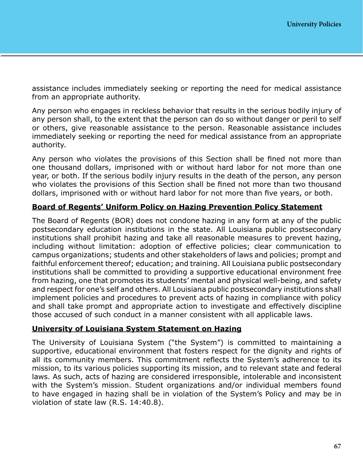assistance includes immediately seeking or reporting the need for medical assistance from an appropriate authority.

Any person who engages in reckless behavior that results in the serious bodily injury of any person shall, to the extent that the person can do so without danger or peril to self or others, give reasonable assistance to the person. Reasonable assistance includes immediately seeking or reporting the need for medical assistance from an appropriate authority.

Any person who violates the provisions of this Section shall be fined not more than one thousand dollars, imprisoned with or without hard labor for not more than one year, or both. If the serious bodily injury results in the death of the person, any person who violates the provisions of this Section shall be fined not more than two thousand dollars, imprisoned with or without hard labor for not more than five years, or both.

## **Board of Regents' Uniform Policy on Hazing Prevention Policy Statement**

The Board of Regents (BOR) does not condone hazing in any form at any of the public postsecondary education institutions in the state. All Louisiana public postsecondary institutions shall prohibit hazing and take all reasonable measures to prevent hazing, including without limitation: adoption of effective policies; clear communication to campus organizations; students and other stakeholders of laws and policies; prompt and faithful enforcement thereof; education; and training. All Louisiana public postsecondary institutions shall be committed to providing a supportive educational environment free from hazing, one that promotes its students' mental and physical well-being, and safety and respect for one's self and others. All Louisiana public postsecondary institutions shall implement policies and procedures to prevent acts of hazing in compliance with policy and shall take prompt and appropriate action to investigate and effectively discipline those accused of such conduct in a manner consistent with all applicable laws.

## **University of Louisiana System Statement on Hazing**

The University of Louisiana System ("the System") is committed to maintaining a supportive, educational environment that fosters respect for the dignity and rights of all its community members. This commitment reflects the System's adherence to its mission, to its various policies supporting its mission, and to relevant state and federal laws. As such, acts of hazing are considered irresponsible, intolerable and inconsistent with the System's mission. Student organizations and/or individual members found to have engaged in hazing shall be in violation of the System's Policy and may be in violation of state law (R.S. 14:40.8).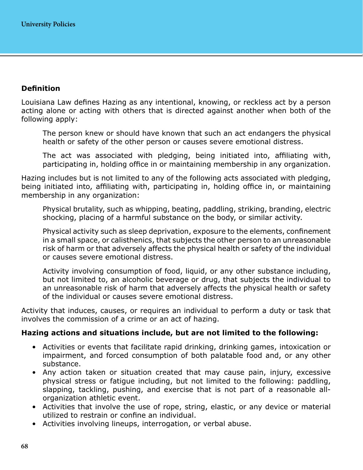# **Definition**

Louisiana Law defines Hazing as any intentional, knowing, or reckless act by a person acting alone or acting with others that is directed against another when both of the following apply:

The person knew or should have known that such an act endangers the physical health or safety of the other person or causes severe emotional distress.

The act was associated with pledging, being initiated into, affiliating with, participating in, holding office in or maintaining membership in any organization.

Hazing includes but is not limited to any of the following acts associated with pledging, being initiated into, affiliating with, participating in, holding office in, or maintaining membership in any organization:

Physical brutality, such as whipping, beating, paddling, striking, branding, electric shocking, placing of a harmful substance on the body, or similar activity.

Physical activity such as sleep deprivation, exposure to the elements, confinement in a small space, or calisthenics, that subjects the other person to an unreasonable risk of harm or that adversely affects the physical health or safety of the individual or causes severe emotional distress.

Activity involving consumption of food, liquid, or any other substance including, but not limited to, an alcoholic beverage or drug, that subjects the individual to an unreasonable risk of harm that adversely affects the physical health or safety of the individual or causes severe emotional distress.

Activity that induces, causes, or requires an individual to perform a duty or task that involves the commission of a crime or an act of hazing.

## **Hazing actions and situations include, but are not limited to the following:**

- Activities or events that facilitate rapid drinking, drinking games, intoxication or impairment, and forced consumption of both palatable food and, or any other substance.
- Any action taken or situation created that may cause pain, injury, excessive physical stress or fatigue including, but not limited to the following: paddling, slapping, tackling, pushing, and exercise that is not part of a reasonable allorganization athletic event.
- Activities that involve the use of rope, string, elastic, or any device or material utilized to restrain or confine an individual.
- Activities involving lineups, interrogation, or verbal abuse.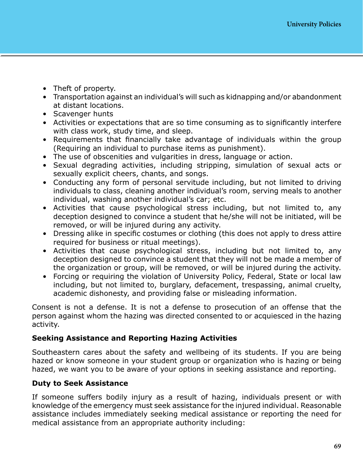- Theft of property.
- Transportation against an individual's will such as kidnapping and/or abandonment at distant locations.
- Scavenger hunts
- Activities or expectations that are so time consuming as to significantly interfere with class work, study time, and sleep.
- Requirements that financially take advantage of individuals within the group (Requiring an individual to purchase items as punishment).
- The use of obscenities and vulgarities in dress, language or action.
- Sexual degrading activities, including stripping, simulation of sexual acts or sexually explicit cheers, chants, and songs.
- Conducting any form of personal servitude including, but not limited to driving individuals to class, cleaning another individual's room, serving meals to another individual, washing another individual's car; etc.
- Activities that cause psychological stress including, but not limited to, any deception designed to convince a student that he/she will not be initiated, will be removed, or will be injured during any activity.
- Dressing alike in specific costumes or clothing (this does not apply to dress attire required for business or ritual meetings).
- Activities that cause psychological stress, including but not limited to, any deception designed to convince a student that they will not be made a member of the organization or group, will be removed, or will be injured during the activity.
- Forcing or requiring the violation of University Policy, Federal, State or local law including, but not limited to, burglary, defacement, trespassing, animal cruelty, academic dishonesty, and providing false or misleading information.

Consent is not a defense. It is not a defense to prosecution of an offense that the person against whom the hazing was directed consented to or acquiesced in the hazing activity.

## **Seeking Assistance and Reporting Hazing Activities**

Southeastern cares about the safety and wellbeing of its students. If you are being hazed or know someone in your student group or organization who is hazing or being hazed, we want you to be aware of your options in seeking assistance and reporting.

# **Duty to Seek Assistance**

If someone suffers bodily injury as a result of hazing, individuals present or with knowledge of the emergency must seek assistance for the injured individual. Reasonable assistance includes immediately seeking medical assistance or reporting the need for medical assistance from an appropriate authority including: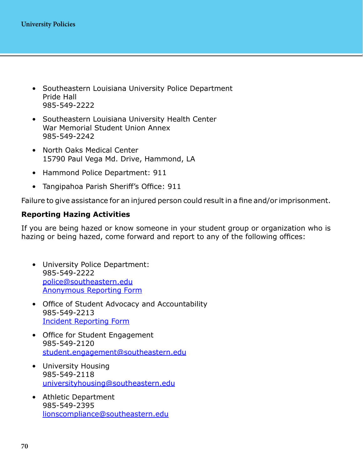- Southeastern Louisiana University Police Department Pride Hall 985-549-2222
- Southeastern Louisiana University Health Center War Memorial Student Union Annex 985-549-2242
- North Oaks Medical Center 15790 Paul Vega Md. Drive, Hammond, LA
- Hammond Police Department: 911
- Tangipahoa Parish Sheriff's Office: 911

Failure to give assistance for an injured person could result in a fine and/or imprisonment.

# **Reporting Hazing Activities**

If you are being hazed or know someone in your student group or organization who is hazing or being hazed, come forward and report to any of the following offices:

- University Police Department: 985-549-2222 [police@southeastern.edu](mailto:police%40southeastern.edu?subject=) [Anonymous Reporting Form](https://www.southeastern.edu/admin/police/anonymous_reporting/index.html)
- Office of Student Advocacy and Accountability 985-549-2213 [Incident Reporting Form](https://www2.southeastern.edu/external/apps/incident_report/login)
- Office for Student Engagement 985-549-2120 [student.engagement@southeastern.edu](mailto:student.engagement%40southeastern.edu?subject=)
- University Housing 985-549-2118 [universityhousing@southeastern.edu](mailto:universityhousing%40southeastern.edu?subject=)
- Athletic Department 985-549-2395 [lionscompliance@southeastern.edu](mailto:lionscompliance%40southeastern.edu?subject=)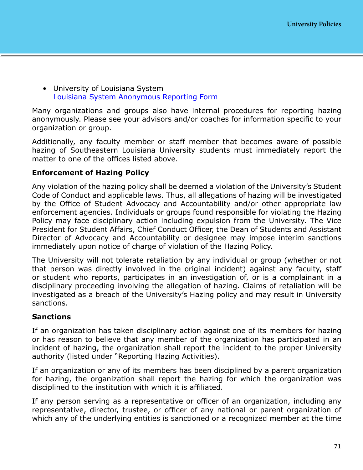• University of Louisiana System [Louisiana System Anonymous Reporting Form](https://www.ulsystem.edu/hazing/)

Many organizations and groups also have internal procedures for reporting hazing anonymously. Please see your advisors and/or coaches for information specific to your organization or group.

Additionally, any faculty member or staff member that becomes aware of possible hazing of Southeastern Louisiana University students must immediately report the matter to one of the offices listed above.

#### **Enforcement of Hazing Policy**

Any violation of the hazing policy shall be deemed a violation of the University's Student Code of Conduct and applicable laws. Thus, all allegations of hazing will be investigated by the Office of Student Advocacy and Accountability and/or other appropriate law enforcement agencies. Individuals or groups found responsible for violating the Hazing Policy may face disciplinary action including expulsion from the University. The Vice President for Student Affairs, Chief Conduct Officer, the Dean of Students and Assistant Director of Advocacy and Accountability or designee may impose interim sanctions immediately upon notice of charge of violation of the Hazing Policy.

The University will not tolerate retaliation by any individual or group (whether or not that person was directly involved in the original incident) against any faculty, staff or student who reports, participates in an investigation of, or is a complainant in a disciplinary proceeding involving the allegation of hazing. Claims of retaliation will be investigated as a breach of the University's Hazing policy and may result in University sanctions.

#### **Sanctions**

If an organization has taken disciplinary action against one of its members for hazing or has reason to believe that any member of the organization has participated in an incident of hazing, the organization shall report the incident to the proper University authority (listed under "Reporting Hazing Activities).

If an organization or any of its members has been disciplined by a parent organization for hazing, the organization shall report the hazing for which the organization was disciplined to the institution with which it is affiliated.

If any person serving as a representative or officer of an organization, including any representative, director, trustee, or officer of any national or parent organization of which any of the underlying entities is sanctioned or a recognized member at the time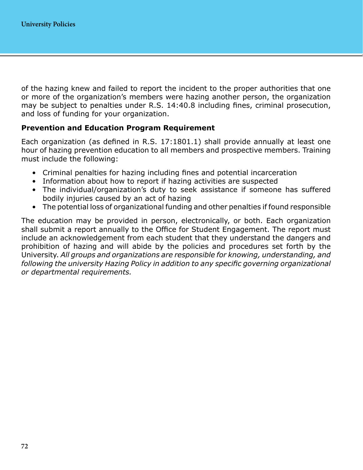of the hazing knew and failed to report the incident to the proper authorities that one or more of the organization's members were hazing another person, the organization may be subject to penalties under R.S. 14:40.8 including fines, criminal prosecution, and loss of funding for your organization.

#### **Prevention and Education Program Requirement**

Each organization (as defined in R.S. 17:1801.1) shall provide annually at least one hour of hazing prevention education to all members and prospective members. Training must include the following:

- Criminal penalties for hazing including fines and potential incarceration
- Information about how to report if hazing activities are suspected
- The individual/organization's duty to seek assistance if someone has suffered bodily injuries caused by an act of hazing
- The potential loss of organizational funding and other penalties if found responsible

The education may be provided in person, electronically, or both. Each organization shall submit a report annually to the Office for Student Engagement. The report must include an acknowledgement from each student that they understand the dangers and prohibition of hazing and will abide by the policies and procedures set forth by the University. *All groups and organizations are responsible for knowing, understanding, and following the university Hazing Policy in addition to any specific governing organizational or departmental requirements.*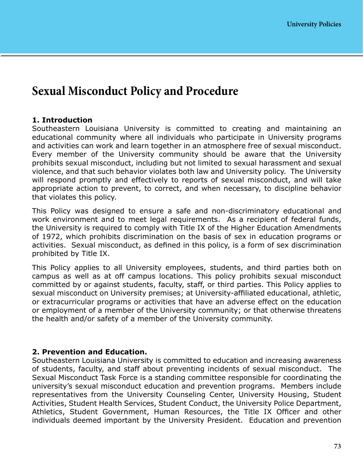### **Sexual Misconduct Policy and Procedure**

#### **1. Introduction**

Southeastern Louisiana University is committed to creating and maintaining an educational community where all individuals who participate in University programs and activities can work and learn together in an atmosphere free of sexual misconduct. Every member of the University community should be aware that the University prohibits sexual misconduct, including but not limited to sexual harassment and sexual violence, and that such behavior violates both law and University policy. The University will respond promptly and effectively to reports of sexual misconduct, and will take appropriate action to prevent, to correct, and when necessary, to discipline behavior that violates this policy.

This Policy was designed to ensure a safe and non-discriminatory educational and work environment and to meet legal requirements. As a recipient of federal funds, the University is required to comply with Title IX of the Higher Education Amendments of 1972, which prohibits discrimination on the basis of sex in education programs or activities. Sexual misconduct, as defined in this policy, is a form of sex discrimination prohibited by Title IX.

This Policy applies to all University employees, students, and third parties both on campus as well as at off campus locations. This policy prohibits sexual misconduct committed by or against students, faculty, staff, or third parties. This Policy applies to sexual misconduct on University premises; at University-affiliated educational, athletic, or extracurricular programs or activities that have an adverse effect on the education or employment of a member of the University community; or that otherwise threatens the health and/or safety of a member of the University community.

#### **2. Prevention and Education.**

Southeastern Louisiana University is committed to education and increasing awareness of students, faculty, and staff about preventing incidents of sexual misconduct. The Sexual Misconduct Task Force is a standing committee responsible for coordinating the university's sexual misconduct education and prevention programs. Members include representatives from the University Counseling Center, University Housing, Student Activities, Student Health Services, Student Conduct, the University Police Department, Athletics, Student Government, Human Resources, the Title IX Officer and other individuals deemed important by the University President. Education and prevention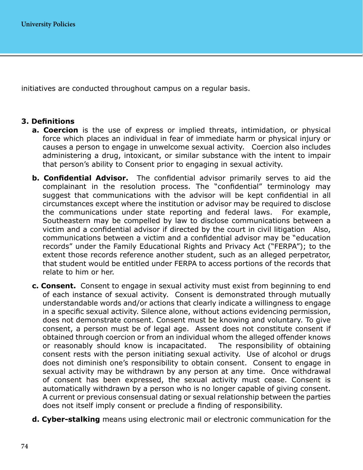initiatives are conducted throughout campus on a regular basis.

#### **3. Definitions**

- **a. Coercion** is the use of express or implied threats, intimidation, or physical force which places an individual in fear of immediate harm or physical injury or causes a person to engage in unwelcome sexual activity. Coercion also includes administering a drug, intoxicant, or similar substance with the intent to impair that person's ability to Consent prior to engaging in sexual activity.
- **b. Confidential Advisor.** The confidential advisor primarily serves to aid the complainant in the resolution process. The "confidential" terminology may suggest that communications with the advisor will be kept confidential in all circumstances except where the institution or advisor may be required to disclose the communications under state reporting and federal laws. For example, Southeastern may be compelled by law to disclose communications between a victim and a confidential advisor if directed by the court in civil litigation Also, communications between a victim and a confidential advisor may be "education records" under the Family Educational Rights and Privacy Act ("FERPA"); to the extent those records reference another student, such as an alleged perpetrator, that student would be entitled under FERPA to access portions of the records that relate to him or her.
- **c. Consent.** Consent to engage in sexual activity must exist from beginning to end of each instance of sexual activity. Consent is demonstrated through mutually understandable words and/or actions that clearly indicate a willingness to engage in a specific sexual activity. Silence alone, without actions evidencing permission, does not demonstrate consent. Consent must be knowing and voluntary. To give consent, a person must be of legal age. Assent does not constitute consent if obtained through coercion or from an individual whom the alleged offender knows or reasonably should know is incapacitated. The responsibility of obtaining consent rests with the person initiating sexual activity. Use of alcohol or drugs does not diminish one's responsibility to obtain consent. Consent to engage in sexual activity may be withdrawn by any person at any time. Once withdrawal of consent has been expressed, the sexual activity must cease. Consent is automatically withdrawn by a person who is no longer capable of giving consent. A current or previous consensual dating or sexual relationship between the parties does not itself imply consent or preclude a finding of responsibility.
- **d. Cyber-stalking** means using electronic mail or electronic communication for the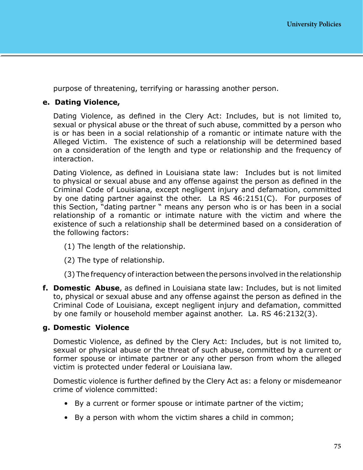purpose of threatening, terrifying or harassing another person.

#### **e. Dating Violence,**

Dating Violence, as defined in the Clery Act: Includes, but is not limited to, sexual or physical abuse or the threat of such abuse, committed by a person who is or has been in a social relationship of a romantic or intimate nature with the Alleged Victim. The existence of such a relationship will be determined based on a consideration of the length and type or relationship and the frequency of interaction.

Dating Violence, as defined in Louisiana state law: Includes but is not limited to physical or sexual abuse and any offense against the person as defined in the Criminal Code of Louisiana, except negligent injury and defamation, committed by one dating partner against the other. La RS 46:2151(C). For purposes of this Section, "dating partner " means any person who is or has been in a social relationship of a romantic or intimate nature with the victim and where the existence of such a relationship shall be determined based on a consideration of the following factors:

- (1) The length of the relationship.
- (2) The type of relationship.
- (3) The frequency of interaction between the persons involved in the relationship
- **f. Domestic Abuse**, as defined in Louisiana state law: Includes, but is not limited to, physical or sexual abuse and any offense against the person as defined in the Criminal Code of Louisiana, except negligent injury and defamation, committed by one family or household member against another. La. RS 46:2132(3).

#### **g. Domestic Violence**

Domestic Violence, as defined by the Clery Act: Includes, but is not limited to, sexual or physical abuse or the threat of such abuse, committed by a current or former spouse or intimate partner or any other person from whom the alleged victim is protected under federal or Louisiana law.

Domestic violence is further defined by the Clery Act as: a felony or misdemeanor crime of violence committed:

- By a current or former spouse or intimate partner of the victim;
- By a person with whom the victim shares a child in common;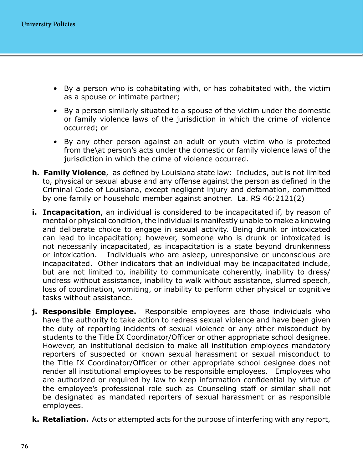- By a person who is cohabitating with, or has cohabitated with, the victim as a spouse or intimate partner;
- By a person similarly situated to a spouse of the victim under the domestic or family violence laws of the jurisdiction in which the crime of violence occurred; or
- By any other person against an adult or youth victim who is protected from the\at person's acts under the domestic or family violence laws of the jurisdiction in which the crime of violence occurred.
- **h. Family Violence**, as defined by Louisiana state law: Includes, but is not limited to, physical or sexual abuse and any offense against the person as defined in the Criminal Code of Louisiana, except negligent injury and defamation, committed by one family or household member against another. La. RS 46:2121(2)
- **i. Incapacitation**, an individual is considered to be incapacitated if, by reason of mental or physical condition, the individual is manifestly unable to make a knowing and deliberate choice to engage in sexual activity. Being drunk or intoxicated can lead to incapacitation; however, someone who is drunk or intoxicated is not necessarily incapacitated, as incapacitation is a state beyond drunkenness or intoxication. Individuals who are asleep, unresponsive or unconscious are incapacitated. Other indicators that an individual may be incapacitated include, but are not limited to, inability to communicate coherently, inability to dress/ undress without assistance, inability to walk without assistance, slurred speech, loss of coordination, vomiting, or inability to perform other physical or cognitive tasks without assistance.
- **j. Responsible Employee.** Responsible employees are those individuals who have the authority to take action to redress sexual violence and have been given the duty of reporting incidents of sexual violence or any other misconduct by students to the Title IX Coordinator/Officer or other appropriate school designee. However, an institutional decision to make all institution employees mandatory reporters of suspected or known sexual harassment or sexual misconduct to the Title IX Coordinator/Officer or other appropriate school designee does not render all institutional employees to be responsible employees. Employees who are authorized or required by law to keep information confidential by virtue of the employee's professional role such as Counseling staff or similar shall not be designated as mandated reporters of sexual harassment or as responsible employees.
- **k. Retaliation.** Acts or attempted acts for the purpose of interfering with any report,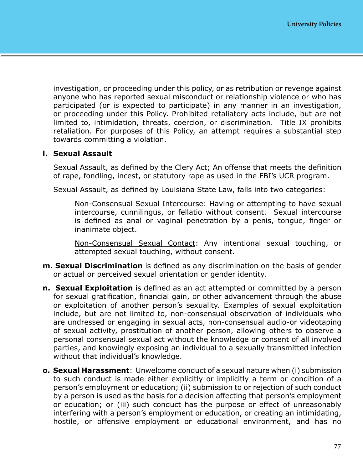investigation, or proceeding under this policy, or as retribution or revenge against anyone who has reported sexual misconduct or relationship violence or who has participated (or is expected to participate) in any manner in an investigation, or proceeding under this Policy. Prohibited retaliatory acts include, but are not limited to, intimidation, threats, coercion, or discrimination. Title IX prohibits retaliation. For purposes of this Policy, an attempt requires a substantial step towards committing a violation.

#### **l. Sexual Assault**

Sexual Assault, as defined by the Clery Act; An offense that meets the definition of rape, fondling, incest, or statutory rape as used in the FBI's UCR program.

Sexual Assault, as defined by Louisiana State Law, falls into two categories:

Non-Consensual Sexual Intercourse: Having or attempting to have sexual intercourse, cunnilingus, or fellatio without consent. Sexual intercourse is defined as anal or vaginal penetration by a penis, tongue, finger or inanimate object.

Non-Consensual Sexual Contact: Any intentional sexual touching, or attempted sexual touching, without consent.

- **m. Sexual Discrimination** is defined as any discrimination on the basis of gender or actual or perceived sexual orientation or gender identity.
- **n. Sexual Exploitation** is defined as an act attempted or committed by a person for sexual gratification, financial gain, or other advancement through the abuse or exploitation of another person's sexuality. Examples of sexual exploitation include, but are not limited to, non-consensual observation of individuals who are undressed or engaging in sexual acts, non-consensual audio-or videotaping of sexual activity, prostitution of another person, allowing others to observe a personal consensual sexual act without the knowledge or consent of all involved parties, and knowingly exposing an individual to a sexually transmitted infection without that individual's knowledge.
- **o. Sexual Harassment**: Unwelcome conduct of a sexual nature when (i) submission to such conduct is made either explicitly or implicitly a term or condition of a person's employment or education; (ii) submission to or rejection of such conduct by a person is used as the basis for a decision affecting that person's employment or education; or (iii) such conduct has the purpose or effect of unreasonably interfering with a person's employment or education, or creating an intimidating, hostile, or offensive employment or educational environment, and has no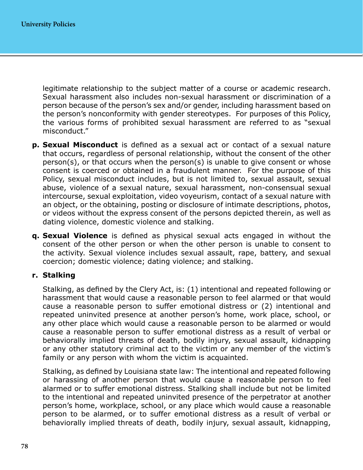legitimate relationship to the subject matter of a course or academic research. Sexual harassment also includes non-sexual harassment or discrimination of a person because of the person's sex and/or gender, including harassment based on the person's nonconformity with gender stereotypes. For purposes of this Policy, the various forms of prohibited sexual harassment are referred to as "sexual misconduct."

- **p. Sexual Misconduct** is defined as a sexual act or contact of a sexual nature that occurs, regardless of personal relationship, without the consent of the other person(s), or that occurs when the person(s) is unable to give consent or whose consent is coerced or obtained in a fraudulent manner. For the purpose of this Policy, sexual misconduct includes, but is not limited to, sexual assault, sexual abuse, violence of a sexual nature, sexual harassment, non-consensual sexual intercourse, sexual exploitation, video voyeurism, contact of a sexual nature with an object, or the obtaining, posting or disclosure of intimate descriptions, photos, or videos without the express consent of the persons depicted therein, as well as dating violence, domestic violence and stalking.
- **q. Sexual Violence** is defined as physical sexual acts engaged in without the consent of the other person or when the other person is unable to consent to the activity. Sexual violence includes sexual assault, rape, battery, and sexual coercion; domestic violence; dating violence; and stalking.

#### **r. Stalking**

Stalking, as defined by the Clery Act, is: (1) intentional and repeated following or harassment that would cause a reasonable person to feel alarmed or that would cause a reasonable person to suffer emotional distress or (2) intentional and repeated uninvited presence at another person's home, work place, school, or any other place which would cause a reasonable person to be alarmed or would cause a reasonable person to suffer emotional distress as a result of verbal or behaviorally implied threats of death, bodily injury, sexual assault, kidnapping or any other statutory criminal act to the victim or any member of the victim's family or any person with whom the victim is acquainted.

Stalking, as defined by Louisiana state law: The intentional and repeated following or harassing of another person that would cause a reasonable person to feel alarmed or to suffer emotional distress. Stalking shall include but not be limited to the intentional and repeated uninvited presence of the perpetrator at another person's home, workplace, school, or any place which would cause a reasonable person to be alarmed, or to suffer emotional distress as a result of verbal or behaviorally implied threats of death, bodily injury, sexual assault, kidnapping,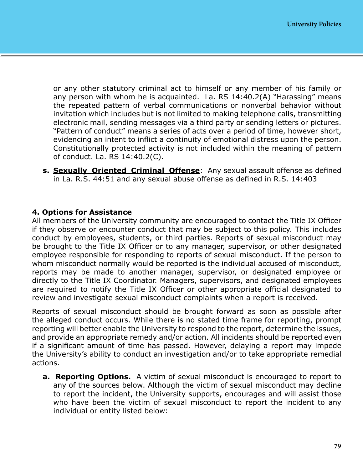or any other statutory criminal act to himself or any member of his family or any person with whom he is acquainted. La. RS 14:40.2(A) "Harassing" means the repeated pattern of verbal communications or nonverbal behavior without invitation which includes but is not limited to making telephone calls, transmitting electronic mail, sending messages via a third party or sending letters or pictures. "Pattern of conduct" means a series of acts over a period of time, however short, evidencing an intent to inflict a continuity of emotional distress upon the person. Constitutionally protected activity is not included within the meaning of pattern of conduct. La. RS 14:40.2(C).

**s. Sexually Oriented Criminal Offense**: Any sexual assault offense as defined in La. R.S. 44:51 and any sexual abuse offense as defined in R.S. 14:403

#### **4. Options for Assistance**

All members of the University community are encouraged to contact the Title IX Officer if they observe or encounter conduct that may be subject to this policy. This includes conduct by employees, students, or third parties. Reports of sexual misconduct may be brought to the Title IX Officer or to any manager, supervisor, or other designated employee responsible for responding to reports of sexual misconduct. If the person to whom misconduct normally would be reported is the individual accused of misconduct, reports may be made to another manager, supervisor, or designated employee or directly to the Title IX Coordinator. Managers, supervisors, and designated employees are required to notify the Title IX Officer or other appropriate official designated to review and investigate sexual misconduct complaints when a report is received.

Reports of sexual misconduct should be brought forward as soon as possible after the alleged conduct occurs. While there is no stated time frame for reporting, prompt reporting will better enable the University to respond to the report, determine the issues, and provide an appropriate remedy and/or action. All incidents should be reported even if a significant amount of time has passed. However, delaying a report may impede the University's ability to conduct an investigation and/or to take appropriate remedial actions.

**a. Reporting Options.** A victim of sexual misconduct is encouraged to report to any of the sources below. Although the victim of sexual misconduct may decline to report the incident, the University supports, encourages and will assist those who have been the victim of sexual misconduct to report the incident to any individual or entity listed below: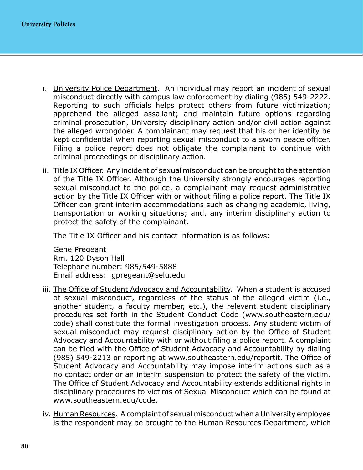- i. University Police Department. An individual may report an incident of sexual misconduct directly with campus law enforcement by dialing (985) 549-2222. Reporting to such officials helps protect others from future victimization; apprehend the alleged assailant; and maintain future options regarding criminal prosecution, University disciplinary action and/or civil action against the alleged wrongdoer. A complainant may request that his or her identity be kept confidential when reporting sexual misconduct to a sworn peace officer. Filing a police report does not obligate the complainant to continue with criminal proceedings or disciplinary action.
- ii. Title IX Officer. Any incident of sexual misconduct can be brought to the attention of the Title IX Officer. Although the University strongly encourages reporting sexual misconduct to the police, a complainant may request administrative action by the Title IX Officer with or without filing a police report. The Title IX Officer can grant interim accommodations such as changing academic, living, transportation or working situations; and, any interim disciplinary action to protect the safety of the complainant.

The Title IX Officer and his contact information is as follows:

Gene Pregeant Rm. 120 Dyson Hall Telephone number: 985/549-5888 Email address: gpregeant@selu.edu

- iii. The Office of Student Advocacy and Accountability. When a student is accused of sexual misconduct, regardless of the status of the alleged victim (i.e., another student, a faculty member, etc.), the relevant student disciplinary procedures set forth in the Student Conduct Code ([www.southeastern.edu/](http://www.southeastern.edu/code) [code](http://www.southeastern.edu/code)) shall constitute the formal investigation process. Any student victim of sexual misconduct may request disciplinary action by the Office of Student Advocacy and Accountability with or without filing a police report. A complaint can be filed with the Office of Student Advocacy and Accountability by dialing (985) 549-2213 or reporting at [www.southeastern.edu/reportit](http://www.southeastern.edu/reportit). The Office of Student Advocacy and Accountability may impose interim actions such as a no contact order or an interim suspension to protect the safety of the victim. The Office of Student Advocacy and Accountability extends additional rights in disciplinary procedures to victims of Sexual Misconduct which can be found at [www.southeastern.edu/code](http://www.southeastern.edu/code).
- iv. Human Resources. A complaint of sexual misconduct when a University employee is the respondent may be brought to the Human Resources Department, which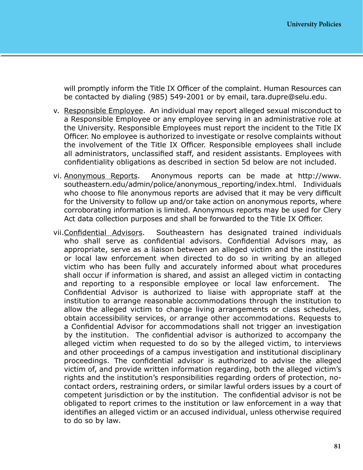will promptly inform the Title IX Officer of the complaint. Human Resources can be contacted by dialing (985) 549-2001 or by email, tara.dupre@selu.edu.

- v. Responsible Employee. An individual may report alleged sexual misconduct to a Responsible Employee or any employee serving in an administrative role at the University. Responsible Employees must report the incident to the Title IX Officer. No employee is authorized to investigate or resolve complaints without the involvement of the Title IX Officer. Responsible employees shall include all administrators, unclassified staff, and resident assistants. Employees with confidentiality obligations as described in section 5d below are not included.
- vi. Anonymous Reports. Anonymous reports can be made at [http://www.](http://www.southeastern.edu/admin/police/anonymous_reporting/index.html) [southeastern.edu/admin/police/anonymous\\_reporting/index.html](http://www.southeastern.edu/admin/police/anonymous_reporting/index.html). Individuals who choose to file anonymous reports are advised that it may be very difficult for the University to follow up and/or take action on anonymous reports, where corroborating information is limited. Anonymous reports may be used for Clery Act data collection purposes and shall be forwarded to the Title IX Officer.
- vii.Confidential Advisors. Southeastern has designated trained individuals who shall serve as confidential advisors. Confidential Advisors may, as appropriate, serve as a liaison between an alleged victim and the institution or local law enforcement when directed to do so in writing by an alleged victim who has been fully and accurately informed about what procedures shall occur if information is shared, and assist an alleged victim in contacting and reporting to a responsible employee or local law enforcement. Confidential Advisor is authorized to liaise with appropriate staff at the institution to arrange reasonable accommodations through the institution to allow the alleged victim to change living arrangements or class schedules, obtain accessibility services, or arrange other accommodations. Requests to a Confidential Advisor for accommodations shall not trigger an investigation by the institution. The confidential advisor is authorized to accompany the alleged victim when requested to do so by the alleged victim, to interviews and other proceedings of a campus investigation and institutional disciplinary proceedings. The confidential advisor is authorized to advise the alleged victim of, and provide written information regarding, both the alleged victim's rights and the institution's responsibilities regarding orders of protection, nocontact orders, restraining orders, or similar lawful orders issues by a court of competent jurisdiction or by the institution. The confidential advisor is not be obligated to report crimes to the institution or law enforcement in a way that identifies an alleged victim or an accused individual, unless otherwise required to do so by law.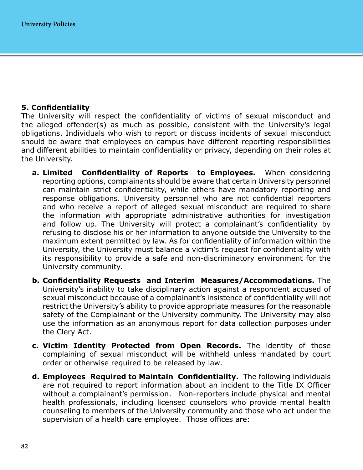#### **5. Confidentiality**

The University will respect the confidentiality of victims of sexual misconduct and the alleged offender(s) as much as possible, consistent with the University's legal obligations. Individuals who wish to report or discuss incidents of sexual misconduct should be aware that employees on campus have different reporting responsibilities and different abilities to maintain confidentiality or privacy, depending on their roles at the University.

- **a. Limited Confidentiality of Reports to Employees.** When considering reporting options, complainants should be aware that certain University personnel can maintain strict confidentiality, while others have mandatory reporting and response obligations. University personnel who are not confidential reporters and who receive a report of alleged sexual misconduct are required to share the information with appropriate administrative authorities for investigation and follow up. The University will protect a complainant's confidentiality by refusing to disclose his or her information to anyone outside the University to the maximum extent permitted by law. As for confidentiality of information within the University, the University must balance a victim's request for confidentiality with its responsibility to provide a safe and non-discriminatory environment for the University community.
- **b. Confidentiality Requests and Interim Measures/Accommodations.** The University's inability to take disciplinary action against a respondent accused of sexual misconduct because of a complainant's insistence of confidentiality will not restrict the University's ability to provide appropriate measures for the reasonable safety of the Complainant or the University community. The University may also use the information as an anonymous report for data collection purposes under the Clery Act.
- **c. Victim Identity Protected from Open Records.** The identity of those complaining of sexual misconduct will be withheld unless mandated by court order or otherwise required to be released by law.
- **d. Employees Required to Maintain Confidentiality.** The following individuals are not required to report information about an incident to the Title IX Officer without a complainant's permission. Non-reporters include physical and mental health professionals, including licensed counselors who provide mental health counseling to members of the University community and those who act under the supervision of a health care employee. Those offices are: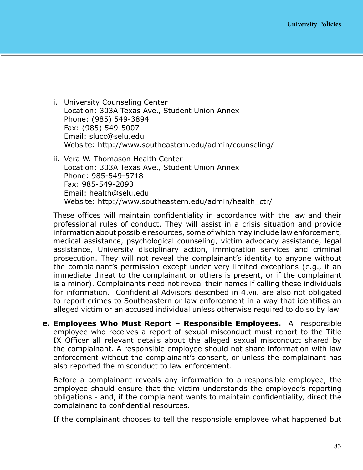- i. University Counseling Center Location: 303A Texas Ave., Student Union Annex Phone: (985) 549-3894 Fax: (985) 549-5007 Email: [slucc@selu.edu](mailto:slucc@selu.edu) Website: <http://www.southeastern.edu/admin/counseling/>
- ii. Vera W. Thomason Health Center Location: 303A Texas Ave., Student Union Annex Phone: 985-549-5718 Fax: 985-549-2093 Email: [health@selu.edu](mailto:health@selu.edu) Website: [http://www.southeastern.edu/admin/health\\_ctr/](http://www.southeastern.edu/admin/health_ctr/)

These offices will maintain confidentiality in accordance with the law and their professional rules of conduct. They will assist in a crisis situation and provide information about possible resources, some of which may include law enforcement, medical assistance, psychological counseling, victim advocacy assistance, legal assistance, University disciplinary action, immigration services and criminal prosecution. They will not reveal the complainant's identity to anyone without the complainant's permission except under very limited exceptions (e.g., if an immediate threat to the complainant or others is present, or if the complainant is a minor). Complainants need not reveal their names if calling these individuals for information. Confidential Advisors described in 4.vii. are also not obligated to report crimes to Southeastern or law enforcement in a way that identifies an alleged victim or an accused individual unless otherwise required to do so by law.

**e. Employees Who Must Report – Responsible Employees.** A responsible employee who receives a report of sexual misconduct must report to the Title IX Officer all relevant details about the alleged sexual misconduct shared by the complainant. A responsible employee should not share information with law enforcement without the complainant's consent, or unless the complainant has also reported the misconduct to law enforcement.

Before a complainant reveals any information to a responsible employee, the employee should ensure that the victim understands the employee's reporting obligations - and, if the complainant wants to maintain confidentiality, direct the complainant to confidential resources.

If the complainant chooses to tell the responsible employee what happened but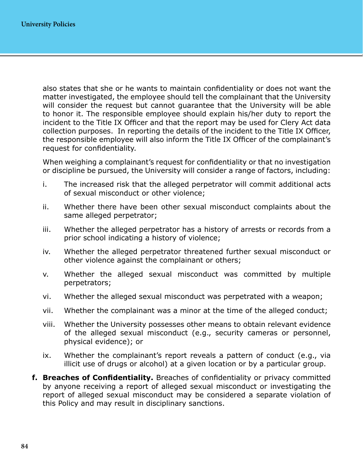also states that she or he wants to maintain confidentiality or does not want the matter investigated, the employee should tell the complainant that the University will consider the request but cannot guarantee that the University will be able to honor it. The responsible employee should explain his/her duty to report the incident to the Title IX Officer and that the report may be used for Clery Act data collection purposes. In reporting the details of the incident to the Title IX Officer, the responsible employee will also inform the Title IX Officer of the complainant's request for confidentiality.

When weighing a complainant's request for confidentiality or that no investigation or discipline be pursued, the University will consider a range of factors, including:

- i. The increased risk that the alleged perpetrator will commit additional acts of sexual misconduct or other violence;
- ii. Whether there have been other sexual misconduct complaints about the same alleged perpetrator;
- iii. Whether the alleged perpetrator has a history of arrests or records from a prior school indicating a history of violence;
- iv. Whether the alleged perpetrator threatened further sexual misconduct or other violence against the complainant or others;
- v. Whether the alleged sexual misconduct was committed by multiple perpetrators;
- vi. Whether the alleged sexual misconduct was perpetrated with a weapon;
- vii. Whether the complainant was a minor at the time of the alleged conduct;
- viii. Whether the University possesses other means to obtain relevant evidence of the alleged sexual misconduct (e.g., security cameras or personnel, physical evidence); or
- ix. Whether the complainant's report reveals a pattern of conduct (e.g., via illicit use of drugs or alcohol) at a given location or by a particular group.
- **f. Breaches of Confidentiality.** Breaches of confidentiality or privacy committed by anyone receiving a report of alleged sexual misconduct or investigating the report of alleged sexual misconduct may be considered a separate violation of this Policy and may result in disciplinary sanctions.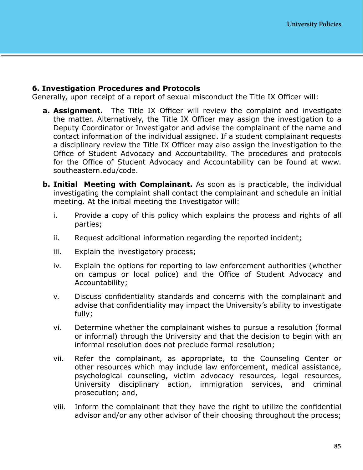#### **6. Investigation Procedures and Protocols**

Generally, upon receipt of a report of sexual misconduct the Title IX Officer will:

- **a. Assignment.** The Title IX Officer will review the complaint and investigate the matter. Alternatively, the Title IX Officer may assign the investigation to a Deputy Coordinator or Investigator and advise the complainant of the name and contact information of the individual assigned. If a student complainant requests a disciplinary review the Title IX Officer may also assign the investigation to the Office of Student Advocacy and Accountability. The procedures and protocols for the Office of Student Advocacy and Accountability can be found at [www.](http://www.southeastern.edu/code) [southeastern.edu/code.](http://www.southeastern.edu/code)
- **b. Initial Meeting with Complainant.** As soon as is practicable, the individual investigating the complaint shall contact the complainant and schedule an initial meeting. At the initial meeting the Investigator will:
	- i. Provide a copy of this policy which explains the process and rights of all parties;
	- ii. Request additional information regarding the reported incident;
	- iii. Explain the investigatory process;
	- iv. Explain the options for reporting to law enforcement authorities (whether on campus or local police) and the Office of Student Advocacy and Accountability;
	- v. Discuss confidentiality standards and concerns with the complainant and advise that confidentiality may impact the University's ability to investigate fully;
	- vi. Determine whether the complainant wishes to pursue a resolution (formal or informal) through the University and that the decision to begin with an informal resolution does not preclude formal resolution;
	- vii. Refer the complainant, as appropriate, to the Counseling Center or other resources which may include law enforcement, medical assistance, psychological counseling, victim advocacy resources, legal resources, University disciplinary action, immigration services, and criminal prosecution; and,
	- viii. Inform the complainant that they have the right to utilize the confidential advisor and/or any other advisor of their choosing throughout the process;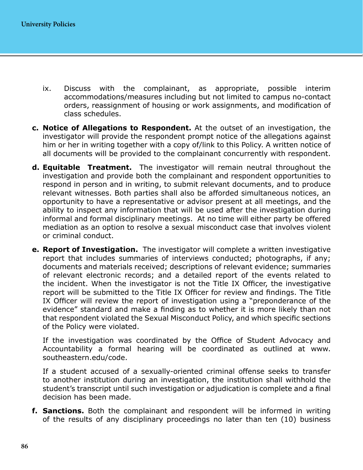- ix. Discuss with the complainant, as appropriate, possible interim accommodations/measures including but not limited to campus no-contact orders, reassignment of housing or work assignments, and modification of class schedules.
- **c. Notice of Allegations to Respondent.** At the outset of an investigation, the investigator will provide the respondent prompt notice of the allegations against him or her in writing together with a copy of/link to this Policy. A written notice of all documents will be provided to the complainant concurrently with respondent.
- **d. Equitable Treatment.** The investigator will remain neutral throughout the investigation and provide both the complainant and respondent opportunities to respond in person and in writing, to submit relevant documents, and to produce relevant witnesses. Both parties shall also be afforded simultaneous notices, an opportunity to have a representative or advisor present at all meetings, and the ability to inspect any information that will be used after the investigation during informal and formal disciplinary meetings. At no time will either party be offered mediation as an option to resolve a sexual misconduct case that involves violent or criminal conduct.
- **e. Report of Investigation.** The investigator will complete a written investigative report that includes summaries of interviews conducted; photographs, if any; documents and materials received; descriptions of relevant evidence; summaries of relevant electronic records; and a detailed report of the events related to the incident. When the investigator is not the Title IX Officer, the investigative report will be submitted to the Title IX Officer for review and findings. The Title IX Officer will review the report of investigation using a "preponderance of the evidence" standard and make a finding as to whether it is more likely than not that respondent violated the Sexual Misconduct Policy, and which specific sections of the Policy were violated.

If the investigation was coordinated by the Office of Student Advocacy and Accountability a formal hearing will be coordinated as outlined at [www.](http://www.southeastern.edu/code) [southeastern.edu/code.](http://www.southeastern.edu/code)

If a student accused of a sexually-oriented criminal offense seeks to transfer to another institution during an investigation, the institution shall withhold the student's transcript until such investigation or adjudication is complete and a final decision has been made.

**f. Sanctions.** Both the complainant and respondent will be informed in writing of the results of any disciplinary proceedings no later than ten (10) business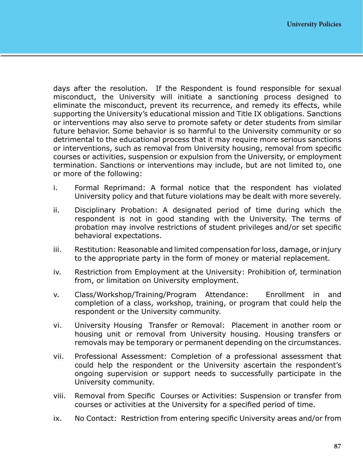days after the resolution. If the Respondent is found responsible for sexual misconduct, the University will initiate a sanctioning process designed to eliminate the misconduct, prevent its recurrence, and remedy its effects, while supporting the University's educational mission and Title IX obligations. Sanctions or interventions may also serve to promote safety or deter students from similar future behavior. Some behavior is so harmful to the University community or so detrimental to the educational process that it may require more serious sanctions or interventions, such as removal from University housing, removal from specific courses or activities, suspension or expulsion from the University, or employment termination. Sanctions or interventions may include, but are not limited to, one or more of the following:

- i. Formal Reprimand: A formal notice that the respondent has violated University policy and that future violations may be dealt with more severely.
- ii. Disciplinary Probation: A designated period of time during which the respondent is not in good standing with the University. The terms of probation may involve restrictions of student privileges and/or set specific behavioral expectations.
- iii. Restitution: Reasonable and limited compensation for loss, damage, or injury to the appropriate party in the form of money or material replacement.
- iv. Restriction from Employment at the University: Prohibition of, termination from, or limitation on University employment.
- v. Class/Workshop/Training/Program Attendance: Enrollment in and completion of a class, workshop, training, or program that could help the respondent or the University community.
- vi. University Housing Transfer or Removal: Placement in another room or housing unit or removal from University housing. Housing transfers or removals may be temporary or permanent depending on the circumstances.
- vii. Professional Assessment: Completion of a professional assessment that could help the respondent or the University ascertain the respondent's ongoing supervision or support needs to successfully participate in the University community.
- viii. Removal from Specific Courses or Activities: Suspension or transfer from courses or activities at the University for a specified period of time.
- ix. No Contact: Restriction from entering specific University areas and/or from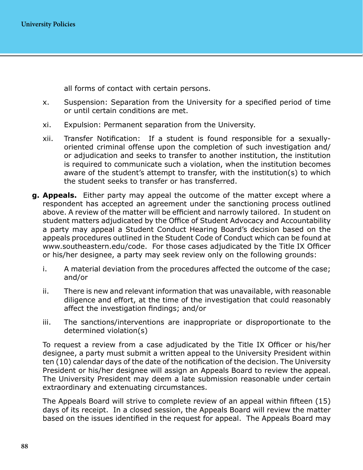all forms of contact with certain persons.

- x. Suspension: Separation from the University for a specified period of time or until certain conditions are met.
- xi. Expulsion: Permanent separation from the University.
- xii. Transfer Notification: If a student is found responsible for a sexuallyoriented criminal offense upon the completion of such investigation and/ or adjudication and seeks to transfer to another institution, the institution is required to communicate such a violation, when the institution becomes aware of the student's attempt to transfer, with the institution(s) to which the student seeks to transfer or has transferred.
- **g. Appeals.** Either party may appeal the outcome of the matter except where a respondent has accepted an agreement under the sanctioning process outlined above. A review of the matter will be efficient and narrowly tailored. In student on student matters adjudicated by the Office of Student Advocacy and Accountability a party may appeal a Student Conduct Hearing Board's decision based on the appeals procedures outlined in the Student Code of Conduct which can be found at [www.southeastern.edu/code](http://www.southeastern.edu/code). For those cases adjudicated by the Title IX Officer or his/her designee, a party may seek review only on the following grounds:
	- i. A material deviation from the procedures affected the outcome of the case; and/or
	- ii. There is new and relevant information that was unavailable, with reasonable diligence and effort, at the time of the investigation that could reasonably affect the investigation findings; and/or
	- iii. The sanctions/interventions are inappropriate or disproportionate to the determined violation(s)

To request a review from a case adjudicated by the Title IX Officer or his/her designee, a party must submit a written appeal to the University President within ten (10) calendar days of the date of the notification of the decision. The University President or his/her designee will assign an Appeals Board to review the appeal. The University President may deem a late submission reasonable under certain extraordinary and extenuating circumstances.

The Appeals Board will strive to complete review of an appeal within fifteen (15) days of its receipt. In a closed session, the Appeals Board will review the matter based on the issues identified in the request for appeal. The Appeals Board may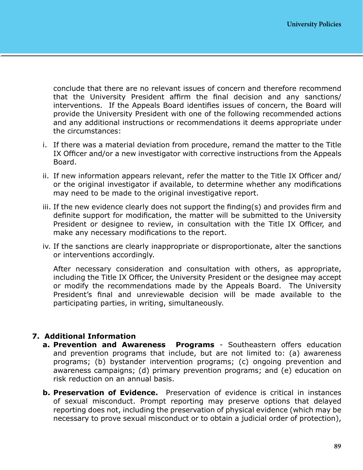conclude that there are no relevant issues of concern and therefore recommend that the University President affirm the final decision and any sanctions/ interventions. If the Appeals Board identifies issues of concern, the Board will provide the University President with one of the following recommended actions and any additional instructions or recommendations it deems appropriate under the circumstances:

- i. If there was a material deviation from procedure, remand the matter to the Title IX Officer and/or a new investigator with corrective instructions from the Appeals Board.
- ii. If new information appears relevant, refer the matter to the Title IX Officer and/ or the original investigator if available, to determine whether any modifications may need to be made to the original investigative report.
- iii. If the new evidence clearly does not support the finding(s) and provides firm and definite support for modification, the matter will be submitted to the University President or designee to review, in consultation with the Title IX Officer, and make any necessary modifications to the report.
- iv. If the sanctions are clearly inappropriate or disproportionate, alter the sanctions or interventions accordingly.

After necessary consideration and consultation with others, as appropriate, including the Title IX Officer, the University President or the designee may accept or modify the recommendations made by the Appeals Board. The University President's final and unreviewable decision will be made available to the participating parties, in writing, simultaneously.

#### **7. Additional Information**

- **a. Prevention and Awareness Programs** Southeastern offers education and prevention programs that include, but are not limited to: (a) awareness programs; (b) bystander intervention programs; (c) ongoing prevention and awareness campaigns; (d) primary prevention programs; and (e) education on risk reduction on an annual basis.
- **b. Preservation of Evidence.** Preservation of evidence is critical in instances of sexual misconduct. Prompt reporting may preserve options that delayed reporting does not, including the preservation of physical evidence (which may be necessary to prove sexual misconduct or to obtain a judicial order of protection),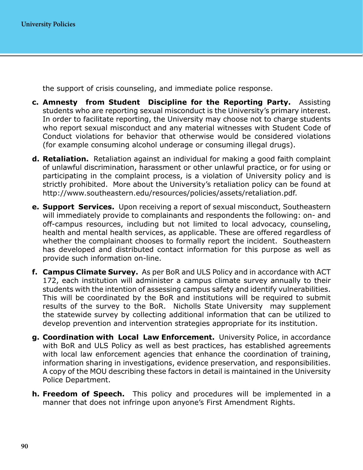the support of crisis counseling, and immediate police response.

- **c. Amnesty from Student Discipline for the Reporting Party.** Assisting students who are reporting sexual misconduct is the University's primary interest. In order to facilitate reporting, the University may choose not to charge students who report sexual misconduct and any material witnesses with Student Code of Conduct violations for behavior that otherwise would be considered violations (for example consuming alcohol underage or consuming illegal drugs).
- **d. Retaliation.** Retaliation against an individual for making a good faith complaint of unlawful discrimination, harassment or other unlawful practice, or for using or participating in the complaint process, is a violation of University policy and is strictly prohibited. More about the University's retaliation policy can be found at <http://www.southeastern.edu/resources/policies/assets/retaliation.pdf>.
- **e. Support Services.** Upon receiving a report of sexual misconduct, Southeastern will immediately provide to complainants and respondents the following: on- and off-campus resources, including but not limited to local advocacy, counseling, health and mental health services, as applicable. These are offered regardless of whether the complainant chooses to formally report the incident. Southeastern has developed and distributed contact information for this purpose as well as provide such information on-line.
- **f. Campus Climate Survey.** As per BoR and ULS Policy and in accordance with ACT 172, each institution will administer a campus climate survey annually to their students with the intention of assessing campus safety and identify vulnerabilities. This will be coordinated by the BoR and institutions will be required to submit results of the survey to the BoR. Nicholls State University may supplement the statewide survey by collecting additional information that can be utilized to develop prevention and intervention strategies appropriate for its institution.
- **g. Coordination with Local Law Enforcement.** University Police, in accordance with BoR and ULS Policy as well as best practices, has established agreements with local law enforcement agencies that enhance the coordination of training, information sharing in investigations, evidence preservation, and responsibilities. A copy of the MOU describing these factors in detail is maintained in the University Police Department.
- **h. Freedom of Speech.** This policy and procedures will be implemented in a manner that does not infringe upon anyone's First Amendment Rights.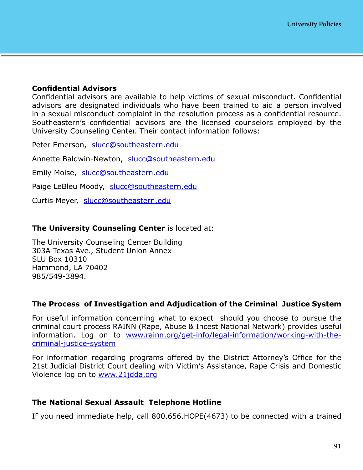#### **Confidential Advisors**

Confidential advisors are available to help victims of sexual misconduct. Confidential advisors are designated individuals who have been trained to aid a person involved in a sexual misconduct complaint in the resolution process as a confidential resource. Southeastern's confidential advisors are the licensed counselors employed by the University Counseling Center. Their contact information follows:

Peter Emerson, [slucc@southeastern.edu](mailto:slucc%40southeastern.edu?subject=)

Annette Baldwin-Newton, [slucc@southeastern.edu](mailto:slucc%40southeastern.edu?subject=)

Emily Moise, [slucc@southeastern.edu](mailto:slucc%40southeastern.edu?subject=)

Paige LeBleu Moody, [slucc@southeastern.edu](mailto:slucc%40southeastern.edu?subject=)

Curtis Meyer, [slucc@southeastern.edu](mailto:slucc%40southeastern.edu?subject=)

#### **The University Counseling Center** is located at:

The University Counseling Center Building 303A Texas Ave., Student Union Annex SLU Box 10310 Hammond, LA 70402 985/549-3894.

#### **The Process of Investigation and Adjudication of the Criminal Justice System**

For useful information concerning what to expect should you choose to pursue the criminal court process RAINN (Rape, Abuse & Incest National Network) provides useful information. Log on to [www.rainn.org/get-info/legal-information/working-with-the](http://www.rainn.org/get-info/legal-information/working-with-the-criminal-justice-system)[criminal-justice-system](http://www.rainn.org/get-info/legal-information/working-with-the-criminal-justice-system)

For information regarding programs offered by the District Attorney's Office for the 21st Judicial District Court dealing with Victim's Assistance, Rape Crisis and Domestic Violence log on to [www.21jdda.org](http://www.21jdda.org)

#### **The National Sexual Assault Telephone Hotline**

If you need immediate help, call 800.656.HOPE(4673) to be connected with a trained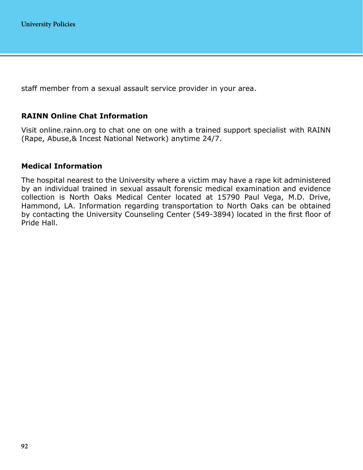staff member from a sexual assault service provider in your area.

#### **RAINN Online Chat Information**

Visit online.rainn.org to chat one on one with a trained support specialist with RAINN (Rape, Abuse,& Incest National Network) anytime 24/7.

#### **Medical Information**

The hospital nearest to the University where a victim may have a rape kit administered by an individual trained in sexual assault forensic medical examination and evidence collection is North Oaks Medical Center located at 15790 Paul Vega, M.D. Drive, Hammond, LA. Information regarding transportation to North Oaks can be obtained by contacting the University Counseling Center (549-3894) located in the first floor of Pride Hall.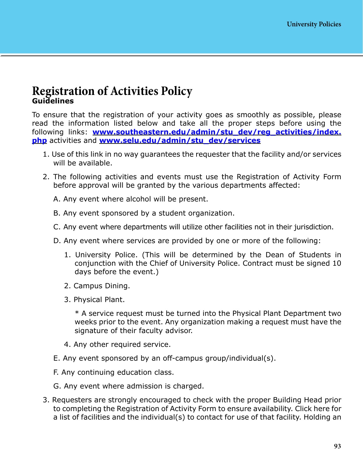### **Registration of Activities Policy Guidelines**

To ensure that the registration of your activity goes as smoothly as possible, please read the information listed below and take all the proper steps before using the following links: **[www.southeastern.edu/admin/stu\\_dev/reg\\_activities/index.](https://www.southeastern.edu/admin/stu_dev/reg_activities/index.php) [php](https://www.southeastern.edu/admin/stu_dev/reg_activities/index.php)** activities and **[www.selu.edu/admin/stu\\_dev/services](www.selu.edu/admin/stu_dev/services)**

- 1. Use of this link in no way guarantees the requester that the facility and/or services will be available.
- 2. The following activities and events must use the Registration of Activity Form before approval will be granted by the various departments affected:
	- A. Any event where alcohol will be present.
	- B. Any event sponsored by a student organization.
	- C. Any event where departments will utilize other facilities not in their jurisdiction.
	- D. Any event where services are provided by one or more of the following:
		- 1. University Police. (This will be determined by the Dean of Students in conjunction with the Chief of University Police. Contract must be signed 10 days before the event.)
		- 2. Campus Dining.
		- 3. Physical Plant.

\* A service request must be turned into the Physical Plant Department two weeks prior to the event. Any organization making a request must have the signature of their faculty advisor.

- 4. Any other required service.
- E. Any event sponsored by an off-campus group/individual(s).
- F. Any continuing education class.
- G. Any event where admission is charged.
- 3. Requesters are strongly encouraged to check with the proper Building Head prior to completing the Registration of Activity Form to ensure availability. Click here for a list of facilities and the individual(s) to contact for use of that facility. Holding an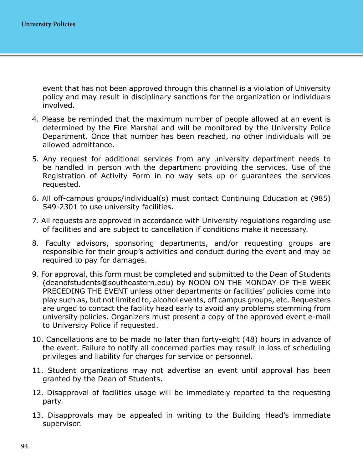event that has not been approved through this channel is a violation of University policy and may result in disciplinary sanctions for the organization or individuals involved.

- 4. Please be reminded that the maximum number of people allowed at an event is determined by the Fire Marshal and will be monitored by the University Police Department. Once that number has been reached, no other individuals will be allowed admittance.
- 5. Any request for additional services from any university department needs to be handled in person with the department providing the services. Use of the Registration of Activity Form in no way sets up or guarantees the services requested.
- 6. All off-campus groups/individual(s) must contact Continuing Education at (985) 549-2301 to use university facilities.
- 7. All requests are approved in accordance with University regulations regarding use of facilities and are subject to cancellation if conditions make it necessary.
- 8. Faculty advisors, sponsoring departments, and/or requesting groups are responsible for their group's activities and conduct during the event and may be required to pay for damages.
- 9. For approval, this form must be completed and submitted to the Dean of Students (deanofstudents@southeastern.edu) by NOON ON THE MONDAY OF THE WEEK PRECEDING THE EVENT unless other departments or facilities' policies come into play such as, but not limited to, alcohol events, off campus groups, etc. Requesters are urged to contact the facility head early to avoid any problems stemming from university policies. Organizers must present a copy of the approved event e-mail to University Police if requested.
- 10. Cancellations are to be made no later than forty-eight (48) hours in advance of the event. Failure to notify all concerned parties may result in loss of scheduling privileges and liability for charges for service or personnel.
- 11. Student organizations may not advertise an event until approval has been granted by the Dean of Students.
- 12. Disapproval of facilities usage will be immediately reported to the requesting party.
- 13. Disapprovals may be appealed in writing to the Building Head's immediate supervisor.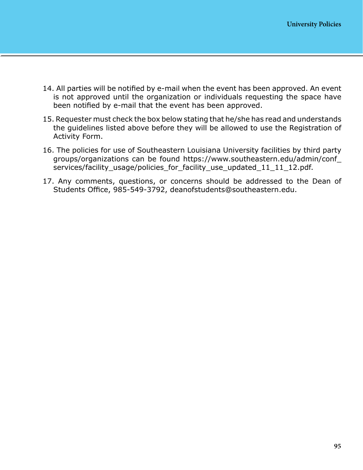- 14. All parties will be notified by e-mail when the event has been approved. An event is not approved until the organization or individuals requesting the space have been notified by e-mail that the event has been approved.
- 15. Requester must check the box below stating that he/she has read and understands the guidelines listed above before they will be allowed to use the Registration of Activity Form.
- 16. The policies for use of Southeastern Louisiana University facilities by third party groups/organizations can be found https://www.southeastern.edu/admin/conf\_ services/facility\_usage/policies\_for\_facility\_use\_updated\_11\_11\_12.pdf.
- 17. Any comments, questions, or concerns should be addressed to the Dean of Students Office, 985-549-3792, deanofstudents@southeastern.edu.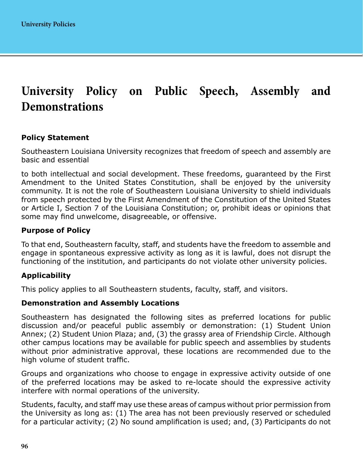# **University Policy on Public Speech, Assembly and Demonstrations**

#### **Policy Statement**

Southeastern Louisiana University recognizes that freedom of speech and assembly are basic and essential

to both intellectual and social development. These freedoms, guaranteed by the First Amendment to the United States Constitution, shall be enjoyed by the university community. It is not the role of Southeastern Louisiana University to shield individuals from speech protected by the First Amendment of the Constitution of the United States or Article I, Section 7 of the Louisiana Constitution; or, prohibit ideas or opinions that some may find unwelcome, disagreeable, or offensive.

#### **Purpose of Policy**

To that end, Southeastern faculty, staff, and students have the freedom to assemble and engage in spontaneous expressive activity as long as it is lawful, does not disrupt the functioning of the institution, and participants do not violate other university policies.

#### **Applicability**

This policy applies to all Southeastern students, faculty, staff, and visitors.

#### **Demonstration and Assembly Locations**

Southeastern has designated the following sites as preferred locations for public discussion and/or peaceful public assembly or demonstration: (1) Student Union Annex; (2) Student Union Plaza; and, (3) the grassy area of Friendship Circle. Although other campus locations may be available for public speech and assemblies by students without prior administrative approval, these locations are recommended due to the high volume of student traffic.

Groups and organizations who choose to engage in expressive activity outside of one of the preferred locations may be asked to re-locate should the expressive activity interfere with normal operations of the university.

Students, faculty, and staff may use these areas of campus without prior permission from the University as long as: (1) The area has not been previously reserved or scheduled for a particular activity; (2) No sound amplification is used; and, (3) Participants do not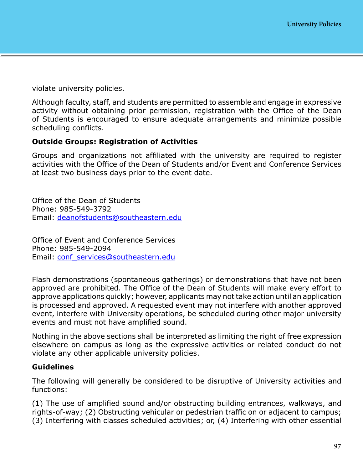violate university policies.

Although faculty, staff, and students are permitted to assemble and engage in expressive activity without obtaining prior permission, registration with the Office of the Dean of Students is encouraged to ensure adequate arrangements and minimize possible scheduling conflicts.

#### **Outside Groups: Registration of Activities**

Groups and organizations not affiliated with the university are required to register activities with the Office of the Dean of Students and/or Event and Conference Services at least two business days prior to the event date.

Office of the Dean of Students Phone: 985-549-3792 Email: [deanofstudents@southeastern.edu](mailto:deanofstudents%40southeastern.edu?subject=)

Office of Event and Conference Services Phone: 985-549-2094 Email: [conf\\_services@southeastern.edu](mailto:conf_services%40southeastern.edu?subject=)

Flash demonstrations (spontaneous gatherings) or demonstrations that have not been approved are prohibited. The Office of the Dean of Students will make every effort to approve applications quickly; however, applicants may not take action until an application is processed and approved. A requested event may not interfere with another approved event, interfere with University operations, be scheduled during other major university events and must not have amplified sound.

Nothing in the above sections shall be interpreted as limiting the right of free expression elsewhere on campus as long as the expressive activities or related conduct do not violate any other applicable university policies.

#### **Guidelines**

The following will generally be considered to be disruptive of University activities and functions:

(1) The use of amplified sound and/or obstructing building entrances, walkways, and rights-of-way; (2) Obstructing vehicular or pedestrian traffic on or adjacent to campus; (3) Interfering with classes scheduled activities; or, (4) Interfering with other essential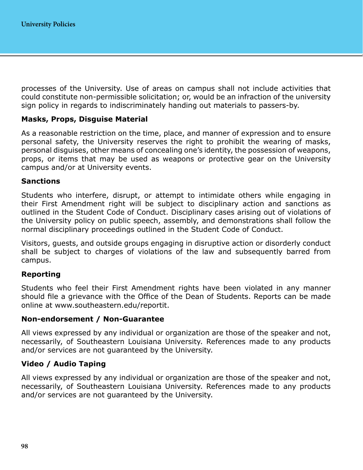processes of the University. Use of areas on campus shall not include activities that could constitute non-permissible solicitation; or, would be an infraction of the university sign policy in regards to indiscriminately handing out materials to passers-by.

#### **Masks, Props, Disguise Material**

As a reasonable restriction on the time, place, and manner of expression and to ensure personal safety, the University reserves the right to prohibit the wearing of masks, personal disguises, other means of concealing one's identity, the possession of weapons, props, or items that may be used as weapons or protective gear on the University campus and/or at University events.

#### **Sanctions**

Students who interfere, disrupt, or attempt to intimidate others while engaging in their First Amendment right will be subject to disciplinary action and sanctions as outlined in the Student Code of Conduct. Disciplinary cases arising out of violations of the University policy on public speech, assembly, and demonstrations shall follow the normal disciplinary proceedings outlined in the Student Code of Conduct.

Visitors, guests, and outside groups engaging in disruptive action or disorderly conduct shall be subject to charges of violations of the law and subsequently barred from campus.

#### **Reporting**

Students who feel their First Amendment rights have been violated in any manner should file a grievance with the Office of the Dean of Students. Reports can be made online at www.southeastern.edu/reportit.

#### **Non-endorsement / Non-Guarantee**

All views expressed by any individual or organization are those of the speaker and not, necessarily, of Southeastern Louisiana University. References made to any products and/or services are not guaranteed by the University.

#### **Video / Audio Taping**

All views expressed by any individual or organization are those of the speaker and not, necessarily, of Southeastern Louisiana University. References made to any products and/or services are not guaranteed by the University.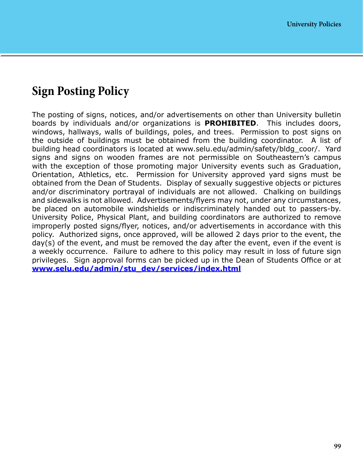## **Sign Posting Policy**

The posting of signs, notices, and/or advertisements on other than University bulletin boards by individuals and/or organizations is **PROHIBITED**. This includes doors, windows, hallways, walls of buildings, poles, and trees. Permission to post signs on the outside of buildings must be obtained from the building coordinator. A list of building head coordinators is located at [www.selu.edu/admin/safety/bldg\\_coor/](http://www.selu.edu/admin/safety/bldg_coor/). Yard signs and signs on wooden frames are not permissible on Southeastern's campus with the exception of those promoting major University events such as Graduation, Orientation, Athletics, etc. Permission for University approved yard signs must be obtained from the Dean of Students. Display of sexually suggestive objects or pictures and/or discriminatory portrayal of individuals are not allowed. Chalking on buildings and sidewalks is not allowed. Advertisements/flyers may not, under any circumstances, be placed on automobile windshields or indiscriminately handed out to passers-by. University Police, Physical Plant, and building coordinators are authorized to remove improperly posted signs/flyer, notices, and/or advertisements in accordance with this policy. Authorized signs, once approved, will be allowed 2 days prior to the event, the day(s) of the event, and must be removed the day after the event, even if the event is a weekly occurrence. Failure to adhere to this policy may result in loss of future sign privileges. Sign approval forms can be picked up in the Dean of Students Office or at **[www.selu.edu/admin/stu\\_dev/services/index.html](http://www.selu.edu/admin/stu_dev/services/index.html)**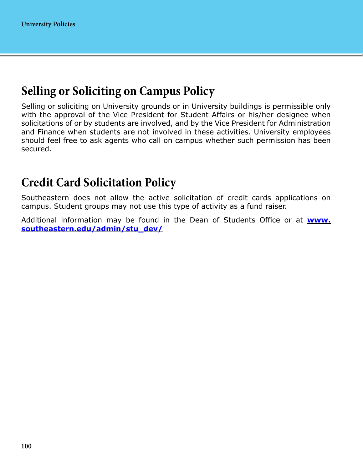### **Selling or Soliciting on Campus Policy**

Selling or soliciting on University grounds or in University buildings is permissible only with the approval of the Vice President for Student Affairs or his/her designee when solicitations of or by students are involved, and by the Vice President for Administration and Finance when students are not involved in these activities. University employees should feel free to ask agents who call on campus whether such permission has been secured.

### **Credit Card Solicitation Policy**

Southeastern does not allow the active solicitation of credit cards applications on campus. Student groups may not use this type of activity as a fund raiser.

Additional information may be found in the Dean of Students Office or at **[www.](http://www.southeastern.edu/admin/stu_dev/) [southeastern.edu/admin/stu\\_dev/](http://www.southeastern.edu/admin/stu_dev/)**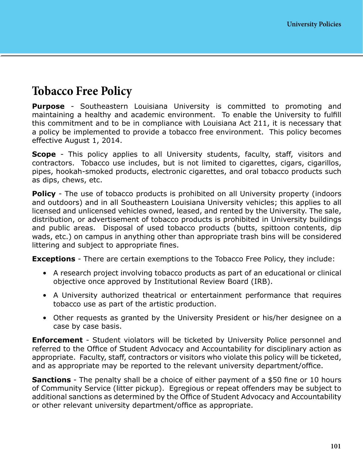### **Tobacco Free Policy**

**Purpose** - Southeastern Louisiana University is committed to promoting and maintaining a healthy and academic environment. To enable the University to fulfill this commitment and to be in compliance with Louisiana Act 211, it is necessary that a policy be implemented to provide a tobacco free environment. This policy becomes effective August 1, 2014.

**Scope** - This policy applies to all University students, faculty, staff, visitors and contractors. Tobacco use includes, but is not limited to cigarettes, cigars, cigarillos, pipes, hookah-smoked products, electronic cigarettes, and oral tobacco products such as dips, chews, etc.

**Policy** - The use of tobacco products is prohibited on all University property (indoors and outdoors) and in all Southeastern Louisiana University vehicles; this applies to all licensed and unlicensed vehicles owned, leased, and rented by the University. The sale, distribution, or advertisement of tobacco products is prohibited in University buildings and public areas. Disposal of used tobacco products (butts, spittoon contents, dip wads, etc.) on campus in anything other than appropriate trash bins will be considered littering and subject to appropriate fines.

**Exceptions** - There are certain exemptions to the Tobacco Free Policy, they include:

- A research project involving tobacco products as part of an educational or clinical objective once approved by Institutional Review Board (IRB).
- A University authorized theatrical or entertainment performance that requires tobacco use as part of the artistic production.
- Other requests as granted by the University President or his/her designee on a case by case basis.

**Enforcement** - Student violators will be ticketed by University Police personnel and referred to the Office of Student Advocacy and Accountability for disciplinary action as appropriate. Faculty, staff, contractors or visitors who violate this policy will be ticketed, and as appropriate may be reported to the relevant university department/office.

**Sanctions** - The penalty shall be a choice of either payment of a \$50 fine or 10 hours of Community Service (litter pickup). Egregious or repeat offenders may be subject to additional sanctions as determined by the Office of Student Advocacy and Accountability or other relevant university department/office as appropriate.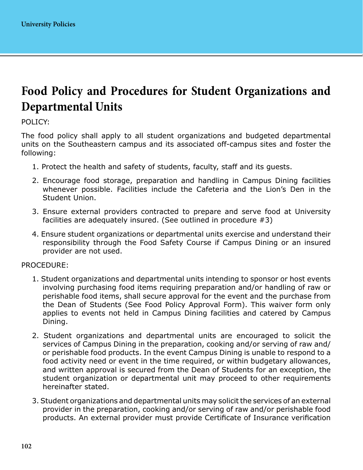## **Food Policy and Procedures for Student Organizations and Departmental Units**

POLICY:

The food policy shall apply to all student organizations and budgeted departmental units on the Southeastern campus and its associated off-campus sites and foster the following:

- 1. Protect the health and safety of students, faculty, staff and its guests.
- 2. Encourage food storage, preparation and handling in Campus Dining facilities whenever possible. Facilities include the Cafeteria and the Lion's Den in the Student Union.
- 3. Ensure external providers contracted to prepare and serve food at University facilities are adequately insured. (See outlined in procedure #3)
- 4. Ensure student organizations or departmental units exercise and understand their responsibility through the Food Safety Course if Campus Dining or an insured provider are not used.

#### PROCEDURE:

- 1. Student organizations and departmental units intending to sponsor or host events involving purchasing food items requiring preparation and/or handling of raw or perishable food items, shall secure approval for the event and the purchase from the Dean of Students (See Food Policy Approval Form). This waiver form only applies to events not held in Campus Dining facilities and catered by Campus Dining.
- 2. Student organizations and departmental units are encouraged to solicit the services of Campus Dining in the preparation, cooking and/or serving of raw and/ or perishable food products. In the event Campus Dining is unable to respond to a food activity need or event in the time required, or within budgetary allowances, and written approval is secured from the Dean of Students for an exception, the student organization or departmental unit may proceed to other requirements hereinafter stated.
- 3. Student organizations and departmental units may solicit the services of an external provider in the preparation, cooking and/or serving of raw and/or perishable food products. An external provider must provide Certificate of Insurance verification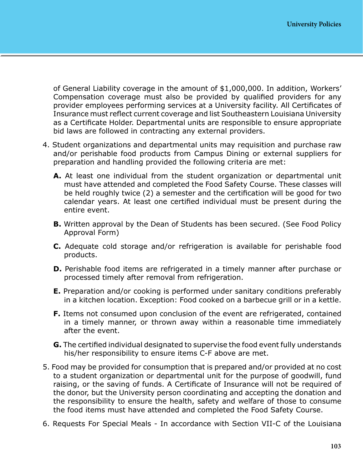of General Liability coverage in the amount of \$1,000,000. In addition, Workers' Compensation coverage must also be provided by qualified providers for any provider employees performing services at a University facility. All Certificates of Insurance must reflect current coverage and list Southeastern Louisiana University as a Certificate Holder. Departmental units are responsible to ensure appropriate bid laws are followed in contracting any external providers.

- 4. Student organizations and departmental units may requisition and purchase raw and/or perishable food products from Campus Dining or external suppliers for preparation and handling provided the following criteria are met:
	- **A.** At least one individual from the student organization or departmental unit must have attended and completed the Food Safety Course. These classes will be held roughly twice (2) a semester and the certification will be good for two calendar years. At least one certified individual must be present during the entire event.
	- **B.** Written approval by the Dean of Students has been secured. (See Food Policy Approval Form)
	- **C.** Adequate cold storage and/or refrigeration is available for perishable food products.
	- **D.** Perishable food items are refrigerated in a timely manner after purchase or processed timely after removal from refrigeration.
	- **E.** Preparation and/or cooking is performed under sanitary conditions preferably in a kitchen location. Exception: Food cooked on a barbecue grill or in a kettle.
	- **F.** Items not consumed upon conclusion of the event are refrigerated, contained in a timely manner, or thrown away within a reasonable time immediately after the event.
	- **G.** The certified individual designated to supervise the food event fully understands his/her responsibility to ensure items C-F above are met.
- 5. Food may be provided for consumption that is prepared and/or provided at no cost to a student organization or departmental unit for the purpose of goodwill, fund raising, or the saving of funds. A Certificate of Insurance will not be required of the donor, but the University person coordinating and accepting the donation and the responsibility to ensure the health, safety and welfare of those to consume the food items must have attended and completed the Food Safety Course.
- 6. Requests For Special Meals In accordance with Section VII-C of the Louisiana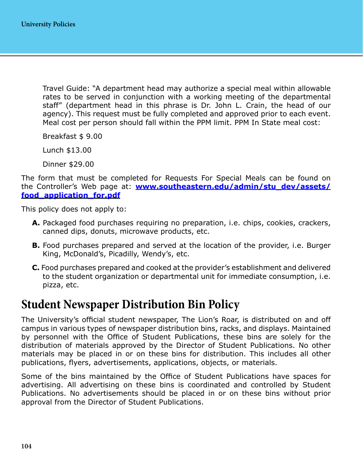Travel Guide: "A department head may authorize a special meal within allowable rates to be served in conjunction with a working meeting of the departmental staff" (department head in this phrase is Dr. John L. Crain, the head of our agency). This request must be fully completed and approved prior to each event. Meal cost per person should fall within the PPM limit. PPM In State meal cost:

Breakfast \$ 9.00

Lunch \$13.00

Dinner \$29.00

The form that must be completed for Requests For Special Meals can be found on the Controller's Web page at: **[www.southeastern.edu/admin/stu\\_dev/assets/](http://www.southeastern.edu/admin/stu_dev/assets/food_application_for.pdf) [food\\_application\\_for.pdf](http://www.southeastern.edu/admin/stu_dev/assets/food_application_for.pdf)**

This policy does not apply to:

- **A.** Packaged food purchases requiring no preparation, i.e. chips, cookies, crackers, canned dips, donuts, microwave products, etc.
- **B.** Food purchases prepared and served at the location of the provider, i.e. Burger King, McDonald's, Picadilly, Wendy's, etc.
- **C.** Food purchases prepared and cooked at the provider's establishment and delivered to the student organization or departmental unit for immediate consumption, i.e. pizza, etc.

### **Student Newspaper Distribution Bin Policy**

The University's official student newspaper, The Lion's Roar, is distributed on and off campus in various types of newspaper distribution bins, racks, and displays. Maintained by personnel with the Office of Student Publications, these bins are solely for the distribution of materials approved by the Director of Student Publications. No other materials may be placed in or on these bins for distribution. This includes all other publications, flyers, advertisements, applications, objects, or materials.

Some of the bins maintained by the Office of Student Publications have spaces for advertising. All advertising on these bins is coordinated and controlled by Student Publications. No advertisements should be placed in or on these bins without prior approval from the Director of Student Publications.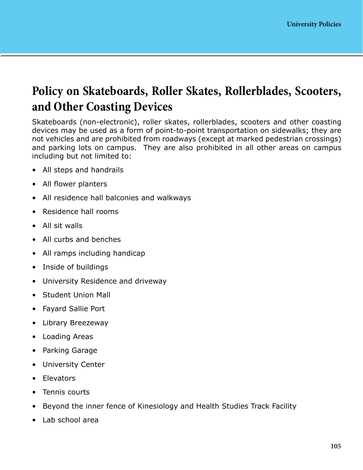## **Policy on Skateboards, Roller Skates, Rollerblades, Scooters, and Other Coasting Devices**

Skateboards (non-electronic), roller skates, rollerblades, scooters and other coasting devices may be used as a form of point-to-point transportation on sidewalks; they are not vehicles and are prohibited from roadways (except at marked pedestrian crossings) and parking lots on campus. They are also prohibited in all other areas on campus including but not limited to:

- All steps and handrails
- All flower planters
- All residence hall balconies and walkways
- Residence hall rooms
- All sit walls
- All curbs and benches
- All ramps including handicap
- Inside of buildings
- University Residence and driveway
- Student Union Mall
- Fayard Sallie Port
- Library Breezeway
- Loading Areas
- Parking Garage
- University Center
- Elevators
- Tennis courts
- Beyond the inner fence of Kinesiology and Health Studies Track Facility
- Lab school area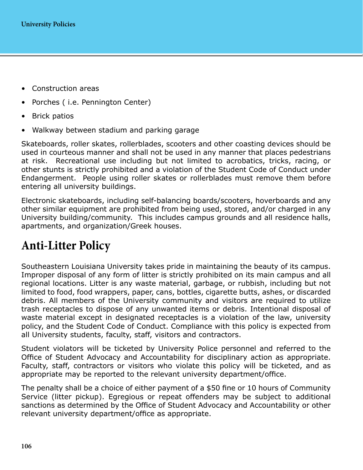- Construction areas
- Porches (*i.e. Pennington Center*)
- Brick patios
- Walkway between stadium and parking garage

Skateboards, roller skates, rollerblades, scooters and other coasting devices should be used in courteous manner and shall not be used in any manner that places pedestrians at risk. Recreational use including but not limited to acrobatics, tricks, racing, or other stunts is strictly prohibited and a violation of the Student Code of Conduct under Endangerment. People using roller skates or rollerblades must remove them before entering all university buildings.

Electronic skateboards, including self-balancing boards/scooters, hoverboards and any other similar equipment are prohibited from being used, stored, and/or charged in any University building/community. This includes campus grounds and all residence halls, apartments, and organization/Greek houses.

## **Anti-Litter Policy**

Southeastern Louisiana University takes pride in maintaining the beauty of its campus. Improper disposal of any form of litter is strictly prohibited on its main campus and all regional locations. Litter is any waste material, garbage, or rubbish, including but not limited to food, food wrappers, paper, cans, bottles, cigarette butts, ashes, or discarded debris. All members of the University community and visitors are required to utilize trash receptacles to dispose of any unwanted items or debris. Intentional disposal of waste material except in designated receptacles is a violation of the law, university policy, and the Student Code of Conduct. Compliance with this policy is expected from all University students, faculty, staff, visitors and contractors.

Student violators will be ticketed by University Police personnel and referred to the Office of Student Advocacy and Accountability for disciplinary action as appropriate. Faculty, staff, contractors or visitors who violate this policy will be ticketed, and as appropriate may be reported to the relevant university department/office.

The penalty shall be a choice of either payment of a \$50 fine or 10 hours of Community Service (litter pickup). Egregious or repeat offenders may be subject to additional sanctions as determined by the Office of Student Advocacy and Accountability or other relevant university department/office as appropriate.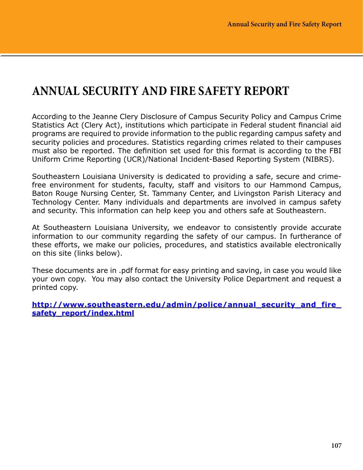## **ANNUAL SECURITY AND FIRE SAFETY REPORT**

According to the Jeanne Clery Disclosure of Campus Security Policy and Campus Crime Statistics Act (Clery Act), institutions which participate in Federal student financial aid programs are required to provide information to the public regarding campus safety and security policies and procedures. Statistics regarding crimes related to their campuses must also be reported. The definition set used for this format is according to the FBI Uniform Crime Reporting (UCR)/National Incident-Based Reporting System (NIBRS).

Southeastern Louisiana University is dedicated to providing a safe, secure and crimefree environment for students, faculty, staff and visitors to our Hammond Campus, Baton Rouge Nursing Center, St. Tammany Center, and Livingston Parish Literacy and Technology Center. Many individuals and departments are involved in campus safety and security. This information can help keep you and others safe at Southeastern.

At Southeastern Louisiana University, we endeavor to consistently provide accurate information to our community regarding the safety of our campus. In furtherance of these efforts, we make our policies, procedures, and statistics available electronically on this site (links below).

These documents are in .pdf format for easy printing and saving, in case you would like your own copy. You may also contact the University Police Department and request a printed copy.

**[http://www.southeastern.edu/admin/police/annual\\_security\\_and\\_fire\\_](http://www.southeastern.edu/admin/police/annual_security_and_fire_safety_report/index.html) [safety\\_report/index.html](http://www.southeastern.edu/admin/police/annual_security_and_fire_safety_report/index.html)**